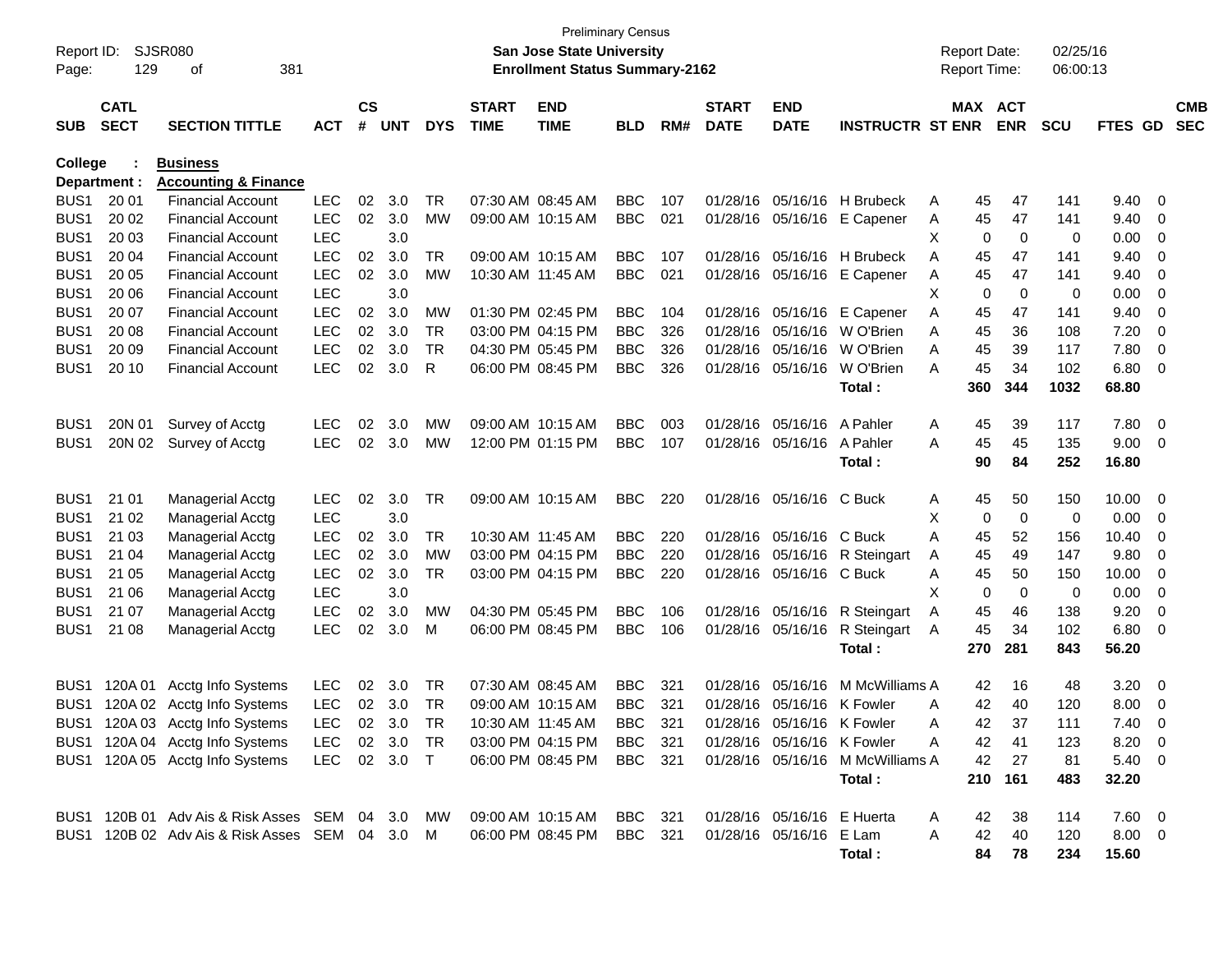| Report ID:<br>Page:      | 129                        | <b>SJSR080</b><br>381<br>оf                          |                          |                    |            |            |                             | <b>Preliminary Census</b><br><b>San Jose State University</b><br><b>Enrollment Status Summary-2162</b> |            |     |                             |                            |                                  |        | <b>Report Date:</b><br><b>Report Time:</b> |                   | 02/25/16<br>06:00:13 |               |        |                          |
|--------------------------|----------------------------|------------------------------------------------------|--------------------------|--------------------|------------|------------|-----------------------------|--------------------------------------------------------------------------------------------------------|------------|-----|-----------------------------|----------------------------|----------------------------------|--------|--------------------------------------------|-------------------|----------------------|---------------|--------|--------------------------|
| <b>SUB</b>               | <b>CATL</b><br><b>SECT</b> | <b>SECTION TITTLE</b>                                | <b>ACT</b>               | $\mathsf{cs}$<br># | <b>UNT</b> | <b>DYS</b> | <b>START</b><br><b>TIME</b> | <b>END</b><br><b>TIME</b>                                                                              | <b>BLD</b> | RM# | <b>START</b><br><b>DATE</b> | <b>END</b><br><b>DATE</b>  | <b>INSTRUCTR ST ENR</b>          |        | MAX ACT                                    | <b>ENR</b>        | <b>SCU</b>           | FTES GD       |        | <b>CMB</b><br><b>SEC</b> |
| <b>College</b>           |                            | <b>Business</b>                                      |                          |                    |            |            |                             |                                                                                                        |            |     |                             |                            |                                  |        |                                            |                   |                      |               |        |                          |
|                          | Department :               | <b>Accounting &amp; Finance</b>                      |                          |                    |            |            |                             |                                                                                                        |            |     |                             |                            |                                  |        |                                            |                   |                      |               |        |                          |
| BUS <sub>1</sub>         | 20 01                      | <b>Financial Account</b>                             | <b>LEC</b>               | 02                 | 3.0        | <b>TR</b>  | 07:30 AM 08:45 AM           |                                                                                                        | <b>BBC</b> | 107 | 01/28/16                    |                            | 05/16/16 H Brubeck               | A      | 45                                         | 47                | 141                  | 9.40          | - 0    |                          |
| BUS1                     | 20 02                      | <b>Financial Account</b>                             | <b>LEC</b>               | 02                 | 3.0        | <b>MW</b>  |                             | 09:00 AM 10:15 AM                                                                                      | <b>BBC</b> | 021 | 01/28/16                    | 05/16/16                   | E Capener                        | A      | 45                                         | 47                | 141                  | 9.40          | 0      |                          |
| BUS <sub>1</sub>         | 20 03                      | <b>Financial Account</b>                             | <b>LEC</b>               |                    | 3.0        |            |                             |                                                                                                        |            |     |                             |                            |                                  | X      | 0                                          | 0                 | 0                    | 0.00          | 0      |                          |
| BUS <sub>1</sub>         | 20 04                      | <b>Financial Account</b>                             | <b>LEC</b>               | 02                 | 3.0        | TR         |                             | 09:00 AM 10:15 AM                                                                                      | <b>BBC</b> | 107 |                             |                            | 01/28/16 05/16/16 H Brubeck      | A      | 45                                         | 47                | 141                  | 9.40          | 0      |                          |
| BUS1                     | 20 05                      | <b>Financial Account</b>                             | <b>LEC</b><br><b>LEC</b> | 02                 | 3.0<br>3.0 | <b>MW</b>  | 10:30 AM 11:45 AM           |                                                                                                        | <b>BBC</b> | 021 |                             |                            | 01/28/16 05/16/16 E Capener      | A      | 45                                         | 47<br>$\mathbf 0$ | 141                  | 9.40          | 0      |                          |
| BUS1<br>BUS <sub>1</sub> | 20 06<br>20 07             | <b>Financial Account</b><br><b>Financial Account</b> | <b>LEC</b>               | 02                 | 3.0        | <b>MW</b>  |                             | 01:30 PM 02:45 PM                                                                                      | <b>BBC</b> | 104 |                             | 01/28/16 05/16/16          | E Capener                        | X<br>A | 0<br>45                                    | 47                | 0<br>141             | 0.00<br>9.40  | 0<br>0 |                          |
| BUS1                     | 20 08                      | <b>Financial Account</b>                             | <b>LEC</b>               | 02                 | 3.0        | <b>TR</b>  |                             | 03:00 PM 04:15 PM                                                                                      | <b>BBC</b> | 326 |                             | 01/28/16 05/16/16          | W O'Brien                        | A      | 45                                         | 36                | 108                  | 7.20          | 0      |                          |
| BUS1                     | 20 09                      | <b>Financial Account</b>                             | <b>LEC</b>               | 02                 | 3.0        | <b>TR</b>  |                             | 04:30 PM 05:45 PM                                                                                      | <b>BBC</b> | 326 | 01/28/16                    | 05/16/16                   | W O'Brien                        | A      | 45                                         | 39                | 117                  | 7.80          | 0      |                          |
| BUS1                     | 20 10                      | <b>Financial Account</b>                             | <b>LEC</b>               | 02                 | 3.0        | R          |                             | 06:00 PM 08:45 PM                                                                                      | <b>BBC</b> | 326 |                             | 01/28/16 05/16/16          | W O'Brien                        | Α      | 45                                         | 34                | 102                  | 6.80          | 0      |                          |
|                          |                            |                                                      |                          |                    |            |            |                             |                                                                                                        |            |     |                             |                            | Total :                          |        | 360                                        | 344               | 1032                 | 68.80         |        |                          |
|                          |                            |                                                      |                          |                    |            |            |                             |                                                                                                        |            |     |                             |                            |                                  |        |                                            |                   |                      |               |        |                          |
| BUS <sub>1</sub>         | 20N 01                     | Survey of Acctg                                      | <b>LEC</b>               | 02                 | 3.0        | MW         | 09:00 AM 10:15 AM           |                                                                                                        | <b>BBC</b> | 003 |                             | 01/28/16 05/16/16          | A Pahler                         | A      | 45                                         | 39                | 117                  | 7.80          | - 0    |                          |
| BUS <sub>1</sub>         | 20N 02                     | Survey of Acctg                                      | <b>LEC</b>               | 02                 | 3.0        | MW         |                             | 12:00 PM 01:15 PM                                                                                      | <b>BBC</b> | 107 |                             | 01/28/16 05/16/16          | A Pahler                         | A      | 45                                         | 45                | 135                  | 9.00          | - 0    |                          |
|                          |                            |                                                      |                          |                    |            |            |                             |                                                                                                        |            |     |                             |                            | Total :                          |        | 90                                         | 84                | 252                  | 16.80         |        |                          |
|                          |                            |                                                      |                          |                    |            |            |                             |                                                                                                        |            |     |                             |                            |                                  |        |                                            |                   |                      |               |        |                          |
| BUS <sub>1</sub>         | 21 01                      | <b>Managerial Acctg</b>                              | <b>LEC</b>               | 02                 | 3.0        | <b>TR</b>  |                             | 09:00 AM 10:15 AM                                                                                      | <b>BBC</b> | 220 |                             | 01/28/16 05/16/16 C Buck   |                                  | A      | 45                                         | 50                | 150                  | 10.00         | - 0    |                          |
| BUS <sub>1</sub>         | 21 02                      | Managerial Acctg                                     | <b>LEC</b>               |                    | 3.0        |            |                             |                                                                                                        |            |     |                             |                            |                                  | X      | 0                                          | $\mathbf 0$       | 0                    | 0.00          | 0      |                          |
| BUS <sub>1</sub>         | 21 03                      | <b>Managerial Acctg</b>                              | <b>LEC</b>               | 02                 | 3.0        | TR         | 10:30 AM 11:45 AM           |                                                                                                        | <b>BBC</b> | 220 |                             | 01/28/16 05/16/16 C Buck   |                                  | A      | 45                                         | 52                | 156                  | 10.40         | 0      |                          |
| BUS <sub>1</sub>         | 21 04                      | Managerial Acctg                                     | <b>LEC</b>               | 02                 | 3.0        | МW         |                             | 03:00 PM 04:15 PM                                                                                      | <b>BBC</b> | 220 |                             |                            | 01/28/16 05/16/16 R Steingart    | A      | 45                                         | 49                | 147                  | 9.80          | 0      |                          |
| BUS <sub>1</sub>         | 21 05                      | <b>Managerial Acctg</b>                              | <b>LEC</b>               | 02                 | 3.0        | TR         |                             | 03:00 PM 04:15 PM                                                                                      | <b>BBC</b> | 220 |                             | 01/28/16 05/16/16 C Buck   |                                  | A      | 45                                         | 50                | 150                  | 10.00         | 0      |                          |
| BUS <sub>1</sub>         | 21 06                      | <b>Managerial Acctg</b>                              | <b>LEC</b>               |                    | 3.0        |            |                             |                                                                                                        |            |     |                             |                            |                                  | X      | 0                                          | $\mathbf 0$       | 0                    | 0.00          | 0      |                          |
| BUS1                     | 21 07                      | <b>Managerial Acctg</b>                              | <b>LEC</b>               | 02                 | 3.0        | MW         |                             | 04:30 PM 05:45 PM                                                                                      | <b>BBC</b> | 106 |                             |                            | 01/28/16 05/16/16 R Steingart    | A      | 45                                         | 46                | 138                  | 9.20          | 0      |                          |
| BUS1                     | 21 08                      | <b>Managerial Acctg</b>                              | <b>LEC</b>               | 02                 | 3.0        | м          |                             | 06:00 PM 08:45 PM                                                                                      | <b>BBC</b> | 106 |                             | 01/28/16 05/16/16          | R Steingart                      | A      | 45                                         | 34                | 102                  | 6.80          | - 0    |                          |
|                          |                            |                                                      |                          |                    |            |            |                             |                                                                                                        |            |     |                             |                            | Total:                           |        | 270                                        | 281               | 843                  | 56.20         |        |                          |
| BUS1                     | 120A 01                    | Acctg Info Systems                                   | <b>LEC</b>               | 02                 | 3.0        | TR         |                             | 07:30 AM 08:45 AM                                                                                      | <b>BBC</b> | 321 | 01/28/16                    | 05/16/16                   | M McWilliams A                   |        | 42                                         | 16                | 48                   | 3.20          | - 0    |                          |
| BUS1                     |                            | 120A 02 Acctg Info Systems                           | <b>LEC</b>               | 02 <sub>2</sub>    | 3.0        | TR         |                             | 09:00 AM 10:15 AM                                                                                      | <b>BBC</b> | 321 |                             | 01/28/16 05/16/16 K Fowler |                                  | A      | 42                                         | 40                | 120                  | 8.00          | 0      |                          |
| BUS1                     |                            | 120A 03 Acctg Info Systems                           | <b>LEC</b>               |                    | 02 3.0     | TR         |                             | 10:30 AM 11:45 AM                                                                                      | <b>BBC</b> | 321 |                             | 01/28/16 05/16/16 K Fowler |                                  | A      | 42                                         | 37                | 111                  | 7.40          | 0      |                          |
|                          |                            | BUS1 120A 04 Acctg Info Systems                      | LEC 02 3.0 TR            |                    |            |            |                             | 03:00 PM 04:15 PM                                                                                      | BBC 321    |     |                             | 01/28/16 05/16/16 K Fowler |                                  | A      | 42                                         | 41                | 123                  | 8.20 0        |        |                          |
|                          |                            | BUS1 120A 05 Acctg Info Systems                      | LEC 02 3.0 T             |                    |            |            |                             | 06:00 PM 08:45 PM BBC 321                                                                              |            |     |                             |                            | 01/28/16 05/16/16 M McWilliams A |        | 42                                         | 27                | 81                   | 5.40 0        |        |                          |
|                          |                            |                                                      |                          |                    |            |            |                             |                                                                                                        |            |     |                             |                            | Total:                           |        |                                            | 210 161           | 483                  | 32.20         |        |                          |
|                          |                            |                                                      |                          |                    |            |            |                             |                                                                                                        |            |     |                             |                            |                                  |        |                                            |                   |                      |               |        |                          |
|                          |                            | BUS1 120B 01 Adv Ais & Risk Asses SEM 04 3.0 MW      |                          |                    |            |            |                             | 09:00 AM 10:15 AM BBC 321                                                                              |            |     |                             | 01/28/16 05/16/16 E Huerta |                                  | A      | 42                                         | -38               | 114                  | $7.60\quad 0$ |        |                          |
|                          |                            | BUS1 120B 02 Adv Ais & Risk Asses SEM 04 3.0 M       |                          |                    |            |            |                             | 06:00 PM 08:45 PM                                                                                      | BBC 321    |     |                             | 01/28/16 05/16/16 E Lam    |                                  | A      | 42                                         | 40                | 120                  | $8.00 \t 0$   |        |                          |
|                          |                            |                                                      |                          |                    |            |            |                             |                                                                                                        |            |     |                             |                            | Total:                           |        | 84                                         | 78                | 234                  | 15.60         |        |                          |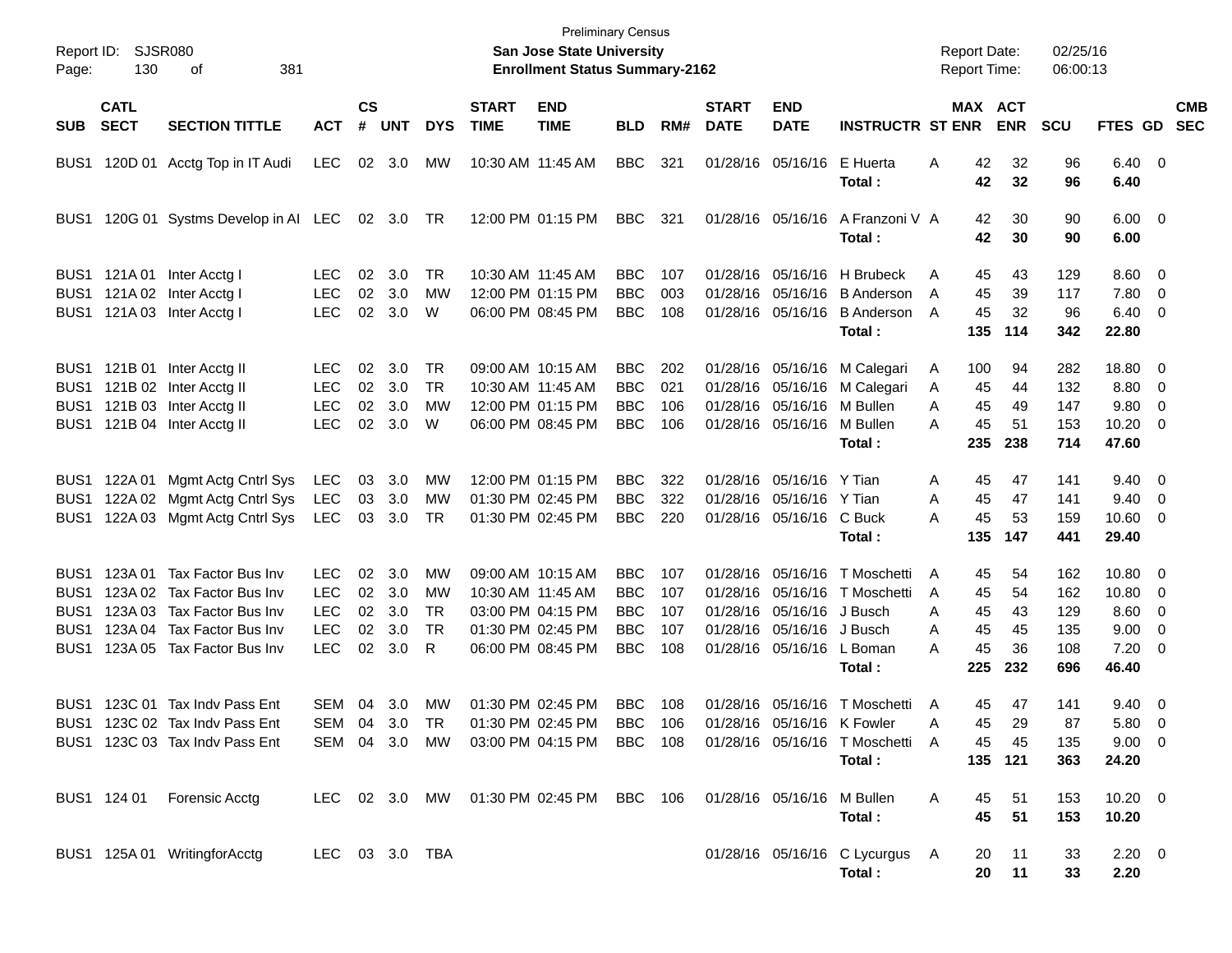| Report ID:<br>Page:                                                                  | 130                        | SJSR080<br>381<br>οf                                                                                                                       |                                                              |                            |                                 |                                  |                             | <b>San Jose State University</b><br><b>Enrollment Status Summary-2162</b>                             | <b>Preliminary Census</b>                                          |                                 |                             |                                                                                                              |                                                                          | <b>Report Date:</b><br><b>Report Time:</b>                 |                                   | 02/25/16<br>06:00:13                   |                                                                    |                                                      |            |
|--------------------------------------------------------------------------------------|----------------------------|--------------------------------------------------------------------------------------------------------------------------------------------|--------------------------------------------------------------|----------------------------|---------------------------------|----------------------------------|-----------------------------|-------------------------------------------------------------------------------------------------------|--------------------------------------------------------------------|---------------------------------|-----------------------------|--------------------------------------------------------------------------------------------------------------|--------------------------------------------------------------------------|------------------------------------------------------------|-----------------------------------|----------------------------------------|--------------------------------------------------------------------|------------------------------------------------------|------------|
| <b>SUB</b>                                                                           | <b>CATL</b><br><b>SECT</b> | <b>SECTION TITTLE</b>                                                                                                                      | <b>ACT</b>                                                   | <b>CS</b><br>#             | <b>UNT</b>                      | <b>DYS</b>                       | <b>START</b><br><b>TIME</b> | <b>END</b><br><b>TIME</b>                                                                             | <b>BLD</b>                                                         | RM#                             | <b>START</b><br><b>DATE</b> | <b>END</b><br><b>DATE</b>                                                                                    | <b>INSTRUCTR ST ENR</b>                                                  |                                                            | MAX ACT<br><b>ENR</b>             | <b>SCU</b>                             | FTES GD SEC                                                        |                                                      | <b>CMB</b> |
| BUS1                                                                                 |                            | 120D 01 Acctg Top in IT Audi                                                                                                               | <b>LEC</b>                                                   |                            | 02 3.0                          | MW                               |                             | 10:30 AM 11:45 AM                                                                                     | <b>BBC</b>                                                         | 321                             |                             | 01/28/16 05/16/16                                                                                            | E Huerta<br>Total:                                                       | 42<br>Α<br>42                                              | 32<br>32                          | 96<br>96                               | $6.40 \quad 0$<br>6.40                                             |                                                      |            |
| BUS1                                                                                 |                            | 120G 01 Systms Develop in AI LEC                                                                                                           |                                                              |                            | 02 3.0 TR                       |                                  |                             | 12:00 PM 01:15 PM                                                                                     | <b>BBC</b>                                                         | 321                             |                             | 01/28/16 05/16/16                                                                                            | A Franzoni V A<br>Total:                                                 | 42<br>42                                                   | 30<br>30                          | 90<br>90                               | $6.00 \quad 0$<br>6.00                                             |                                                      |            |
| BUS <sub>1</sub><br>BUS1                                                             |                            | BUS1 121A 01 Inter Acctg I<br>121A 02 Inter Acctg I<br>121A 03 Inter Acctg I                                                               | <b>LEC</b><br><b>LEC</b><br><b>LEC</b>                       | 02<br>02<br>02             | 3.0<br>3.0<br>3.0               | TR<br>МW<br>W                    |                             | 10:30 AM 11:45 AM<br>12:00 PM 01:15 PM<br>06:00 PM 08:45 PM                                           | <b>BBC</b><br><b>BBC</b><br><b>BBC</b>                             | 107<br>003<br>108               |                             | 01/28/16 05/16/16<br>01/28/16 05/16/16<br>01/28/16 05/16/16                                                  | H Brubeck<br><b>B</b> Anderson<br><b>B</b> Anderson<br>Total:            | 45<br>A<br>45<br>A<br>45<br>A<br>135                       | 43<br>39<br>32<br>114             | 129<br>117<br>96<br>342                | $8.60 \quad 0$<br>7.80 0<br>$6.40 \quad 0$<br>22.80                |                                                      |            |
| BUS <sub>1</sub><br>BUS1<br>BUS1                                                     |                            | BUS1 121B 01 Inter Acctg II<br>121B 02 Inter Acctg II<br>121B 03 Inter Acctg II<br>121B 04 Inter Acctg II                                  | <b>LEC</b><br><b>LEC</b><br><b>LEC</b><br><b>LEC</b>         | 02<br>02<br>02<br>02       | 3.0<br>3.0<br>3.0<br>3.0        | TR<br><b>TR</b><br>МW<br>W       |                             | 09:00 AM 10:15 AM<br>10:30 AM 11:45 AM<br>12:00 PM 01:15 PM<br>06:00 PM 08:45 PM                      | <b>BBC</b><br><b>BBC</b><br><b>BBC</b><br><b>BBC</b>               | 202<br>021<br>106<br>106        |                             | 01/28/16 05/16/16<br>01/28/16 05/16/16<br>01/28/16 05/16/16<br>01/28/16 05/16/16                             | M Calegari<br>M Calegari<br>M Bullen<br>M Bullen<br>Total:               | 100<br>A<br>45<br>A<br>45<br>A<br>45<br>A<br>235           | 94<br>44<br>49<br>51<br>238       | 282<br>132<br>147<br>153<br>714        | 18.80 0<br>8.80<br>9.80<br>$10.20 \t 0$<br>47.60                   | $\overline{\phantom{0}}$<br>$\overline{\phantom{0}}$ |            |
| BUS <sub>1</sub><br>BUS1<br>BUS1                                                     |                            | 122A 01 Mgmt Actg Cntrl Sys<br>122A 02 Mgmt Actg Cntrl Sys<br>122A 03 Mgmt Actg Cntrl Sys                                                  | LEC<br>LEC<br>LEC                                            | 03<br>03<br>03             | 3.0<br>3.0<br>3.0               | МW<br><b>MW</b><br>TR            |                             | 12:00 PM 01:15 PM<br>01:30 PM 02:45 PM<br>01:30 PM 02:45 PM                                           | <b>BBC</b><br><b>BBC</b><br><b>BBC</b>                             | 322<br>322<br>220               |                             | 01/28/16 05/16/16 Y Tian<br>01/28/16 05/16/16 Y Tian<br>01/28/16 05/16/16 C Buck                             | Total:                                                                   | 45<br>A<br>45<br>A<br>45<br>А<br>135                       | 47<br>47<br>53<br>147             | 141<br>141<br>159<br>441               | $9.40 \quad 0$<br>9.40<br>10.60 0<br>29.40                         | $\overline{\phantom{0}}$                             |            |
| BUS1<br>BUS <sub>1</sub><br>BUS <sub>1</sub><br>BUS <sub>1</sub><br>BUS <sub>1</sub> | 123A 01                    | Tax Factor Bus Inv<br>123A 02 Tax Factor Bus Inv<br>123A 03 Tax Factor Bus Inv<br>123A 04 Tax Factor Bus Inv<br>123A 05 Tax Factor Bus Inv | LEC.<br><b>LEC</b><br><b>LEC</b><br><b>LEC</b><br><b>LEC</b> | 02<br>02<br>02<br>02<br>02 | 3.0<br>3.0<br>3.0<br>3.0<br>3.0 | МW<br>МW<br>TR<br><b>TR</b><br>R |                             | 09:00 AM 10:15 AM<br>10:30 AM 11:45 AM<br>03:00 PM 04:15 PM<br>01:30 PM 02:45 PM<br>06:00 PM 08:45 PM | <b>BBC</b><br><b>BBC</b><br><b>BBC</b><br><b>BBC</b><br><b>BBC</b> | 107<br>107<br>107<br>107<br>108 | 01/28/16                    | 01/28/16 05/16/16<br>05/16/16<br>01/28/16 05/16/16 J Busch<br>01/28/16 05/16/16 J Busch<br>01/28/16 05/16/16 | T Moschetti<br>T Moschetti<br>L Boman<br>Total:                          | 45<br>A<br>45<br>A<br>45<br>A<br>45<br>A<br>45<br>A<br>225 | 54<br>54<br>43<br>45<br>36<br>232 | 162<br>162<br>129<br>135<br>108<br>696 | 10.80 0<br>10.80<br>$8.60 \quad 0$<br>9.00<br>$7.20 \t 0$<br>46.40 | $\overline{\mathbf{0}}$<br>$\overline{\phantom{0}}$  |            |
|                                                                                      |                            | BUS1 123C 01 Tax Indy Pass Ent<br>BUS1 123C 02 Tax Indv Pass Ent<br>BUS1 123C 03 Tax Indv Pass Ent                                         | SEM<br>SEM 04 3.0                                            | 04                         | 3.0                             | <b>MW</b><br>TR<br>SEM 04 3.0 MW |                             | 01:30 PM 02:45 PM<br>01:30 PM 02:45 PM BBC 106<br>03:00 PM 04:15 PM                                   | BBC<br><b>BBC</b> 108                                              | 108                             |                             | 01/28/16 05/16/16 K Fowler                                                                                   | 01/28/16 05/16/16 T Moschetti<br>01/28/16 05/16/16 T Moschetti<br>Total: | 45<br>A<br>45<br>45<br>A                                   | 47<br>29<br>45<br>135 121         | 141<br>87<br>135<br>363                | $9.40 \quad 0$<br>5.80 0<br>$9.00 \t 0$<br>24.20                   |                                                      |            |
|                                                                                      | BUS1 124 01                | Forensic Acctg<br>BUS1 125A 01 WritingforAcctg                                                                                             | LEC 03 3.0 TBA                                               |                            |                                 |                                  |                             | LEC 02 3.0 MW 01:30 PM 02:45 PM BBC 106 01/28/16 05/16/16                                             |                                                                    |                                 |                             |                                                                                                              | M Bullen<br>Total:<br>01/28/16 05/16/16 C Lycurgus A<br>Total:           | 45<br>A<br>45<br>20<br>20                                  | 51<br>51<br>11<br>11              | 153<br>153<br>33<br>33                 | $10.20 \t 0$<br>10.20<br>$2.20 \t 0$<br>2.20                       |                                                      |            |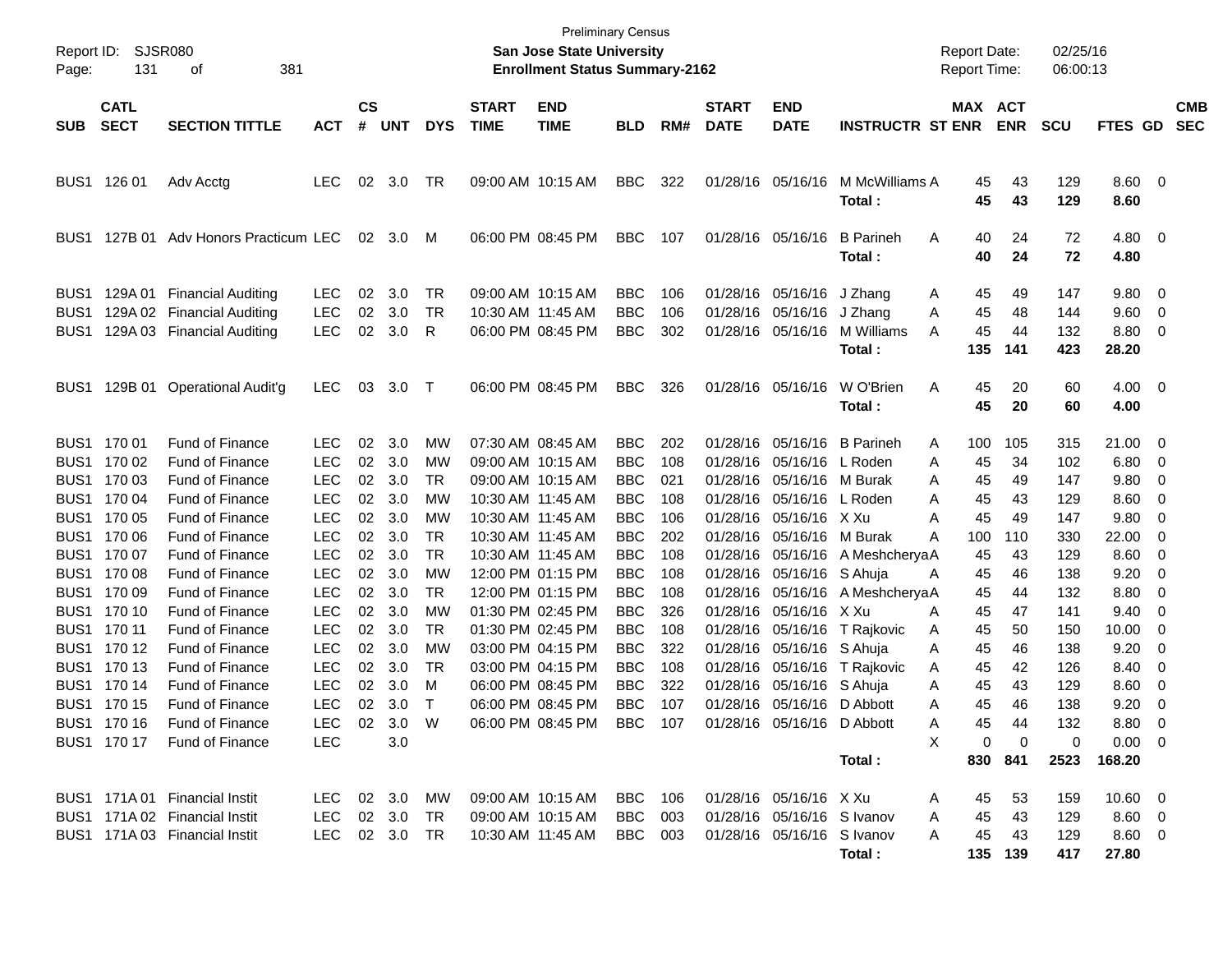| Report ID:<br>Page:                                                                                                                                                                                                                                                                                      | 131                                                                                                                                                               | SJSR080<br>381<br>οf                                                                                                                                                                                                                                                                                                                                                                                                     |                                                                                                                                                                                                   |                                                                                        |                                                                                                                        |                                                                                                  |                                                                                  | <b>Preliminary Census</b><br><b>San Jose State University</b><br><b>Enrollment Status Summary-2162</b>                                                                                                                                                   |                                                                                                                                                                                                                              |                                                                                                              |                             |                                                                                                                                                                                                                                                                                                                              |                                                                                                                                                                                                              | <b>Report Date:</b><br><b>Report Time:</b>                                            |                                                                                                                                                                                                         | 02/25/16<br>06:00:13                                                                                                      |                                                                                                                                                          |                                                                                                        |                          |
|----------------------------------------------------------------------------------------------------------------------------------------------------------------------------------------------------------------------------------------------------------------------------------------------------------|-------------------------------------------------------------------------------------------------------------------------------------------------------------------|--------------------------------------------------------------------------------------------------------------------------------------------------------------------------------------------------------------------------------------------------------------------------------------------------------------------------------------------------------------------------------------------------------------------------|---------------------------------------------------------------------------------------------------------------------------------------------------------------------------------------------------|----------------------------------------------------------------------------------------|------------------------------------------------------------------------------------------------------------------------|--------------------------------------------------------------------------------------------------|----------------------------------------------------------------------------------|----------------------------------------------------------------------------------------------------------------------------------------------------------------------------------------------------------------------------------------------------------|------------------------------------------------------------------------------------------------------------------------------------------------------------------------------------------------------------------------------|--------------------------------------------------------------------------------------------------------------|-----------------------------|------------------------------------------------------------------------------------------------------------------------------------------------------------------------------------------------------------------------------------------------------------------------------------------------------------------------------|--------------------------------------------------------------------------------------------------------------------------------------------------------------------------------------------------------------|---------------------------------------------------------------------------------------|---------------------------------------------------------------------------------------------------------------------------------------------------------------------------------------------------------|---------------------------------------------------------------------------------------------------------------------------|----------------------------------------------------------------------------------------------------------------------------------------------------------|--------------------------------------------------------------------------------------------------------|--------------------------|
| <b>SUB</b>                                                                                                                                                                                                                                                                                               | <b>CATL</b><br><b>SECT</b>                                                                                                                                        | <b>SECTION TITTLE</b>                                                                                                                                                                                                                                                                                                                                                                                                    | <b>ACT</b>                                                                                                                                                                                        | $\mathbf{c}\mathbf{s}$<br>#                                                            | <b>UNT</b>                                                                                                             | <b>DYS</b>                                                                                       | <b>START</b><br><b>TIME</b>                                                      | <b>END</b><br><b>TIME</b>                                                                                                                                                                                                                                | <b>BLD</b>                                                                                                                                                                                                                   | RM#                                                                                                          | <b>START</b><br><b>DATE</b> | <b>END</b><br><b>DATE</b>                                                                                                                                                                                                                                                                                                    | <b>INSTRUCTR ST ENR</b>                                                                                                                                                                                      |                                                                                       | MAX ACT<br><b>ENR</b>                                                                                                                                                                                   | <b>SCU</b>                                                                                                                | <b>FTES GD</b>                                                                                                                                           |                                                                                                        | <b>CMB</b><br><b>SEC</b> |
| BUS <sub>1</sub>                                                                                                                                                                                                                                                                                         | 126 01                                                                                                                                                            | Adv Acctg                                                                                                                                                                                                                                                                                                                                                                                                                | <b>LEC</b>                                                                                                                                                                                        | 02                                                                                     | 3.0                                                                                                                    | TR                                                                                               |                                                                                  | 09:00 AM 10:15 AM                                                                                                                                                                                                                                        | <b>BBC</b>                                                                                                                                                                                                                   | 322                                                                                                          |                             | 01/28/16 05/16/16                                                                                                                                                                                                                                                                                                            | M McWilliams A<br>Total :                                                                                                                                                                                    |                                                                                       | 43<br>45<br>45<br>43                                                                                                                                                                                    | 129<br>129                                                                                                                | $8.60 \quad 0$<br>8.60                                                                                                                                   |                                                                                                        |                          |
| BUS1                                                                                                                                                                                                                                                                                                     | 127B 01                                                                                                                                                           | Adv Honors Practicum LEC                                                                                                                                                                                                                                                                                                                                                                                                 |                                                                                                                                                                                                   | 02                                                                                     | 3.0                                                                                                                    | M                                                                                                |                                                                                  | 06:00 PM 08:45 PM                                                                                                                                                                                                                                        | <b>BBC</b>                                                                                                                                                                                                                   | 107                                                                                                          |                             | 01/28/16 05/16/16                                                                                                                                                                                                                                                                                                            | <b>B</b> Parineh<br>Total :                                                                                                                                                                                  | A                                                                                     | 24<br>40<br>40<br>24                                                                                                                                                                                    | 72<br>72                                                                                                                  | $4.80\ 0$<br>4.80                                                                                                                                        |                                                                                                        |                          |
| BUS1<br>BUS <sub>1</sub><br>BUS1                                                                                                                                                                                                                                                                         | 129A 01                                                                                                                                                           | <b>Financial Auditing</b><br>129A 02 Financial Auditing<br>129A 03 Financial Auditing                                                                                                                                                                                                                                                                                                                                    | <b>LEC</b><br><b>LEC</b><br>LEC                                                                                                                                                                   | 02<br>02<br>02                                                                         | 3.0<br>3.0<br>3.0                                                                                                      | TR<br>TR<br>R                                                                                    | 10:30 AM 11:45 AM                                                                | 09:00 AM 10:15 AM<br>06:00 PM 08:45 PM                                                                                                                                                                                                                   | <b>BBC</b><br><b>BBC</b><br><b>BBC</b>                                                                                                                                                                                       | 106<br>106<br>302                                                                                            |                             | 01/28/16 05/16/16<br>01/28/16 05/16/16<br>01/28/16 05/16/16                                                                                                                                                                                                                                                                  | J Zhang<br>J Zhang<br>M Williams<br>Total :                                                                                                                                                                  | A<br>A<br>A<br>135                                                                    | 45<br>49<br>45<br>48<br>45<br>44<br>141                                                                                                                                                                 | 147<br>144<br>132<br>423                                                                                                  | 9.80<br>9.60<br>8.80<br>28.20                                                                                                                            | $\overline{\phantom{0}}$<br>- 0<br>- 0                                                                 |                          |
| BUS1                                                                                                                                                                                                                                                                                                     |                                                                                                                                                                   | 129B 01 Operational Audit'g                                                                                                                                                                                                                                                                                                                                                                                              | <b>LEC</b>                                                                                                                                                                                        | 03                                                                                     | 3.0                                                                                                                    | $\top$                                                                                           |                                                                                  | 06:00 PM 08:45 PM                                                                                                                                                                                                                                        | <b>BBC</b>                                                                                                                                                                                                                   | 326                                                                                                          |                             | 01/28/16 05/16/16                                                                                                                                                                                                                                                                                                            | W O'Brien<br>Total:                                                                                                                                                                                          | A                                                                                     | 20<br>45<br>45<br>20                                                                                                                                                                                    | 60<br>60                                                                                                                  | $4.00 \ 0$<br>4.00                                                                                                                                       |                                                                                                        |                          |
| BUS <sub>1</sub><br>BUS <sub>1</sub><br>BUS <sub>1</sub><br>BUS <sub>1</sub><br>BUS <sub>1</sub><br>BUS <sub>1</sub><br>BUS <sub>1</sub><br>BUS <sub>1</sub><br>BUS <sub>1</sub><br>BUS <sub>1</sub><br>BUS <sub>1</sub><br>BUS <sub>1</sub><br>BUS <sub>1</sub><br>BUS <sub>1</sub><br>BUS <sub>1</sub> | 170 01<br>170 02<br>170 03<br>170 04<br>170 05<br>170 06<br>170 07<br>170 08<br>170 09<br>170 10<br>170 11<br>170 12<br>170 13<br>170 14<br>170 15<br>BUS1 170 16 | <b>Fund of Finance</b><br><b>Fund of Finance</b><br><b>Fund of Finance</b><br><b>Fund of Finance</b><br>Fund of Finance<br><b>Fund of Finance</b><br><b>Fund of Finance</b><br>Fund of Finance<br><b>Fund of Finance</b><br><b>Fund of Finance</b><br>Fund of Finance<br><b>Fund of Finance</b><br>Fund of Finance<br>Fund of Finance<br><b>Fund of Finance</b><br><b>Fund of Finance</b><br>BUS1 170 17 Fund of Finance | <b>LEC</b><br><b>LEC</b><br><b>LEC</b><br><b>LEC</b><br>LEC<br><b>LEC</b><br><b>LEC</b><br>LEC<br><b>LEC</b><br><b>LEC</b><br>LEC<br>LEC<br>LEC<br><b>LEC</b><br><b>LEC</b><br>LEC.<br><b>LEC</b> | 02<br>02<br>02<br>02<br>02<br>02<br>02<br>02<br>02<br>02<br>02<br>02<br>02<br>02<br>02 | 3.0<br>3.0<br>3.0<br>3.0<br>3.0<br>3.0<br>3.0<br>3.0<br>3.0<br>3.0<br>3.0<br>3.0<br>3.0<br>3.0<br>3.0<br>02 3.0<br>3.0 | MW<br>МW<br>TR<br>MW<br>МW<br>TR<br><b>TR</b><br>MW<br>TR<br>MW<br>TR<br>MW<br>TR<br>M<br>T<br>W | 10:30 AM 11:45 AM<br>10:30 AM 11:45 AM<br>10:30 AM 11:45 AM<br>10:30 AM 11:45 AM | 07:30 AM 08:45 AM<br>09:00 AM 10:15 AM<br>09:00 AM 10:15 AM<br>12:00 PM 01:15 PM<br>12:00 PM 01:15 PM<br>01:30 PM 02:45 PM<br>01:30 PM 02:45 PM<br>03:00 PM 04:15 PM<br>03:00 PM 04:15 PM<br>06:00 PM 08:45 PM<br>06:00 PM 08:45 PM<br>06:00 PM 08:45 PM | <b>BBC</b><br><b>BBC</b><br><b>BBC</b><br><b>BBC</b><br><b>BBC</b><br><b>BBC</b><br><b>BBC</b><br><b>BBC</b><br><b>BBC</b><br><b>BBC</b><br><b>BBC</b><br><b>BBC</b><br><b>BBC</b><br><b>BBC</b><br><b>BBC</b><br><b>BBC</b> | 202<br>108<br>021<br>108<br>106<br>202<br>108<br>108<br>108<br>326<br>108<br>322<br>108<br>322<br>107<br>107 | 01/28/16                    | 01/28/16 05/16/16<br>01/28/16 05/16/16<br>01/28/16 05/16/16<br>01/28/16 05/16/16<br>01/28/16 05/16/16 X Xu<br>01/28/16 05/16/16<br>01/28/16 05/16/16<br>01/28/16 05/16/16<br>01/28/16 05/16/16<br>01/28/16 05/16/16<br>01/28/16 05/16/16<br>01/28/16 05/16/16<br>05/16/16<br>01/28/16 05/16/16<br>01/28/16 05/16/16 D Abbott | <b>B</b> Parineh<br>L Roden<br>M Burak<br>L Roden<br>M Burak<br>01/28/16 05/16/16 A MeshcheryaA<br>S Ahuja<br>A MeshcheryaA<br>X Xu<br>T Rajkovic<br>S Ahuja<br>T Rajkovic<br>S Ahuja<br>D Abbott<br>Total : | 100<br>A<br>A<br>A<br>A<br>Α<br>A<br>100<br>A<br>A<br>A<br>A<br>A<br>Α<br>Α<br>А<br>X | 105<br>34<br>45<br>45<br>49<br>45<br>43<br>45<br>49<br>110<br>45<br>43<br>45<br>46<br>45<br>44<br>45<br>47<br>45<br>50<br>45<br>46<br>45<br>42<br>45<br>43<br>45<br>46<br>45<br>44<br>0<br>0<br>830 841 | 315<br>102<br>147<br>129<br>147<br>330<br>129<br>138<br>132<br>141<br>150<br>138<br>126<br>129<br>138<br>132<br>0<br>2523 | 21.00<br>6.80<br>9.80<br>8.60<br>9.80<br>22.00<br>8.60<br>9.20<br>8.80<br>9.40<br>10.00<br>9.20<br>8.40<br>8.60<br>9.20<br>8.80<br>$0.00 \t 0$<br>168.20 | - 0<br>- 0<br>- 0<br>- 0<br>- 0<br>- 0<br>- 0<br>- 0<br>- 0<br>- 0<br>- 0<br>- 0<br>0<br>0<br>0<br>- 0 |                          |
|                                                                                                                                                                                                                                                                                                          |                                                                                                                                                                   | BUS1 171A 01 Financial Instit<br>BUS1 171A 02 Financial Instit<br>BUS1 171A 03 Financial Instit                                                                                                                                                                                                                                                                                                                          | LEC 02 3.0<br><b>LEC</b><br>LEC 02 3.0                                                                                                                                                            |                                                                                        | 02 3.0                                                                                                                 | MW.<br>TR.<br>TR.                                                                                |                                                                                  | 09:00 AM 10:15 AM<br>09:00 AM 10:15 AM<br>10:30 AM 11:45 AM                                                                                                                                                                                              | <b>BBC</b> 106<br>BBC<br>BBC 003                                                                                                                                                                                             | 003                                                                                                          |                             | 01/28/16 05/16/16 X Xu<br>01/28/16 05/16/16 S Ivanov<br>01/28/16 05/16/16 S Ivanov                                                                                                                                                                                                                                           | Total:                                                                                                                                                                                                       | A<br>A<br>A                                                                           | 53<br>45<br>45<br>43<br>45<br>43<br>135 139                                                                                                                                                             | 159<br>129<br>129<br>417                                                                                                  | $10.60 \t 0$<br>$8.60 \quad 0$<br>$8.60 \quad 0$<br>27.80                                                                                                |                                                                                                        |                          |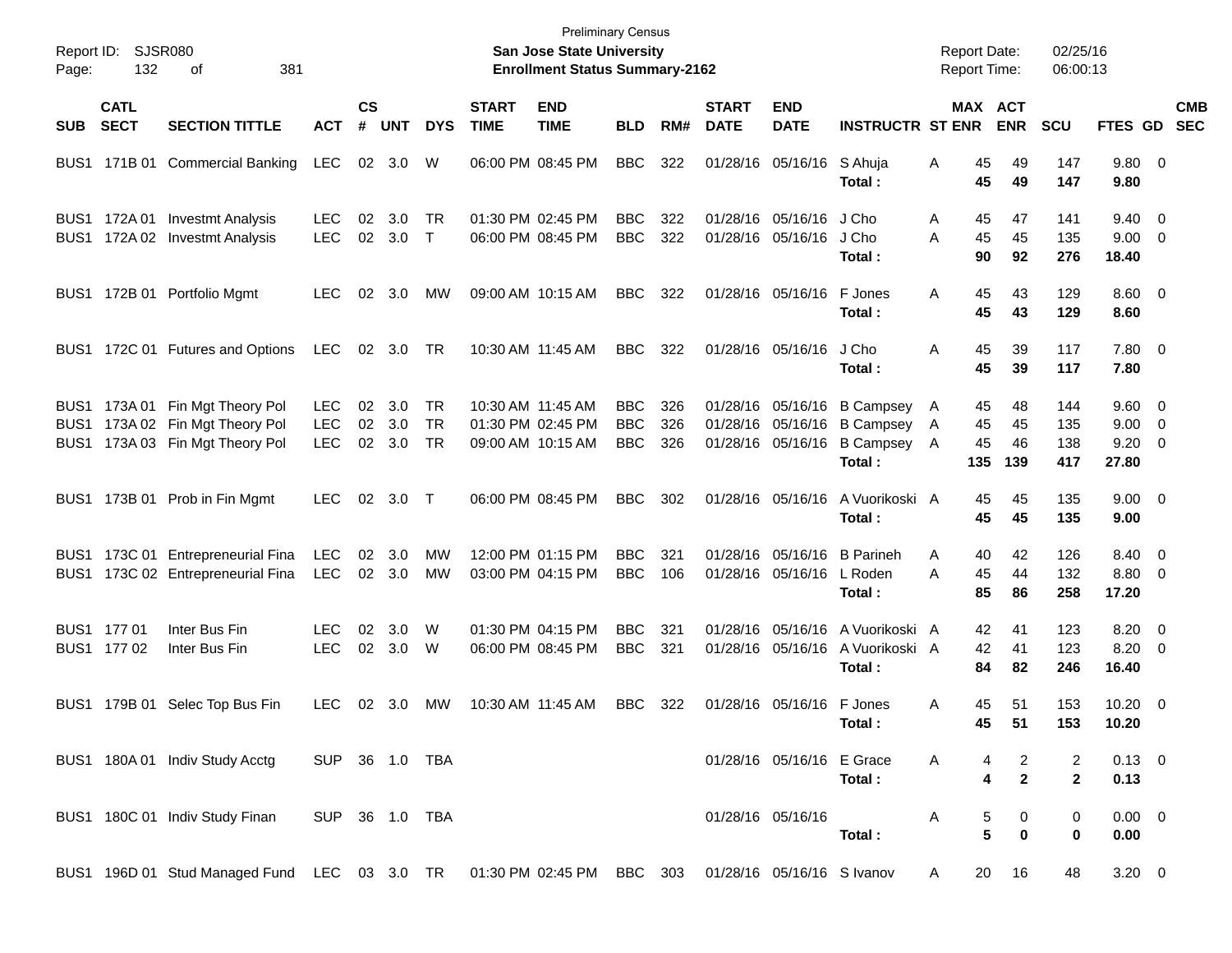| Page:                    | Report ID: SJSR080<br>132  | 381<br>οf                                                                                           |                                  |                             |                       |                |                             | <b>Preliminary Census</b><br>San Jose State University<br><b>Enrollment Status Summary-2162</b> |                                        |                   |                             |                                                             |                                                                    | <b>Report Date:</b><br><b>Report Time:</b> |                       |                       | 02/25/16<br>06:00:13     |                                                      |            |
|--------------------------|----------------------------|-----------------------------------------------------------------------------------------------------|----------------------------------|-----------------------------|-----------------------|----------------|-----------------------------|-------------------------------------------------------------------------------------------------|----------------------------------------|-------------------|-----------------------------|-------------------------------------------------------------|--------------------------------------------------------------------|--------------------------------------------|-----------------------|-----------------------|--------------------------|------------------------------------------------------|------------|
| <b>SUB</b>               | <b>CATL</b><br><b>SECT</b> | <b>SECTION TITTLE</b>                                                                               | <b>ACT</b>                       | $\mathsf{cs}$<br>$\pmb{\#}$ | <b>UNT</b>            | <b>DYS</b>     | <b>START</b><br><b>TIME</b> | <b>END</b><br><b>TIME</b>                                                                       | <b>BLD</b>                             | RM#               | <b>START</b><br><b>DATE</b> | <b>END</b><br><b>DATE</b>                                   | <b>INSTRUCTR ST ENR</b>                                            |                                            |                       | MAX ACT<br><b>ENR</b> | <b>SCU</b>               | FTES GD SEC                                          | <b>CMB</b> |
|                          |                            | BUS1 171B 01 Commercial Banking                                                                     | LEC                              |                             | 02 3.0                | W              |                             | 06:00 PM 08:45 PM                                                                               | <b>BBC</b>                             | 322               |                             | 01/28/16 05/16/16                                           | S Ahuja<br>Total:                                                  | A                                          | 45<br>45              | 49<br>49              | 147<br>147               | 9.80 0<br>9.80                                       |            |
| BUS <sub>1</sub>         | BUS1 172A01                | Investmt Analysis<br>172A 02 Investmt Analysis                                                      | <b>LEC</b><br><b>LEC</b>         | 02                          | 3.0<br>02 3.0 T       | TR             |                             | 01:30 PM 02:45 PM<br>06:00 PM 08:45 PM                                                          | <b>BBC</b><br><b>BBC</b>               | 322<br>322        |                             | 01/28/16 05/16/16<br>01/28/16 05/16/16                      | J Cho<br>J Cho<br>Total :                                          | A<br>Α                                     | 45<br>45<br>90        | 47<br>45<br>92        | 141<br>135<br>276        | $9.40 \quad 0$<br>$9.00 \t 0$<br>18.40               |            |
|                          |                            | BUS1 172B 01 Portfolio Mgmt                                                                         | LEC.                             | 02                          | 3.0                   | МW             |                             | 09:00 AM 10:15 AM                                                                               | <b>BBC</b>                             | 322               |                             | 01/28/16 05/16/16                                           | F Jones<br>Total :                                                 | Α                                          | 45<br>45              | 43<br>43              | 129<br>129               | $8.60$ 0<br>8.60                                     |            |
|                          |                            | BUS1 172C 01 Futures and Options                                                                    | LEC                              |                             | 02 3.0                | - TR           |                             | 10:30 AM 11:45 AM                                                                               | <b>BBC</b>                             | 322               |                             | 01/28/16 05/16/16                                           | J Cho<br>Total :                                                   | Α                                          | 45<br>45              | 39<br>39              | 117<br>117               | 7.80 0<br>7.80                                       |            |
| BUS <sub>1</sub><br>BUS1 |                            | BUS1 173A 01 Fin Mgt Theory Pol<br>173A 02 Fin Mgt Theory Pol<br>173A 03 Fin Mgt Theory Pol         | LEC.<br><b>LEC</b><br><b>LEC</b> | 02<br>02<br>02              | 3.0<br>3.0<br>3.0     | TR<br>TR<br>TR |                             | 10:30 AM 11:45 AM<br>01:30 PM 02:45 PM<br>09:00 AM 10:15 AM                                     | <b>BBC</b><br><b>BBC</b><br><b>BBC</b> | 326<br>326<br>326 |                             | 01/28/16 05/16/16<br>01/28/16 05/16/16<br>01/28/16 05/16/16 | <b>B Campsey</b><br><b>B Campsey</b><br><b>B Campsey</b><br>Total: | $\mathsf{A}$<br>A<br>A                     | 45<br>45<br>45<br>135 | 48<br>45<br>46<br>139 | 144<br>135<br>138<br>417 | $9.60 \quad 0$<br>$9.00 \t 0$<br>$9.20 \ 0$<br>27.80 |            |
|                          |                            | BUS1 173B 01 Prob in Fin Mgmt                                                                       | <b>LEC</b>                       | 02                          | 3.0 T                 |                |                             | 06:00 PM 08:45 PM                                                                               | <b>BBC</b>                             | 302               |                             | 01/28/16 05/16/16                                           | A Vuorikoski A<br>Total:                                           |                                            | 45<br>45              | 45<br>45              | 135<br>135               | $9.00 \t 0$<br>9.00                                  |            |
|                          |                            | BUS1 173C 01 Entrepreneurial Fina<br>BUS1 173C 02 Entrepreneurial Fina                              | <b>LEC</b><br><b>LEC</b>         | 02                          | 3.0<br>$02 \quad 3.0$ | MW<br>МW       |                             | 12:00 PM 01:15 PM<br>03:00 PM 04:15 PM                                                          | <b>BBC</b><br><b>BBC</b>               | 321<br>106        |                             | 01/28/16 05/16/16<br>01/28/16 05/16/16                      | <b>B</b> Parineh<br>L Roden<br>Total :                             | A<br>A                                     | 40<br>45<br>85        | 42<br>44<br>86        | 126<br>132<br>258        | 8.40 0<br>8.80 0<br>17.20                            |            |
|                          | BUS1 177 01<br>BUS1 177 02 | Inter Bus Fin<br>Inter Bus Fin                                                                      | <b>LEC</b><br><b>LEC</b>         | 02                          | 3.0<br>02 3.0         | W<br>W         |                             | 01:30 PM 04:15 PM<br>06:00 PM 08:45 PM                                                          | <b>BBC</b><br><b>BBC</b>               | 321<br>321        |                             | 01/28/16 05/16/16<br>01/28/16 05/16/16                      | A Vuorikoski A<br>A Vuorikoski A<br>Total :                        |                                            | 42<br>42<br>84        | 41<br>41<br>82        | 123<br>123<br>246        | $8.20 \ 0$<br>8.20 0<br>16.40                        |            |
|                          |                            | BUS1 179B 01 Selec Top Bus Fin                                                                      | LEC.                             |                             | 02 3.0                | МW             |                             | 10:30 AM 11:45 AM                                                                               | <b>BBC</b>                             | 322               |                             | 01/28/16 05/16/16                                           | F Jones<br>Total :                                                 | Α                                          | 45<br>45              | 51<br>51              | 153<br>153               | $10.20 \t 0$<br>10.20                                |            |
|                          |                            | BUS1 180A 01 Indiv Study Acctg                                                                      | SUP 36 1.0 TBA                   |                             |                       |                |                             |                                                                                                 |                                        |                   |                             | 01/28/16 05/16/16 E Grace                                   | Total:                                                             | A                                          | 4                     | 2<br>$\overline{2}$   | 2<br>$\mathbf{2}$        | $0.13 \quad 0$<br>0.13                               |            |
|                          |                            | BUS1 180C 01 Indiv Study Finan                                                                      | SUP 36 1.0 TBA                   |                             |                       |                |                             |                                                                                                 |                                        |                   |                             | 01/28/16 05/16/16                                           | Total:                                                             | A                                          | 5<br>5                | 0<br>0                | 0<br>$\bf{0}$            | $0.00 \t 0$<br>0.00                                  |            |
|                          |                            | BUS1 196D 01 Stud Managed Fund LEC 03 3.0 TR 01:30 PM 02:45 PM BBC 303 01/28/16 05/16/16 S Ivanov A |                                  |                             |                       |                |                             |                                                                                                 |                                        |                   |                             |                                                             |                                                                    |                                            |                       | 20 16                 | 48                       | $3.20 \ 0$                                           |            |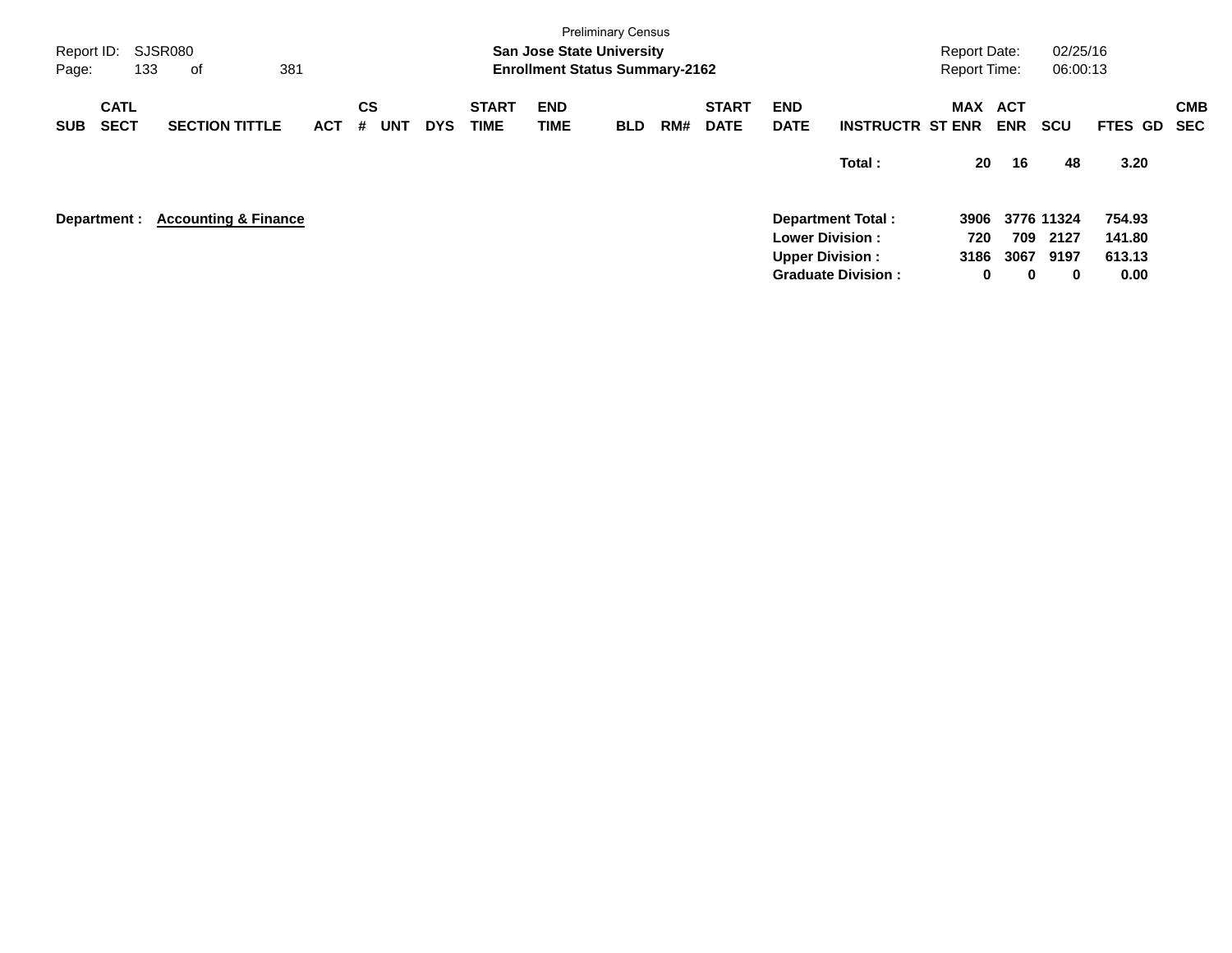| Report ID:<br>Page: |                            | SJSR080<br>133<br>οf            | 381        |                |            |                             | <b>San Jose State University</b><br><b>Enrollment Status Summary-2162</b> | <b>Preliminary Census</b> |     |                             |                           |                           | <b>Report Date:</b><br><b>Report Time:</b> |                          | 02/25/16<br>06:00:13 |                  |                          |
|---------------------|----------------------------|---------------------------------|------------|----------------|------------|-----------------------------|---------------------------------------------------------------------------|---------------------------|-----|-----------------------------|---------------------------|---------------------------|--------------------------------------------|--------------------------|----------------------|------------------|--------------------------|
| <b>SUB</b>          | <b>CATL</b><br><b>SECT</b> | <b>SECTION TITTLE</b>           | <b>ACT</b> | CS<br>UNT<br># | <b>DYS</b> | <b>START</b><br><b>TIME</b> | <b>END</b><br><b>TIME</b>                                                 | <b>BLD</b>                | RM# | <b>START</b><br><b>DATE</b> | <b>END</b><br><b>DATE</b> | <b>INSTRUCTR ST ENR</b>   | MAX                                        | <b>ACT</b><br><b>ENR</b> | <b>SCU</b>           | <b>FTES GD</b>   | <b>CMB</b><br><b>SEC</b> |
|                     |                            |                                 |            |                |            |                             |                                                                           |                           |     |                             |                           | Total:                    | 20                                         | 16                       | 48                   | 3.20             |                          |
|                     | Department :               | <b>Accounting &amp; Finance</b> |            |                |            |                             |                                                                           |                           |     |                             | <b>Lower Division:</b>    | <b>Department Total:</b>  | 3906<br>720                                | 709                      | 3776 11324<br>2127   | 754.93<br>141.80 |                          |
|                     |                            |                                 |            |                |            |                             |                                                                           |                           |     |                             | <b>Upper Division:</b>    | <b>Graduate Division:</b> | 3186<br>0                                  | 3067<br>0                | 9197<br>$\bf{0}$     | 613.13<br>0.00   |                          |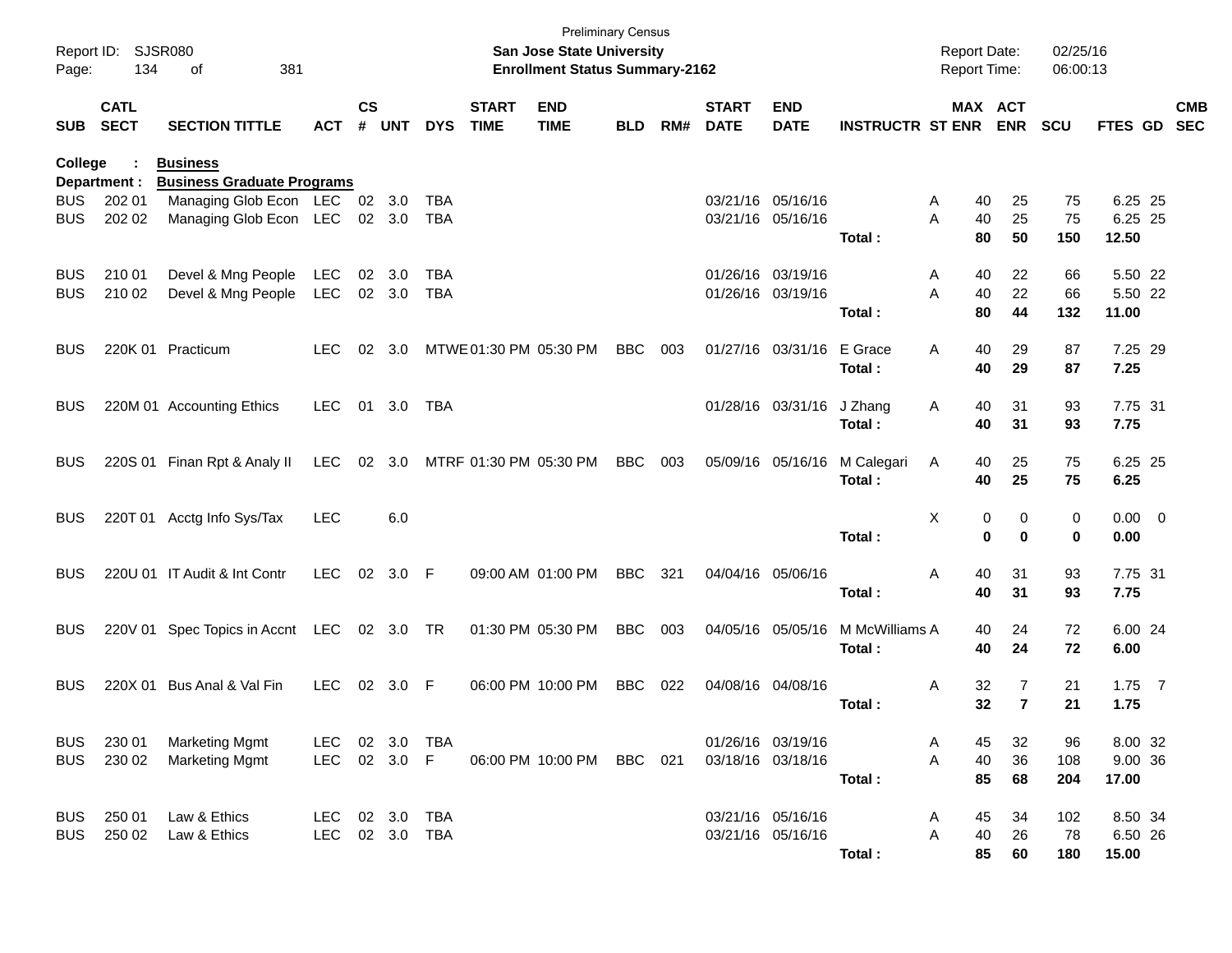| Page:      | Report ID: SJSR080<br>134  | 381<br>οf                                                          |            |                    |            |            |                             | San Jose State University<br><b>Enrollment Status Summary-2162</b> | <b>Preliminary Census</b> |     |                             |                           |                             | <b>Report Date:</b><br><b>Report Time:</b> |                  | 02/25/16<br>06:00:13 |                  |            |
|------------|----------------------------|--------------------------------------------------------------------|------------|--------------------|------------|------------|-----------------------------|--------------------------------------------------------------------|---------------------------|-----|-----------------------------|---------------------------|-----------------------------|--------------------------------------------|------------------|----------------------|------------------|------------|
| <b>SUB</b> | <b>CATL</b><br><b>SECT</b> | <b>SECTION TITTLE</b>                                              | <b>ACT</b> | $\mathsf{cs}$<br># | <b>UNT</b> | <b>DYS</b> | <b>START</b><br><b>TIME</b> | <b>END</b><br><b>TIME</b>                                          | <b>BLD</b>                | RM# | <b>START</b><br><b>DATE</b> | <b>END</b><br><b>DATE</b> | <b>INSTRUCTR ST ENR ENR</b> |                                            | MAX ACT          | <b>SCU</b>           | FTES GD SEC      | <b>CMB</b> |
| College    |                            | <b>Business</b>                                                    |            |                    |            |            |                             |                                                                    |                           |     |                             |                           |                             |                                            |                  |                      |                  |            |
| <b>BUS</b> | Department :<br>202 01     | <b>Business Graduate Programs</b><br>Managing Glob Econ LEC 02 3.0 |            |                    |            | TBA        |                             |                                                                    |                           |     |                             | 03/21/16 05/16/16         |                             | 40<br>A                                    | 25               | 75                   | 6.25 25          |            |
| <b>BUS</b> | 202 02                     | Managing Glob Econ LEC 02 3.0                                      |            |                    |            | TBA        |                             |                                                                    |                           |     |                             | 03/21/16 05/16/16         |                             | 40<br>Α                                    | 25               | 75                   | 6.25 25          |            |
|            |                            |                                                                    |            |                    |            |            |                             |                                                                    |                           |     |                             |                           | Total:                      | 80                                         | 50               | 150                  | 12.50            |            |
| <b>BUS</b> | 210 01                     | Devel & Mng People                                                 | LEC        |                    | 02 3.0     | TBA        |                             |                                                                    |                           |     |                             | 01/26/16 03/19/16         |                             | 40<br>A                                    | 22               | 66                   | 5.50 22          |            |
| <b>BUS</b> | 210 02                     | Devel & Mng People                                                 | LEC        |                    | 02 3.0     | <b>TBA</b> |                             |                                                                    |                           |     |                             | 01/26/16 03/19/16         | Total:                      | 40<br>Α<br>80                              | 22<br>44         | 66<br>132            | 5.50 22<br>11.00 |            |
| <b>BUS</b> |                            | 220K 01 Practicum                                                  | <b>LEC</b> | 02                 | 3.0        |            | MTWE 01:30 PM 05:30 PM      |                                                                    | <b>BBC</b>                | 003 |                             | 01/27/16 03/31/16         | E Grace                     | 40<br>A                                    | 29               | 87                   | 7.25 29          |            |
|            |                            |                                                                    |            |                    |            |            |                             |                                                                    |                           |     |                             |                           | Total:                      | 40                                         | 29               | 87                   | 7.25             |            |
| <b>BUS</b> |                            | 220M 01 Accounting Ethics                                          | <b>LEC</b> |                    | 01 3.0     | TBA        |                             |                                                                    |                           |     |                             | 01/28/16 03/31/16         | J Zhang                     | 40<br>A                                    | 31               | 93                   | 7.75 31          |            |
|            |                            |                                                                    |            |                    |            |            |                             |                                                                    |                           |     |                             |                           | Total:                      | 40                                         | 31               | 93                   | 7.75             |            |
| <b>BUS</b> |                            | 220S 01 Finan Rpt & Analy II                                       | LEC        |                    | 02 3.0     |            | MTRF 01:30 PM 05:30 PM      |                                                                    | <b>BBC</b>                | 003 |                             | 05/09/16 05/16/16         | M Calegari                  | 40<br>A                                    | 25               | 75                   | 6.25 25          |            |
|            |                            |                                                                    |            |                    |            |            |                             |                                                                    |                           |     |                             |                           | Total:                      | 40                                         | 25               | 75                   | 6.25             |            |
| <b>BUS</b> |                            | 220T 01 Acctg Info Sys/Tax                                         | <b>LEC</b> |                    | 6.0        |            |                             |                                                                    |                           |     |                             |                           |                             | х                                          | 0<br>0           | 0                    | $0.00 \t 0$      |            |
|            |                            |                                                                    |            |                    |            |            |                             |                                                                    |                           |     |                             |                           | Total:                      |                                            | 0<br>$\mathbf 0$ | 0                    | 0.00             |            |
| <b>BUS</b> |                            | 220U 01 IT Audit & Int Contr                                       | <b>LEC</b> |                    | 02 3.0 F   |            |                             | 09:00 AM 01:00 PM                                                  | <b>BBC</b>                | 321 |                             | 04/04/16 05/06/16         |                             | 40<br>Α                                    | 31               | 93                   | 7.75 31          |            |
|            |                            |                                                                    |            |                    |            |            |                             |                                                                    |                           |     |                             |                           | Total:                      | 40                                         | 31               | 93                   | 7.75             |            |
| <b>BUS</b> |                            | 220V 01 Spec Topics in Accnt LEC 02 3.0 TR                         |            |                    |            |            |                             | 01:30 PM 05:30 PM                                                  | <b>BBC</b>                | 003 |                             | 04/05/16 05/05/16         | M McWilliams A              | 40                                         | 24               | 72                   | 6.00 24          |            |
|            |                            |                                                                    |            |                    |            |            |                             |                                                                    |                           |     |                             |                           | Total:                      | 40                                         | 24               | 72                   | 6.00             |            |
| <b>BUS</b> |                            | 220X 01 Bus Anal & Val Fin                                         | <b>LEC</b> |                    | 02 3.0 F   |            |                             | 06:00 PM 10:00 PM                                                  | <b>BBC</b>                | 022 |                             | 04/08/16 04/08/16         |                             | 32<br>A                                    | 7                | 21                   | $1.75$ 7         |            |
|            |                            |                                                                    |            |                    |            |            |                             |                                                                    |                           |     |                             |                           | Total:                      | 32                                         | $\overline{7}$   | 21                   | 1.75             |            |
| <b>BUS</b> | 230 01                     | <b>Marketing Mgmt</b>                                              | LEC        |                    | 02 3.0     | TBA        |                             |                                                                    |                           |     |                             | 01/26/16 03/19/16         |                             | Α<br>45                                    | 32               | 96                   | 8.00 32          |            |
| BUS        | 230 02                     | <b>Marketing Mgmt</b>                                              | LEC        |                    | 02 3.0 F   |            |                             | 06:00 PM 10:00 PM BBC 021                                          |                           |     |                             | 03/18/16 03/18/16         |                             | 40<br>Α                                    | 36               | 108                  | 9.00 36          |            |
|            |                            |                                                                    |            |                    |            |            |                             |                                                                    |                           |     |                             |                           | Total:                      | 85                                         | 68               | 204                  | 17.00            |            |
| BUS        | 250 01                     | Law & Ethics                                                       | LEC 02 3.0 |                    |            | <b>TBA</b> |                             |                                                                    |                           |     |                             | 03/21/16 05/16/16         |                             | 45<br>A                                    | 34               | 102                  | 8.50 34          |            |
| BUS        | 250 02                     | Law & Ethics                                                       | <b>LEC</b> |                    |            | 02 3.0 TBA |                             |                                                                    |                           |     |                             | 03/21/16 05/16/16         |                             | 40<br>Α                                    | 26               | 78                   | 6.50 26          |            |
|            |                            |                                                                    |            |                    |            |            |                             |                                                                    |                           |     |                             |                           | Total:                      | 85                                         | 60               | 180                  | 15.00            |            |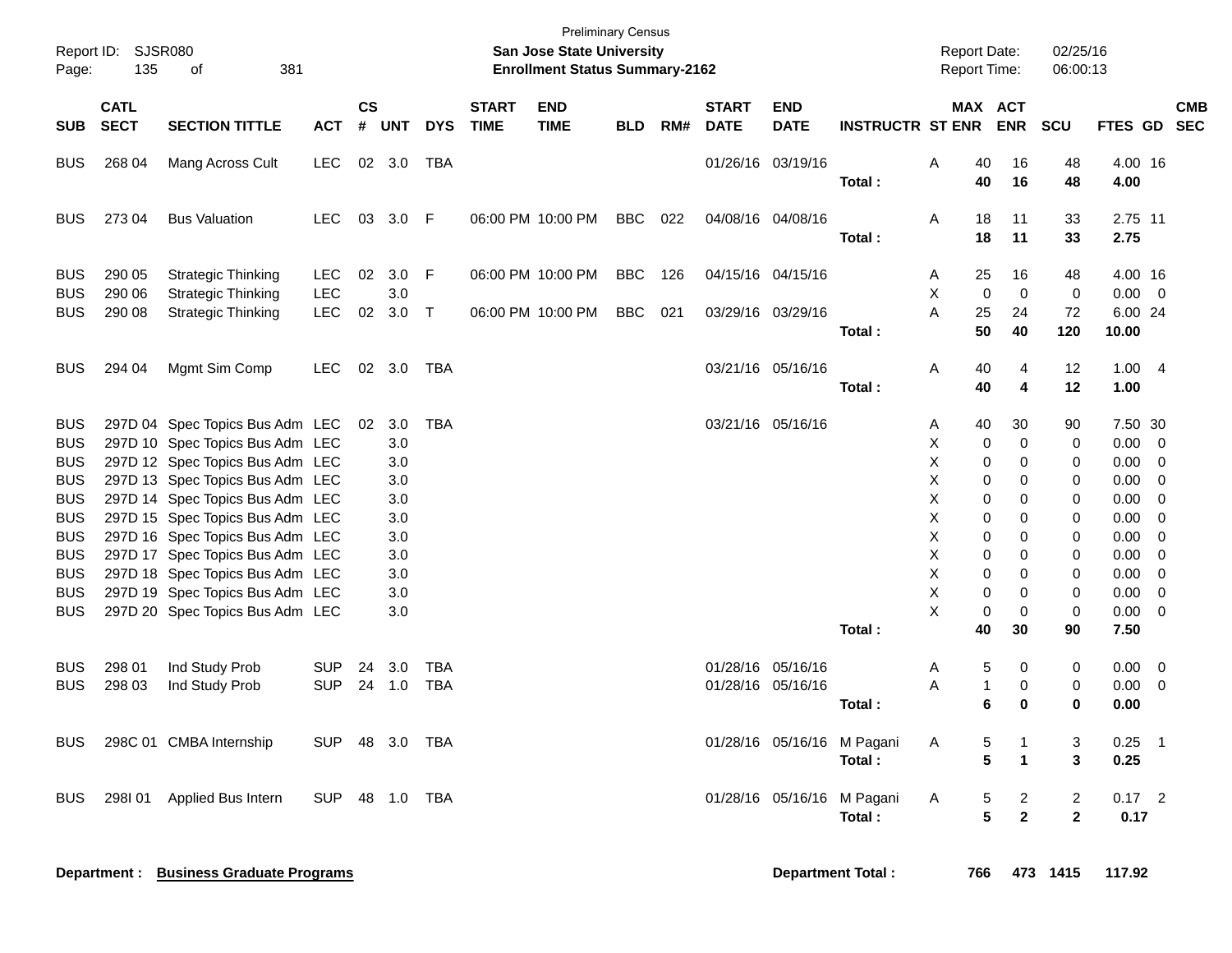| Page:                                  | Report ID:<br><b>SJSR080</b><br>135<br>381<br>of |                                                                                                       |                          |                |                   |                          |                             | San Jose State University<br><b>Enrollment Status Summary-2162</b> | <b>Preliminary Census</b> |     |                             |                                        |                                      | <b>Report Date:</b><br>Report Time: |                         | 02/25/16<br>06:00:13                      |                      |                                                     |            |
|----------------------------------------|--------------------------------------------------|-------------------------------------------------------------------------------------------------------|--------------------------|----------------|-------------------|--------------------------|-----------------------------|--------------------------------------------------------------------|---------------------------|-----|-----------------------------|----------------------------------------|--------------------------------------|-------------------------------------|-------------------------|-------------------------------------------|----------------------|-----------------------------------------------------|------------|
| <b>SUB</b>                             | <b>CATL</b><br><b>SECT</b>                       | <b>SECTION TITTLE</b>                                                                                 | <b>ACT</b>               | <b>CS</b><br># | <b>UNT</b>        | <b>DYS</b>               | <b>START</b><br><b>TIME</b> | <b>END</b><br><b>TIME</b>                                          | <b>BLD</b>                | RM# | <b>START</b><br><b>DATE</b> | <b>END</b><br><b>DATE</b>              | <b>INSTRUCTR ST ENR</b>              | MAX ACT                             | <b>ENR</b>              | <b>SCU</b>                                | FTES GD SEC          |                                                     | <b>CMB</b> |
| <b>BUS</b>                             | 268 04                                           | Mang Across Cult                                                                                      | <b>LEC</b>               |                | 02 3.0            | <b>TBA</b>               |                             |                                                                    |                           |     |                             | 01/26/16 03/19/16                      | Total:                               | Α<br>40<br>40                       | 16<br>16                | 48<br>48                                  | 4.00 16<br>4.00      |                                                     |            |
| <b>BUS</b>                             | 273 04                                           | <b>Bus Valuation</b>                                                                                  | <b>LEC</b>               | 03             | 3.0               | F                        |                             | 06:00 PM 10:00 PM                                                  | <b>BBC</b>                | 022 |                             | 04/08/16 04/08/16                      | Total:                               | A<br>18<br>18                       | 11<br>11                | 33<br>33                                  | 2.75 11<br>2.75      |                                                     |            |
| <b>BUS</b><br><b>BUS</b>               | 290 05<br>290 06                                 | <b>Strategic Thinking</b><br><b>Strategic Thinking</b>                                                | <b>LEC</b><br><b>LEC</b> | 02             | 3.0<br>3.0        | F                        |                             | 06:00 PM 10:00 PM                                                  | <b>BBC</b>                | 126 |                             | 04/15/16 04/15/16                      |                                      | 25<br>A<br>X<br>0                   | 16<br>$\mathbf 0$       | 48<br>0                                   | 4.00 16<br>0.00      | $\overline{\phantom{0}}$                            |            |
| <b>BUS</b>                             | 290 08                                           | <b>Strategic Thinking</b>                                                                             | <b>LEC</b>               | 02             | 3.0               | $\top$                   |                             | 06:00 PM 10:00 PM                                                  | <b>BBC</b>                | 021 |                             | 03/29/16 03/29/16                      | Total:                               | 25<br>A<br>50                       | 24<br>40                | 72<br>120                                 | 6.00 24<br>10.00     |                                                     |            |
| <b>BUS</b>                             | 294 04                                           | Mgmt Sim Comp                                                                                         | <b>LEC</b>               | 02             | 3.0               | TBA                      |                             |                                                                    |                           |     |                             | 03/21/16 05/16/16                      | Total:                               | Α<br>40<br>40                       | 4<br>4                  | 12<br>12                                  | 1.004<br>1.00        |                                                     |            |
| <b>BUS</b><br><b>BUS</b>               |                                                  | 297D 04 Spec Topics Bus Adm LEC<br>297D 10 Spec Topics Bus Adm LEC                                    |                          | 02             | 3.0<br>3.0        | <b>TBA</b>               |                             |                                                                    |                           |     |                             | 03/21/16 05/16/16                      |                                      | 40<br>A<br>X<br>0                   | 30<br>$\mathbf 0$       | 90<br>0                                   | 7.50 30<br>0.00      | $\overline{\phantom{0}}$                            |            |
| <b>BUS</b><br><b>BUS</b><br><b>BUS</b> |                                                  | 297D 12 Spec Topics Bus Adm LEC<br>297D 13 Spec Topics Bus Adm LEC<br>297D 14 Spec Topics Bus Adm LEC |                          |                | 3.0<br>3.0<br>3.0 |                          |                             |                                                                    |                           |     |                             |                                        |                                      | X<br>0<br>X<br>0<br>X<br>0          | 0<br>0<br>0             | 0<br>0<br>0                               | 0.00<br>0.00<br>0.00 | 0<br>0<br>0                                         |            |
| <b>BUS</b><br><b>BUS</b>               |                                                  | 297D 15 Spec Topics Bus Adm LEC<br>297D 16 Spec Topics Bus Adm LEC                                    |                          |                | 3.0<br>3.0        |                          |                             |                                                                    |                           |     |                             |                                        |                                      | X<br>0<br>X<br>0                    | 0<br>0                  | 0<br>0                                    | 0.00<br>0.00         | 0<br>0                                              |            |
| <b>BUS</b><br><b>BUS</b><br><b>BUS</b> |                                                  | 297D 17 Spec Topics Bus Adm LEC<br>297D 18 Spec Topics Bus Adm LEC<br>297D 19 Spec Topics Bus Adm LEC |                          |                | 3.0<br>3.0<br>3.0 |                          |                             |                                                                    |                           |     |                             |                                        |                                      | X<br>0<br>X<br>0<br>X<br>0          | 0<br>0<br>0             | 0<br>0<br>0                               | 0.00<br>0.00<br>0.00 | 0<br>0<br>0                                         |            |
| <b>BUS</b>                             |                                                  | 297D 20 Spec Topics Bus Adm LEC                                                                       |                          |                | 3.0               |                          |                             |                                                                    |                           |     |                             |                                        | Total:                               | X<br>0<br>40                        | 0<br>30                 | 0<br>90                                   | 0.00<br>7.50         | $\mathbf 0$                                         |            |
| <b>BUS</b><br><b>BUS</b>               | 298 01<br>298 03                                 | Ind Study Prob<br>Ind Study Prob                                                                      | <b>SUP</b><br><b>SUP</b> | 24<br>24       | 3.0<br>1.0        | <b>TBA</b><br><b>TBA</b> |                             |                                                                    |                           |     |                             | 01/28/16 05/16/16<br>01/28/16 05/16/16 |                                      | 5<br>Α<br>Α<br>1                    | 0<br>0                  | 0<br>0                                    | 0.00<br>0.00         | $\overline{\phantom{0}}$<br>$\overline{\mathbf{0}}$ |            |
|                                        |                                                  | BUS 298C 01 CMBA Internship                                                                           | SUP 48 3.0 TBA           |                |                   |                          |                             |                                                                    |                           |     |                             |                                        | Total:<br>01/28/16 05/16/16 M Pagani | 6<br>A<br>5                         | 0                       | 0<br>3                                    | 0.00<br>$0.25$ 1     |                                                     |            |
|                                        |                                                  |                                                                                                       |                          |                |                   |                          |                             |                                                                    |                           |     |                             |                                        | Total:                               | 5                                   | $\blacktriangleleft$    | 3                                         | 0.25                 |                                                     |            |
|                                        |                                                  | BUS 2981 01 Applied Bus Intern                                                                        | SUP 48 1.0 TBA           |                |                   |                          |                             |                                                                    |                           |     |                             |                                        | 01/28/16 05/16/16 M Pagani<br>Total: | $\mathsf{A}$                        | 5<br>$\frac{2}{2}$<br>5 | $\overline{\mathbf{c}}$<br>$\overline{2}$ | $0.17$ 2<br>0.17     |                                                     |            |
|                                        |                                                  | Department : Business Graduate Programs                                                               |                          |                |                   |                          |                             |                                                                    |                           |     |                             |                                        | <b>Department Total:</b>             | 766                                 |                         | 473 1415                                  | 117.92               |                                                     |            |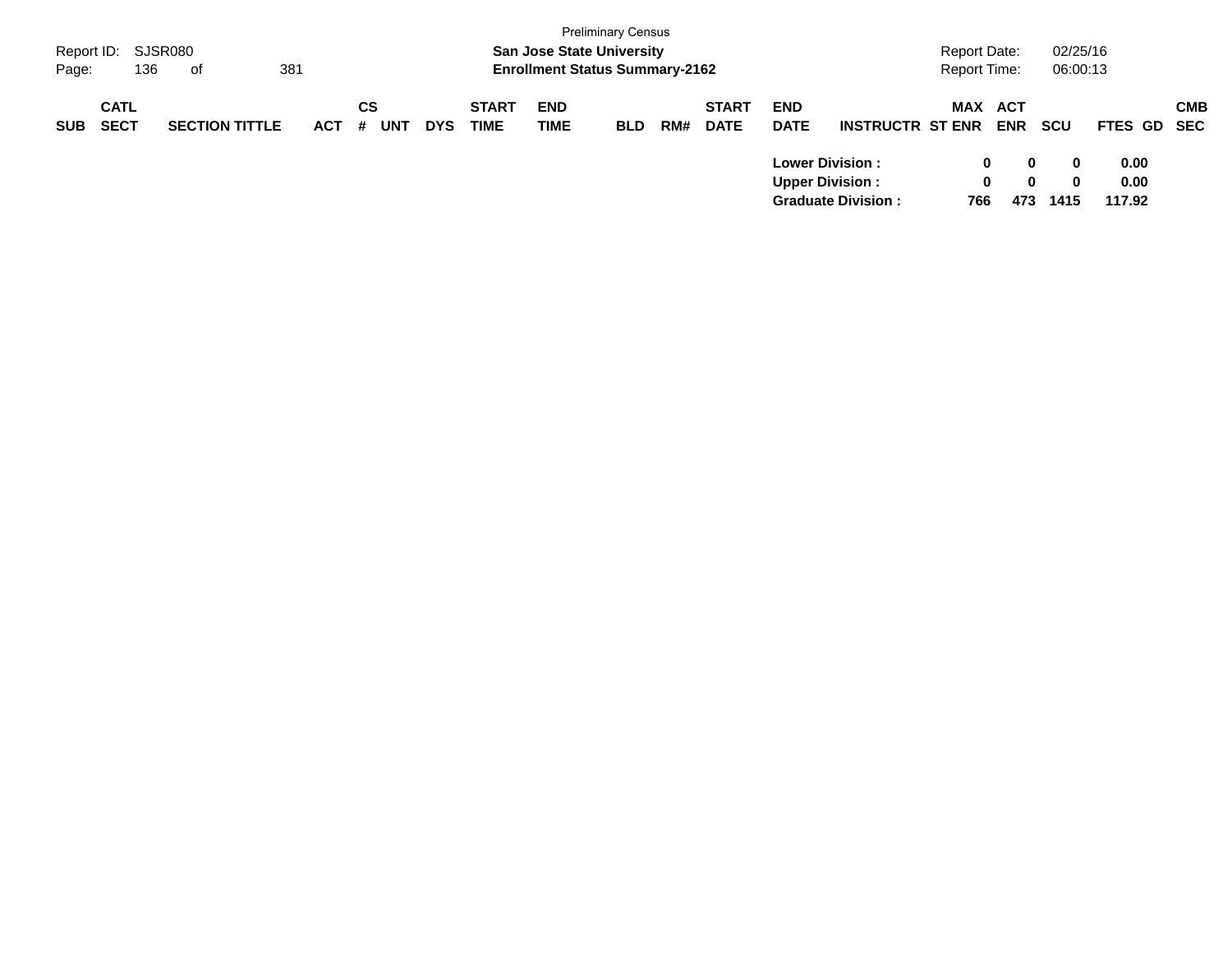| Report ID:<br>Page: | 136                        | SJSR080<br>381<br>of  |            |                |            |                             | <b>San Jose State University</b><br><b>Enrollment Status Summary-2162</b> | <b>Preliminary Census</b> |     |                             |                                                  |                           | Report Date:<br>Report Time: |               | 02/25/16<br>06:00:13         |                        |            |
|---------------------|----------------------------|-----------------------|------------|----------------|------------|-----------------------------|---------------------------------------------------------------------------|---------------------------|-----|-----------------------------|--------------------------------------------------|---------------------------|------------------------------|---------------|------------------------------|------------------------|------------|
| <b>SUB</b>          | <b>CATL</b><br><b>SECT</b> | <b>SECTION TITTLE</b> | <b>ACT</b> | CS<br>UNT<br># | <b>DYS</b> | <b>START</b><br><b>TIME</b> | <b>END</b><br><b>TIME</b>                                                 | <b>BLD</b>                | RM# | <b>START</b><br><b>DATE</b> | <b>END</b><br><b>DATE</b>                        | <b>INSTRUCTR ST ENR</b>   | MAX ACT                      | <b>ENR</b>    | <b>SCU</b>                   | FTES GD SEC            | <b>CMB</b> |
|                     |                            |                       |            |                |            |                             |                                                                           |                           |     |                             | <b>Lower Division:</b><br><b>Upper Division:</b> | <b>Graduate Division:</b> | 0<br>$\bf{0}$<br>766         | 0<br>0<br>473 | $\bf{0}$<br>$\bf{0}$<br>1415 | 0.00<br>0.00<br>117.92 |            |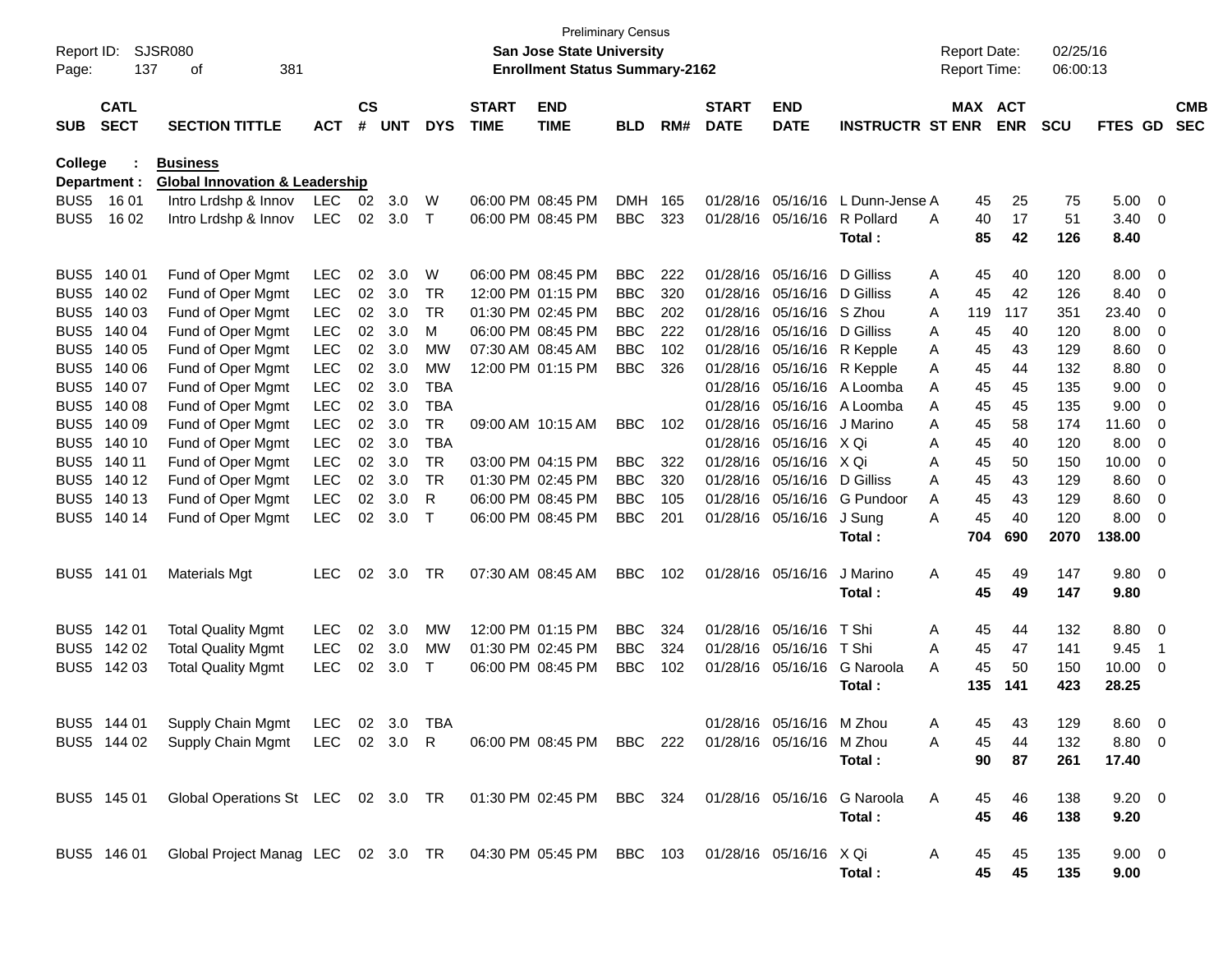| Report ID:<br>Page: | 137                        | SJSR080<br>381<br>οf                                                                                 |            |                    |            |             |                             | <b>Preliminary Census</b><br><b>San Jose State University</b><br><b>Enrollment Status Summary-2162</b> |            |     |                             |                           |                         |   | <b>Report Date:</b><br>Report Time: |            | 02/25/16<br>06:00:13 |                |                         |                          |
|---------------------|----------------------------|------------------------------------------------------------------------------------------------------|------------|--------------------|------------|-------------|-----------------------------|--------------------------------------------------------------------------------------------------------|------------|-----|-----------------------------|---------------------------|-------------------------|---|-------------------------------------|------------|----------------------|----------------|-------------------------|--------------------------|
| <b>SUB</b>          | <b>CATL</b><br><b>SECT</b> | <b>SECTION TITTLE</b>                                                                                | <b>ACT</b> | $\mathsf{cs}$<br># | <b>UNT</b> | <b>DYS</b>  | <b>START</b><br><b>TIME</b> | <b>END</b><br><b>TIME</b>                                                                              | <b>BLD</b> | RM# | <b>START</b><br><b>DATE</b> | <b>END</b><br><b>DATE</b> | <b>INSTRUCTR ST ENR</b> |   | MAX ACT                             | <b>ENR</b> | <b>SCU</b>           | FTES GD        |                         | <b>CMB</b><br><b>SEC</b> |
| College             |                            | <b>Business</b>                                                                                      |            |                    |            |             |                             |                                                                                                        |            |     |                             |                           |                         |   |                                     |            |                      |                |                         |                          |
|                     | Department :               | <b>Global Innovation &amp; Leadership</b>                                                            |            |                    |            |             |                             |                                                                                                        |            |     |                             |                           |                         |   |                                     |            |                      |                |                         |                          |
| BUS <sub>5</sub>    | 16 01                      | Intro Lrdshp & Innov                                                                                 | <b>LEC</b> | 02                 | 3.0        | W           |                             | 06:00 PM 08:45 PM                                                                                      | <b>DMH</b> | 165 | 01/28/16                    | 05/16/16                  | L Dunn-Jense A          |   | 45                                  | 25         | 75                   | 5.00           | $\overline{\mathbf{0}}$ |                          |
| BUS <sub>5</sub>    | 16 02                      | Intro Lrdshp & Innov                                                                                 | <b>LEC</b> | 02                 | 3.0        | $\top$      |                             | 06:00 PM 08:45 PM                                                                                      | <b>BBC</b> | 323 | 01/28/16                    | 05/16/16                  | R Pollard<br>Total:     | A | 40<br>85                            | 17<br>42   | 51<br>126            | 3.40<br>8.40   | 0                       |                          |
| BUS <sub>5</sub>    | 140 01                     | Fund of Oper Mgmt                                                                                    | <b>LEC</b> | 02                 | 3.0        | W           |                             | 06:00 PM 08:45 PM                                                                                      | <b>BBC</b> | 222 | 01/28/16                    | 05/16/16                  | D Gilliss               | A | 45                                  | 40         | 120                  | 8.00           | 0                       |                          |
| BUS <sub>5</sub>    | 140 02                     | Fund of Oper Mgmt                                                                                    | <b>LEC</b> | 02                 | 3.0        | TR          |                             | 12:00 PM 01:15 PM                                                                                      | <b>BBC</b> | 320 | 01/28/16                    | 05/16/16                  | D Gilliss               | A | 45                                  | 42         | 126                  | 8.40           | 0                       |                          |
| BUS <sub>5</sub>    | 140 03                     | Fund of Oper Mgmt                                                                                    | <b>LEC</b> | 02                 | 3.0        | TR          |                             | 01:30 PM 02:45 PM                                                                                      | <b>BBC</b> | 202 | 01/28/16                    | 05/16/16                  | S Zhou                  | A | 119                                 | 117        | 351                  | 23.40          | 0                       |                          |
| BUS <sub>5</sub>    | 140 04                     | Fund of Oper Mgmt                                                                                    | <b>LEC</b> | 02                 | 3.0        | м           |                             | 06:00 PM 08:45 PM                                                                                      | <b>BBC</b> | 222 | 01/28/16                    | 05/16/16                  | D Gilliss               | A | 45                                  | 40         | 120                  | 8.00           | 0                       |                          |
| BUS <sub>5</sub>    | 140 05                     | Fund of Oper Mgmt                                                                                    | <b>LEC</b> | 02                 | 3.0        | МW          | 07:30 AM 08:45 AM           |                                                                                                        | <b>BBC</b> | 102 | 01/28/16                    | 05/16/16                  | R Kepple                | A | 45                                  | 43         | 129                  | 8.60           | 0                       |                          |
| BUS <sub>5</sub>    | 140 06                     | Fund of Oper Mgmt                                                                                    | <b>LEC</b> | 02                 | 3.0        | MW          |                             | 12:00 PM 01:15 PM                                                                                      | <b>BBC</b> | 326 | 01/28/16                    | 05/16/16                  | R Kepple                | A | 45                                  | 44         | 132                  | 8.80           | 0                       |                          |
| BUS <sub>5</sub>    | 140 07                     | Fund of Oper Mgmt                                                                                    | <b>LEC</b> | 02                 | 3.0        | <b>TBA</b>  |                             |                                                                                                        |            |     | 01/28/16                    | 05/16/16                  | A Loomba                | A | 45                                  | 45         | 135                  | 9.00           | 0                       |                          |
| BUS <sub>5</sub>    | 140 08                     | Fund of Oper Mgmt                                                                                    | <b>LEC</b> | 02                 | 3.0        | <b>TBA</b>  |                             |                                                                                                        |            |     | 01/28/16                    | 05/16/16                  | A Loomba                | A | 45                                  | 45         | 135                  | 9.00           | 0                       |                          |
| BUS <sub>5</sub>    | 140 09                     | Fund of Oper Mgmt                                                                                    | <b>LEC</b> | 02                 | 3.0        | <b>TR</b>   | 09:00 AM 10:15 AM           |                                                                                                        | <b>BBC</b> | 102 | 01/28/16                    | 05/16/16                  | J Marino                | A | 45                                  | 58         | 174                  | 11.60          | 0                       |                          |
| BUS <sub>5</sub>    | 140 10                     | Fund of Oper Mgmt                                                                                    | <b>LEC</b> | 02                 | 3.0        | <b>TBA</b>  |                             |                                                                                                        |            |     | 01/28/16                    | 05/16/16                  | X Qi                    | Α | 45                                  | 40         | 120                  | 8.00           | 0                       |                          |
| BUS <sub>5</sub>    | 140 11                     | Fund of Oper Mgmt                                                                                    | <b>LEC</b> | 02                 | 3.0        | TR          |                             | 03:00 PM 04:15 PM                                                                                      | <b>BBC</b> | 322 | 01/28/16                    | 05/16/16                  | X Qi                    | A | 45                                  | 50         | 150                  | 10.00          | 0                       |                          |
| BUS <sub>5</sub>    | 140 12                     | Fund of Oper Mgmt                                                                                    | <b>LEC</b> | 02                 | 3.0        | TR          | 01:30 PM 02:45 PM           |                                                                                                        | <b>BBC</b> | 320 | 01/28/16                    | 05/16/16                  | D Gilliss               | A | 45                                  | 43         | 129                  | 8.60           | 0                       |                          |
| BUS <sub>5</sub>    | 140 13                     | Fund of Oper Mgmt                                                                                    | <b>LEC</b> | 02                 | 3.0        | R           |                             | 06:00 PM 08:45 PM                                                                                      | <b>BBC</b> | 105 | 01/28/16                    | 05/16/16                  | G Pundoor               | A | 45                                  | 43         | 129                  | 8.60           | 0                       |                          |
| BUS <sub>5</sub>    | 140 14                     | Fund of Oper Mgmt                                                                                    | <b>LEC</b> | 02                 | 3.0        | $\mathsf T$ |                             | 06:00 PM 08:45 PM                                                                                      | <b>BBC</b> | 201 | 01/28/16                    | 05/16/16                  | J Sung<br>Total:        | A | 45<br>704                           | 40<br>690  | 120<br>2070          | 8.00<br>138.00 | 0                       |                          |
| BUS <sub>5</sub>    | 141 01                     | <b>Materials Mgt</b>                                                                                 | <b>LEC</b> | 02                 | 3.0        | TR          | 07:30 AM 08:45 AM           |                                                                                                        | <b>BBC</b> | 102 | 01/28/16                    | 05/16/16                  | J Marino                | Α | 45                                  | 49         | 147                  | 9.80           | $\overline{0}$          |                          |
|                     |                            |                                                                                                      |            |                    |            |             |                             |                                                                                                        |            |     |                             |                           | Total:                  |   | 45                                  | 49         | 147                  | 9.80           |                         |                          |
| BUS <sub>5</sub>    | 14201                      | <b>Total Quality Mgmt</b>                                                                            | <b>LEC</b> | 02                 | 3.0        | MW          |                             | 12:00 PM 01:15 PM                                                                                      | <b>BBC</b> | 324 | 01/28/16                    | 05/16/16                  | T Shi                   | Α | 45                                  | 44         | 132                  | 8.80           | $\overline{0}$          |                          |
| BUS <sub>5</sub>    | 142 02                     | <b>Total Quality Mgmt</b>                                                                            | LEC        | 02                 | 3.0        | MW          | 01:30 PM 02:45 PM           |                                                                                                        | <b>BBC</b> | 324 | 01/28/16                    | 05/16/16                  | T Shi                   | A | 45                                  | 47         | 141                  | 9.45           | $\mathbf 1$             |                          |
| BUS <sub>5</sub>    | 142 03                     | <b>Total Quality Mgmt</b>                                                                            | <b>LEC</b> | 02                 | 3.0        | Т           |                             | 06:00 PM 08:45 PM                                                                                      | <b>BBC</b> | 102 | 01/28/16                    | 05/16/16                  | G Naroola<br>Total :    | A | 45<br>135                           | 50<br>141  | 150<br>423           | 10.00<br>28.25 | 0                       |                          |
| BUS5                | 144 01                     | Supply Chain Mgmt LEC 02 3.0                                                                         |            |                    |            | TBA         |                             |                                                                                                        |            |     |                             | 01/28/16 05/16/16 M 7hou  |                         | A | 45                                  | 43.        | 129                  | 8.60           | - 0                     |                          |
|                     |                            | BUS5 144 02 Supply Chain Mgmt LEC 02 3.0 R                                                           |            |                    |            |             |                             | 06:00 PM 08:45 PM BBC 222 01/28/16 05/16/16 M Zhou                                                     |            |     |                             |                           |                         | A | 45                                  | 44         | 132                  | 8.80 0         |                         |                          |
|                     |                            |                                                                                                      |            |                    |            |             |                             |                                                                                                        |            |     |                             |                           | Total:                  |   | 90                                  | 87         | 261                  | 17.40          |                         |                          |
|                     |                            | BUS5 145 01 Global Operations St LEC 02 3.0 TR 01:30 PM 02:45 PM BBC 324 01/28/16 05/16/16 G Naroola |            |                    |            |             |                             |                                                                                                        |            |     |                             |                           |                         | A | 45                                  | 46         | 138                  | $9.20 \quad 0$ |                         |                          |
|                     |                            |                                                                                                      |            |                    |            |             |                             |                                                                                                        |            |     |                             |                           | Total:                  |   | 45                                  | 46         | 138                  | 9.20           |                         |                          |
|                     |                            | BUS5 146 01 Global Project Manag LEC 02 3.0 TR 04:30 PM 05:45 PM BBC 103 01/28/16 05/16/16 X Qi      |            |                    |            |             |                             |                                                                                                        |            |     |                             |                           |                         | A | 45                                  | 45         | 135                  | $9.00 \t 0$    |                         |                          |
|                     |                            |                                                                                                      |            |                    |            |             |                             |                                                                                                        |            |     |                             |                           | Total:                  |   | 45                                  | 45         | 135                  | 9.00           |                         |                          |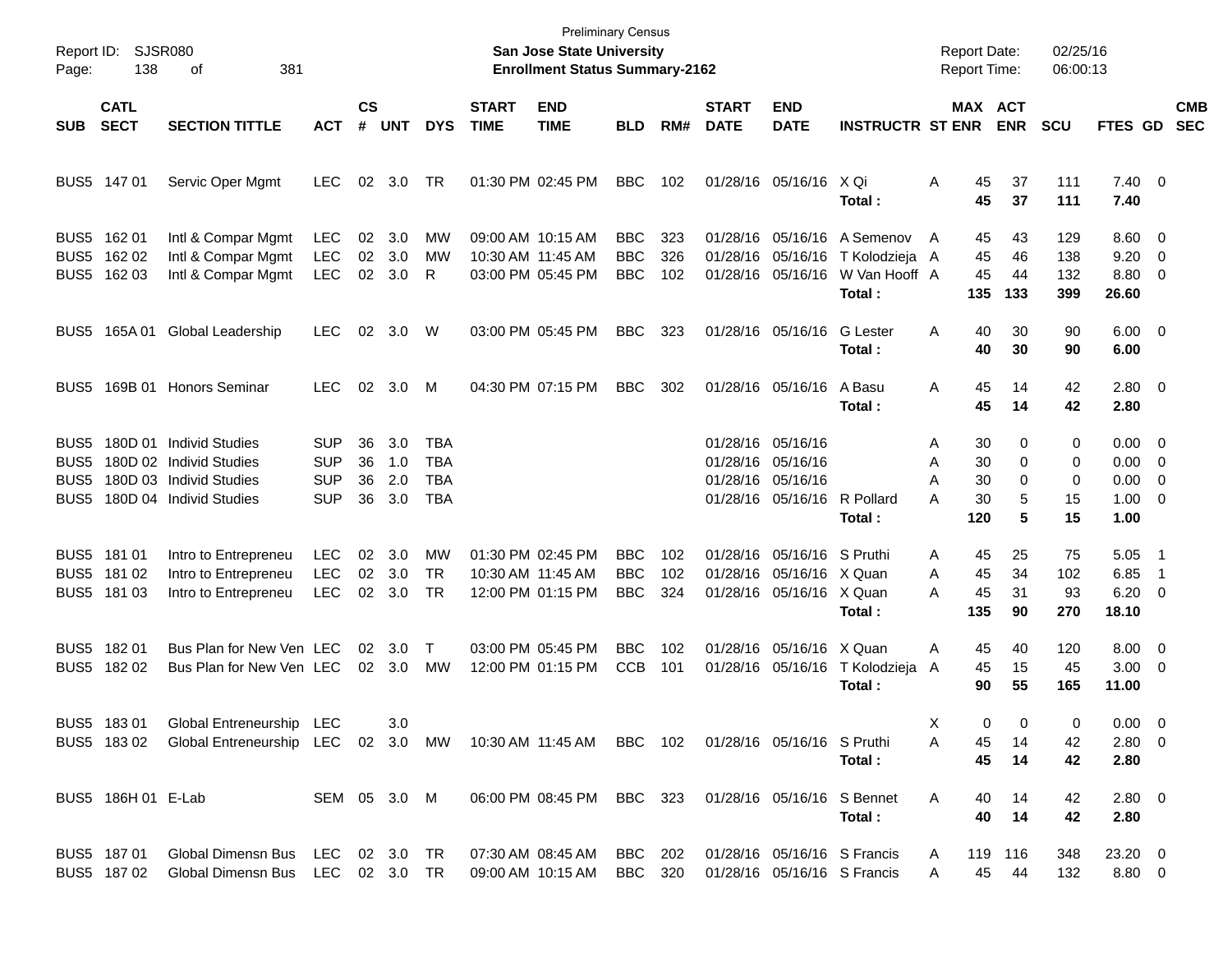| Page:                        | Report ID: SJSR080<br>138                 | 381<br>οf                                                                                                |                                                      |                      |                          |                                               |                             | San Jose State University<br><b>Enrollment Status Summary-2162</b> | <b>Preliminary Census</b>       |                   |                             |                                                                                            |                                                        | <b>Report Date:</b><br><b>Report Time:</b> |                                               | 02/25/16<br>06:00:13     |                                                                  |                                                   |                          |
|------------------------------|-------------------------------------------|----------------------------------------------------------------------------------------------------------|------------------------------------------------------|----------------------|--------------------------|-----------------------------------------------|-----------------------------|--------------------------------------------------------------------|---------------------------------|-------------------|-----------------------------|--------------------------------------------------------------------------------------------|--------------------------------------------------------|--------------------------------------------|-----------------------------------------------|--------------------------|------------------------------------------------------------------|---------------------------------------------------|--------------------------|
| <b>SUB</b>                   | <b>CATL</b><br><b>SECT</b>                | <b>SECTION TITTLE</b>                                                                                    | <b>ACT</b>                                           | $\mathsf{cs}$<br>#   | <b>UNT</b>               | <b>DYS</b>                                    | <b>START</b><br><b>TIME</b> | <b>END</b><br><b>TIME</b>                                          | <b>BLD</b>                      | RM#               | <b>START</b><br><b>DATE</b> | <b>END</b><br><b>DATE</b>                                                                  | <b>INSTRUCTR ST ENR</b>                                |                                            | <b>MAX ACT</b><br><b>ENR</b>                  | <b>SCU</b>               | FTES GD                                                          |                                                   | <b>CMB</b><br><b>SEC</b> |
|                              | BUS5 147 01                               | Servic Oper Mgmt                                                                                         | LEC.                                                 |                      | 02 3.0                   | TR.                                           |                             | 01:30 PM 02:45 PM                                                  | <b>BBC</b>                      | 102               |                             | 01/28/16 05/16/16 X Qi                                                                     | Total:                                                 | A                                          | 45<br>37<br>45<br>37                          | 111<br>111               | $7.40 \quad 0$<br>7.40                                           |                                                   |                          |
|                              | BUS5 162 01<br>BUS5 162 02<br>BUS5 162 03 | Intl & Compar Mgmt<br>Intl & Compar Mgmt<br>Intl & Compar Mgmt                                           | <b>LEC</b><br><b>LEC</b><br><b>LEC</b>               | 02<br>02<br>02       | 3.0<br>3.0<br>3.0        | MW<br>MW<br>R                                 |                             | 09:00 AM 10:15 AM<br>10:30 AM 11:45 AM<br>03:00 PM 05:45 PM        | BBC<br><b>BBC</b><br><b>BBC</b> | 323<br>326<br>102 |                             | 01/28/16 05/16/16<br>01/28/16 05/16/16<br>01/28/16 05/16/16                                | A Semenov<br>T Kolodzieja A<br>W Van Hooff A<br>Total: | A<br>135                                   | 45<br>43<br>45<br>46<br>45<br>44<br>133       | 129<br>138<br>132<br>399 | $8.60 \quad 0$<br>9.20<br>8.80 0<br>26.60                        | - 0                                               |                          |
|                              |                                           | BUS5 165A 01 Global Leadership                                                                           | <b>LEC</b>                                           | 02                   | 3.0                      | W                                             |                             | 03:00 PM 05:45 PM                                                  | BBC                             | 323               |                             | 01/28/16 05/16/16                                                                          | <b>G</b> Lester<br>Total:                              | A                                          | 30<br>40<br>40<br>30                          | 90<br>90                 | $6.00 \quad 0$<br>6.00                                           |                                                   |                          |
|                              |                                           | BUS5 169B 01 Honors Seminar                                                                              | <b>LEC</b>                                           | 02                   | 3.0                      | M                                             |                             | 04:30 PM 07:15 PM                                                  | <b>BBC</b>                      | 302               |                             | 01/28/16 05/16/16                                                                          | A Basu<br>Total:                                       | A                                          | 45<br>14<br>45<br>14                          | 42<br>42                 | $2.80 \t 0$<br>2.80                                              |                                                   |                          |
| BUS5<br>BUS5<br>BUS5<br>BUS5 |                                           | 180D 01 Individ Studies<br>180D 02 Individ Studies<br>180D 03 Individ Studies<br>180D 04 Individ Studies | <b>SUP</b><br><b>SUP</b><br><b>SUP</b><br><b>SUP</b> | 36<br>36<br>36<br>36 | 3.0<br>1.0<br>2.0<br>3.0 | TBA<br><b>TBA</b><br><b>TBA</b><br><b>TBA</b> |                             |                                                                    |                                 |                   |                             | 01/28/16 05/16/16<br>01/28/16 05/16/16<br>01/28/16 05/16/16<br>01/28/16 05/16/16 R Pollard | Total:                                                 | Α<br>Α<br>А<br>А<br>120                    | 30<br>0<br>30<br>0<br>30<br>0<br>5<br>30<br>5 | 0<br>0<br>0<br>15<br>15  | $0.00 \t 0$<br>$0.00 \t 0$<br>$0.00 \t 0$<br>$1.00 \t 0$<br>1.00 |                                                   |                          |
|                              | BUS5 181 01<br>BUS5 181 02<br>BUS5 181 03 | Intro to Entrepreneu<br>Intro to Entrepreneu<br>Intro to Entrepreneu                                     | <b>LEC</b><br><b>LEC</b><br><b>LEC</b>               | 02<br>02<br>02       | 3.0<br>3.0<br>3.0        | МW<br><b>TR</b><br><b>TR</b>                  |                             | 01:30 PM 02:45 PM<br>10:30 AM 11:45 AM<br>12:00 PM 01:15 PM        | BBC<br><b>BBC</b><br><b>BBC</b> | 102<br>102<br>324 |                             | 01/28/16 05/16/16 S Pruthi<br>01/28/16 05/16/16 X Quan<br>01/28/16 05/16/16 X Quan         | Total:                                                 | Α<br>A<br>А<br>135                         | 45<br>25<br>45<br>34<br>45<br>31<br>90        | 75<br>102<br>93<br>270   | 5.05<br>6.85<br>6.20<br>18.10                                    | - 1<br>$\overline{1}$<br>$\overline{\phantom{0}}$ |                          |
|                              | BUS5 182 01<br>BUS5 182 02                | Bus Plan for New Ven LEC<br>Bus Plan for New Ven LEC                                                     |                                                      | 02<br>02             | 3.0<br>3.0               | Т<br><b>MW</b>                                |                             | 03:00 PM 05:45 PM<br>12:00 PM 01:15 PM                             | BBC<br><b>CCB</b>               | 102<br>101        |                             | 01/28/16 05/16/16 X Quan<br>01/28/16 05/16/16                                              | T Kolodzieja<br>Total:                                 | A<br>A                                     | 45<br>40<br>45<br>15<br>55<br>90              | 120<br>45<br>165         | $8.00 \t 0$<br>$3.00 \ 0$<br>11.00                               |                                                   |                          |
|                              | BUS5 18301<br>BUS5 18302                  | Global Entreneurship LEC<br>Global Entreneurship LEC 02 3.0 MW 10:30 AM 11:45 AM BBC 102                 |                                                      |                      | 3.0                      |                                               |                             |                                                                    |                                 |                   |                             | 01/28/16 05/16/16 S Pruthi                                                                 | Total:                                                 | х<br>A                                     | 0<br>0<br>45<br>14<br>45<br>14                | 0<br>42<br>42            | $0.00 \t 0$<br>$2.80\ 0$<br>2.80                                 |                                                   |                          |
|                              | BUS5 186H 01 E-Lab                        |                                                                                                          | SEM 05 3.0 M                                         |                      |                          |                                               |                             | 06:00 PM 08:45 PM                                                  | BBC 323                         |                   |                             | 01/28/16 05/16/16 S Bennet                                                                 | Total:                                                 | A                                          | 40<br>14<br>40<br>14                          | 42<br>42                 | 2.80 0<br>2.80                                                   |                                                   |                          |
|                              | BUS5 187 01<br>BUS5 18702                 | Global Dimensn Bus<br>Global Dimensn Bus                                                                 | LEC<br>LEC 02 3.0 TR                                 |                      | 02 3.0 TR                |                                               |                             | 07:30 AM 08:45 AM<br>09:00 AM 10:15 AM                             | BBC 202<br>BBC 320              |                   |                             | 01/28/16 05/16/16 S Francis                                                                | 01/28/16 05/16/16 S Francis                            | A<br>A                                     | 119 116<br>45<br>44                           | 348<br>132               | 23.20 0<br>8.80 0                                                |                                                   |                          |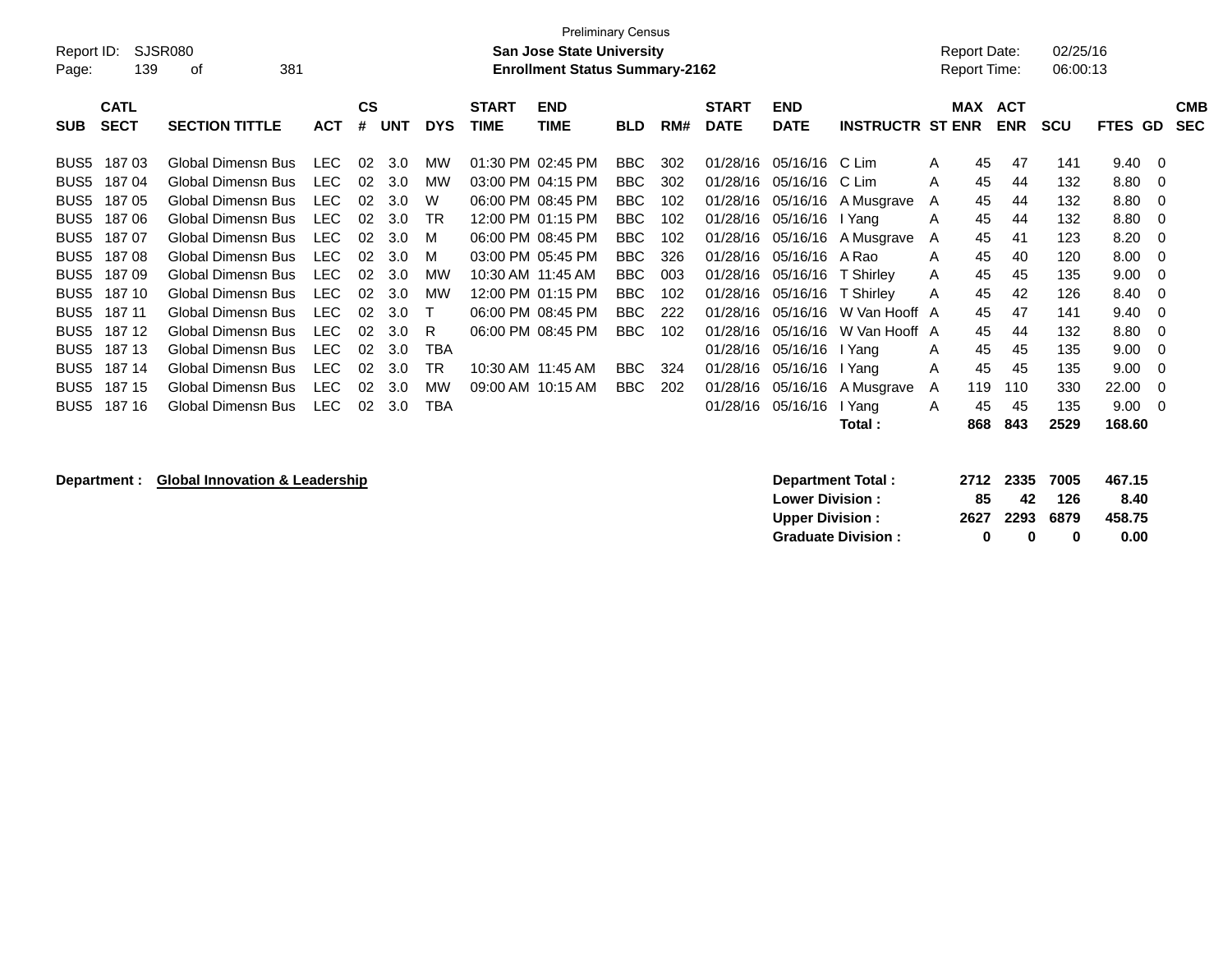| Page:            | <b>Preliminary Census</b><br><b>SJSR080</b><br>02/25/16<br>Report ID:<br><b>San Jose State University</b><br>Report Date:<br>381<br><b>Enrollment Status Summary-2162</b><br>06:00:13<br>139<br>Report Time:<br>οf |                           |            |                 |            |            |                             |                           |            |     |                             |                           |                         |   |            |                          |            |         |          |                          |
|------------------|--------------------------------------------------------------------------------------------------------------------------------------------------------------------------------------------------------------------|---------------------------|------------|-----------------|------------|------------|-----------------------------|---------------------------|------------|-----|-----------------------------|---------------------------|-------------------------|---|------------|--------------------------|------------|---------|----------|--------------------------|
| <b>SUB</b>       | <b>CATL</b><br><b>SECT</b>                                                                                                                                                                                         | <b>SECTION TITTLE</b>     | <b>ACT</b> | <b>CS</b><br>#  | <b>UNT</b> | <b>DYS</b> | <b>START</b><br><b>TIME</b> | <b>END</b><br><b>TIME</b> | <b>BLD</b> | RM# | <b>START</b><br><b>DATE</b> | <b>END</b><br><b>DATE</b> | <b>INSTRUCTR ST ENR</b> |   | <b>MAX</b> | <b>ACT</b><br><b>ENR</b> | <b>SCU</b> | FTES GD |          | <b>CMB</b><br><b>SEC</b> |
|                  |                                                                                                                                                                                                                    |                           |            |                 |            |            |                             |                           |            |     |                             |                           |                         |   |            |                          |            |         |          |                          |
| BUS <sub>5</sub> | 18703                                                                                                                                                                                                              | <b>Global Dimensn Bus</b> | LEC.       | 02 <sup>°</sup> | 3.0        | мw         | 01:30 PM 02:45 PM           |                           | <b>BBC</b> | 302 | 01/28/16                    | 05/16/16                  | C Lim                   | A | 45         | 47                       | 141        | 9.40    | 0        |                          |
| BUS <sub>5</sub> | 18704                                                                                                                                                                                                              | Global Dimensn Bus        | <b>LEC</b> | 02              | 3.0        | МW         |                             | 03:00 PM 04:15 PM         | <b>BBC</b> | 302 | 01/28/16                    | 05/16/16                  | C Lim                   | A | 45         | 44                       | 132        | 8.80    | 0        |                          |
| BUS <sub>5</sub> | 18705                                                                                                                                                                                                              | <b>Global Dimensn Bus</b> | <b>LEC</b> | 02              | 3.0        | W          |                             | 06:00 PM 08:45 PM         | <b>BBC</b> | 102 | 01/28/16                    | 05/16/16                  | A Musgrave              | A | 45         | 44                       | 132        | 8.80    | 0        |                          |
| BUS <sub>5</sub> | 18706                                                                                                                                                                                                              | <b>Global Dimensn Bus</b> | <b>LEC</b> | 02              | 3.0        | TR         |                             | 12:00 PM 01:15 PM         | <b>BBC</b> | 102 | 01/28/16                    | 05/16/16                  | I Yang                  | A | 45         | 44                       | 132        | 8.80    | 0        |                          |
| BUS <sub>5</sub> | 18707                                                                                                                                                                                                              | <b>Global Dimensn Bus</b> | <b>LEC</b> | 02              | 3.0        | м          |                             | 06:00 PM 08:45 PM         | BBC.       | 102 | 01/28/16                    | 05/16/16                  | A Musgrave              | A | 45         | 41                       | 123        | 8.20    | 0        |                          |
| BUS <sub>5</sub> | 18708                                                                                                                                                                                                              | <b>Global Dimensn Bus</b> | <b>LEC</b> | 02              | 3.0        | м          | 03:00 PM 05:45 PM           |                           | <b>BBC</b> | 326 | 01/28/16                    | 05/16/16                  | A Rao                   | A | 45         | 40                       | 120        | 8.00    | 0        |                          |
| BUS <sub>5</sub> | 18709                                                                                                                                                                                                              | <b>Global Dimensn Bus</b> | <b>LEC</b> | 02              | 3.0        | MW         | 10:30 AM 11:45 AM           |                           | <b>BBC</b> | 003 | 01/28/16                    | 05/16/16                  | T Shirlev               | A | 45         | 45                       | 135        | 9.00    | 0        |                          |
| BUS <sub>5</sub> | 187 10                                                                                                                                                                                                             | Global Dimensn Bus        | <b>LEC</b> | 02              | 3.0        | МW         |                             | 12:00 PM 01:15 PM         | <b>BBC</b> | 102 | 01/28/16                    | 05/16/16                  | T Shirley               | A | 45         | 42                       | 126        | 8.40    | 0        |                          |
| BUS <sub>5</sub> | 187 11                                                                                                                                                                                                             | <b>Global Dimensn Bus</b> | <b>LEC</b> | 02              | 3.0        |            |                             | 06:00 PM 08:45 PM         | BBC.       | 222 | 01/28/16                    | 05/16/16                  | W Van Hooff A           |   | 45         | 47                       | 141        | 9.40    | 0        |                          |
| BUS <sub>5</sub> | 18712                                                                                                                                                                                                              | <b>Global Dimensn Bus</b> | <b>LEC</b> | 02              | 3.0        | R          |                             | 06:00 PM 08:45 PM         | <b>BBC</b> | 102 | 01/28/16                    | 05/16/16                  | W Van Hooff A           |   | 45         | 44                       | 132        | 8.80    | 0        |                          |
| BUS <sub>5</sub> | 187 13                                                                                                                                                                                                             | Global Dimensn Bus        | <b>LEC</b> | 02              | 3.0        | <b>TBA</b> |                             |                           |            |     | 01/28/16                    | 05/16/16                  | I Yang                  | A | 45         | 45                       | 135        | 9.00    | 0        |                          |
| BUS <sub>5</sub> | 187 14                                                                                                                                                                                                             | <b>Global Dimensn Bus</b> | <b>LEC</b> | 02              | 3.0        | TR         | 10:30 AM 11:45 AM           |                           | BBC        | 324 | 01/28/16                    | 05/16/16                  | I Yang                  | A | 45         | 45                       | 135        | 9.00    | 0        |                          |
| BUS <sub>5</sub> | 187 15                                                                                                                                                                                                             | <b>Global Dimensn Bus</b> | <b>LEC</b> | 02              | 3.0        | <b>MW</b>  | 09:00 AM 10:15 AM           |                           | BBC.       | 202 | 01/28/16                    | 05/16/16                  | A Musgrave              | A | 119        | 110                      | 330        | 22.00   | 0        |                          |
| BUS <sub>5</sub> | 187 16                                                                                                                                                                                                             | <b>Global Dimensn Bus</b> | <b>LEC</b> | 02              | 3.0        | TBA        |                             |                           |            |     | 01/28/16                    | 05/16/16                  | I Yang                  | A | 45         | 45                       | 135        | 9.00    | $\Omega$ |                          |
|                  |                                                                                                                                                                                                                    |                           |            |                 |            |            |                             |                           |            |     |                             |                           | Total :                 |   | 868        | 843                      | 2529       | 168.60  |          |                          |

## **Department : Global Innovation & Leadership**

| <b>Department Total:</b>  |     | 2712 2335 7005 |       | 467.15 |
|---------------------------|-----|----------------|-------|--------|
| <b>Lower Division:</b>    | 85. | 42.            | - 126 | 8.40   |
| <b>Upper Division:</b>    |     | 2627 2293 6879 |       | 458.75 |
| <b>Graduate Division:</b> | n   | n              | o     | 0.00   |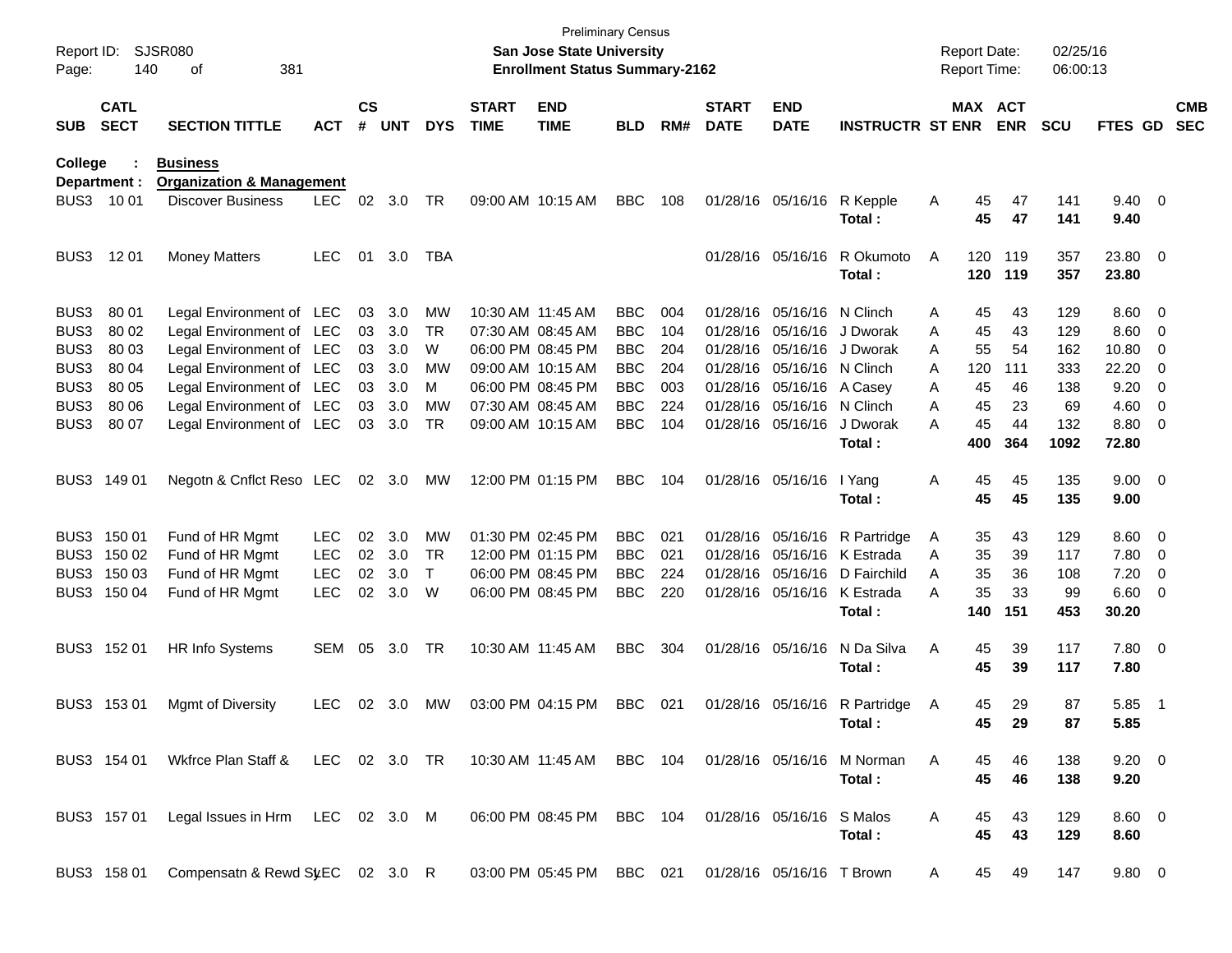| Report ID:<br>Page: | 140                        | SJSR080<br>381<br>οf                                        |            |                    |            |            |                             | <b>Preliminary Census</b><br><b>San Jose State University</b><br><b>Enrollment Status Summary-2162</b> |            |     |                             |                           |                                      |   | <b>Report Date:</b><br><b>Report Time:</b> |            | 02/25/16<br>06:00:13 |                        |                          |                          |
|---------------------|----------------------------|-------------------------------------------------------------|------------|--------------------|------------|------------|-----------------------------|--------------------------------------------------------------------------------------------------------|------------|-----|-----------------------------|---------------------------|--------------------------------------|---|--------------------------------------------|------------|----------------------|------------------------|--------------------------|--------------------------|
| <b>SUB</b>          | <b>CATL</b><br><b>SECT</b> | <b>SECTION TITTLE</b>                                       | <b>ACT</b> | $\mathsf{cs}$<br># | <b>UNT</b> | <b>DYS</b> | <b>START</b><br><b>TIME</b> | <b>END</b><br><b>TIME</b>                                                                              | <b>BLD</b> | RM# | <b>START</b><br><b>DATE</b> | <b>END</b><br><b>DATE</b> | <b>INSTRUCTR ST ENR</b>              |   | MAX ACT                                    | <b>ENR</b> | <b>SCU</b>           | <b>FTES GD</b>         |                          | <b>CMB</b><br><b>SEC</b> |
| College             |                            | <b>Business</b>                                             |            |                    |            |            |                             |                                                                                                        |            |     |                             |                           |                                      |   |                                            |            |                      |                        |                          |                          |
|                     | Department :               | <b>Organization &amp; Management</b>                        |            |                    |            |            |                             |                                                                                                        |            |     |                             |                           |                                      |   |                                            |            |                      |                        |                          |                          |
| BUS3                | 10 01                      | <b>Discover Business</b>                                    | <b>LEC</b> | 02                 | 3.0        | TR         |                             | 09:00 AM 10:15 AM                                                                                      | <b>BBC</b> | 108 |                             | 01/28/16 05/16/16         | R Kepple<br>Total:                   | A | 45<br>45                                   | 47<br>47   | 141<br>141           | $9.40 \quad 0$<br>9.40 |                          |                          |
| BUS3                | 12 01                      | <b>Money Matters</b>                                        | <b>LEC</b> | 01                 | 3.0        | TBA        |                             |                                                                                                        |            |     |                             | 01/28/16 05/16/16         | R Okumoto<br>Total:                  | A | 120<br>120                                 | 119<br>119 | 357<br>357           | 23.80 0<br>23.80       |                          |                          |
| BUS3                | 80 01                      | Legal Environment of LEC                                    |            | 03                 | 3.0        | MW         |                             | 10:30 AM 11:45 AM                                                                                      | <b>BBC</b> | 004 |                             | 01/28/16 05/16/16         | N Clinch                             | Α | 45                                         | 43         | 129                  | 8.60                   | $\overline{\phantom{0}}$ |                          |
| BUS3                | 80 02                      | Legal Environment of LEC                                    |            | 03                 | 3.0        | TR         |                             | 07:30 AM 08:45 AM                                                                                      | <b>BBC</b> | 104 |                             | 01/28/16 05/16/16         | J Dworak                             | A | 45                                         | 43         | 129                  | 8.60                   | - 0                      |                          |
| BUS3                | 80 03                      | Legal Environment of LEC                                    |            | 03                 | 3.0        | W          |                             | 06:00 PM 08:45 PM                                                                                      | <b>BBC</b> | 204 |                             | 01/28/16 05/16/16         | J Dworak                             | A | 55                                         | 54         | 162                  | 10.80                  | $\overline{0}$           |                          |
| BUS3                | 80 04                      | Legal Environment of LEC                                    |            | 03                 | 3.0        | МW         |                             | 09:00 AM 10:15 AM                                                                                      | <b>BBC</b> | 204 |                             | 01/28/16 05/16/16         | N Clinch                             | A | 120                                        | 111        | 333                  | 22.20                  | 0                        |                          |
| BUS3                | 80 05                      | Legal Environment of LEC                                    |            | 03                 | 3.0        | M          |                             | 06:00 PM 08:45 PM                                                                                      | <b>BBC</b> | 003 |                             | 01/28/16 05/16/16         | A Casey                              | Α | 45                                         | 46         | 138                  | 9.20                   | 0                        |                          |
| BUS3                | 80 06                      | Legal Environment of LEC                                    |            | 03                 | 3.0        | MW         |                             | 07:30 AM 08:45 AM                                                                                      | <b>BBC</b> | 224 |                             | 01/28/16 05/16/16         | N Clinch                             | A | 45                                         | 23         | 69                   | 4.60                   | 0                        |                          |
| BUS3                | 80 07                      | Legal Environment of LEC                                    |            | 03                 | 3.0        | TR         |                             | 09:00 AM 10:15 AM                                                                                      | <b>BBC</b> | 104 |                             | 01/28/16 05/16/16         | J Dworak                             | A | 45                                         | 44         | 132                  | 8.80                   | $\overline{\mathbf{0}}$  |                          |
|                     |                            |                                                             |            |                    |            |            |                             |                                                                                                        |            |     |                             |                           | Total:                               |   | 400                                        | 364        | 1092                 | 72.80                  |                          |                          |
| BUS3                | 149 01                     | Negotn & Cnflct Reso LEC                                    |            | 02                 | 3.0        | MW         |                             | 12:00 PM 01:15 PM                                                                                      | <b>BBC</b> | 104 |                             | 01/28/16 05/16/16         | I Yang<br>Total:                     | Α | 45<br>45                                   | 45<br>45   | 135<br>135           | $9.00 \t 0$<br>9.00    |                          |                          |
| BUS3                | 150 01                     | Fund of HR Mgmt                                             | <b>LEC</b> | 02                 | 3.0        | MW         |                             | 01:30 PM 02:45 PM                                                                                      | <b>BBC</b> | 021 |                             | 01/28/16 05/16/16         | R Partridge                          | A | 35                                         | 43         | 129                  | 8.60                   | $\overline{\phantom{0}}$ |                          |
| BUS3                | 150 02                     | Fund of HR Mgmt                                             | <b>LEC</b> | 02                 | 3.0        | TR         |                             | 12:00 PM 01:15 PM                                                                                      | <b>BBC</b> | 021 |                             | 01/28/16 05/16/16         | K Estrada                            | Α | 35                                         | 39         | 117                  | 7.80                   | $\overline{\phantom{0}}$ |                          |
| BUS3                | 150 03                     | Fund of HR Mgmt                                             | <b>LEC</b> | 02                 | 3.0        | Τ          |                             | 06:00 PM 08:45 PM                                                                                      | <b>BBC</b> | 224 |                             | 01/28/16 05/16/16         | D Fairchild                          | Α | 35                                         | 36         | 108                  | 7.20                   | $\overline{\mathbf{0}}$  |                          |
| BUS3                | 150 04                     | Fund of HR Mgmt                                             | <b>LEC</b> | 02                 | 3.0        | W          |                             | 06:00 PM 08:45 PM                                                                                      | <b>BBC</b> | 220 |                             | 01/28/16 05/16/16         | K Estrada                            | Α | 35                                         | 33         | 99                   | 6.60                   | - 0                      |                          |
|                     |                            |                                                             |            |                    |            |            |                             |                                                                                                        |            |     |                             |                           | Total:                               |   | 140                                        | 151        | 453                  | 30.20                  |                          |                          |
| BUS3                | 152 01                     | HR Info Systems                                             | SEM        | 05                 | 3.0        | TR         |                             | 10:30 AM 11:45 AM                                                                                      | <b>BBC</b> | 304 |                             | 01/28/16 05/16/16         | N Da Silva<br>Total:                 | Α | 45<br>45                                   | 39<br>39   | 117<br>117           | $7.80\ 0$<br>7.80      |                          |                          |
| BUS3                | 15301                      | Mgmt of Diversity                                           | <b>LEC</b> | 02                 | 3.0        | MW         |                             | 03:00 PM 04:15 PM                                                                                      | <b>BBC</b> | 021 |                             | 01/28/16 05/16/16         | R Partridge<br>Total:                | A | 45<br>45                                   | 29<br>29   | 87<br>87             | 5.85<br>5.85           | - 1                      |                          |
|                     | BUS3 154 01                | Wkfrce Plan Staff & LEC 02 3.0 TR 10:30 AM 11:45 AM BBC 104 |            |                    |            |            |                             |                                                                                                        |            |     |                             |                           | 01/28/16 05/16/16 M Norman<br>Total: | A | 45<br>45                                   | 46<br>46   | 138<br>138           | $9.20 \ 0$<br>9.20     |                          |                          |
|                     | BUS3 157 01                | Legal Issues in Hrm LEC 02 3.0 M                            |            |                    |            |            |                             | 06:00 PM 08:45 PM                                                                                      | BBC 104    |     |                             | 01/28/16 05/16/16 S Malos | Total:                               | A | 45<br>45                                   | 43<br>43   | 129<br>129           | $8.60 \quad 0$<br>8.60 |                          |                          |
|                     | BUS3 158 01                | Compensatn & Rewd St EC 02 3.0 R                            |            |                    |            |            |                             | 03:00 PM 05:45 PM BBC 021                                                                              |            |     |                             | 01/28/16 05/16/16 T Brown |                                      | A | 45                                         | 49         | 147                  | $9.80\ 0$              |                          |                          |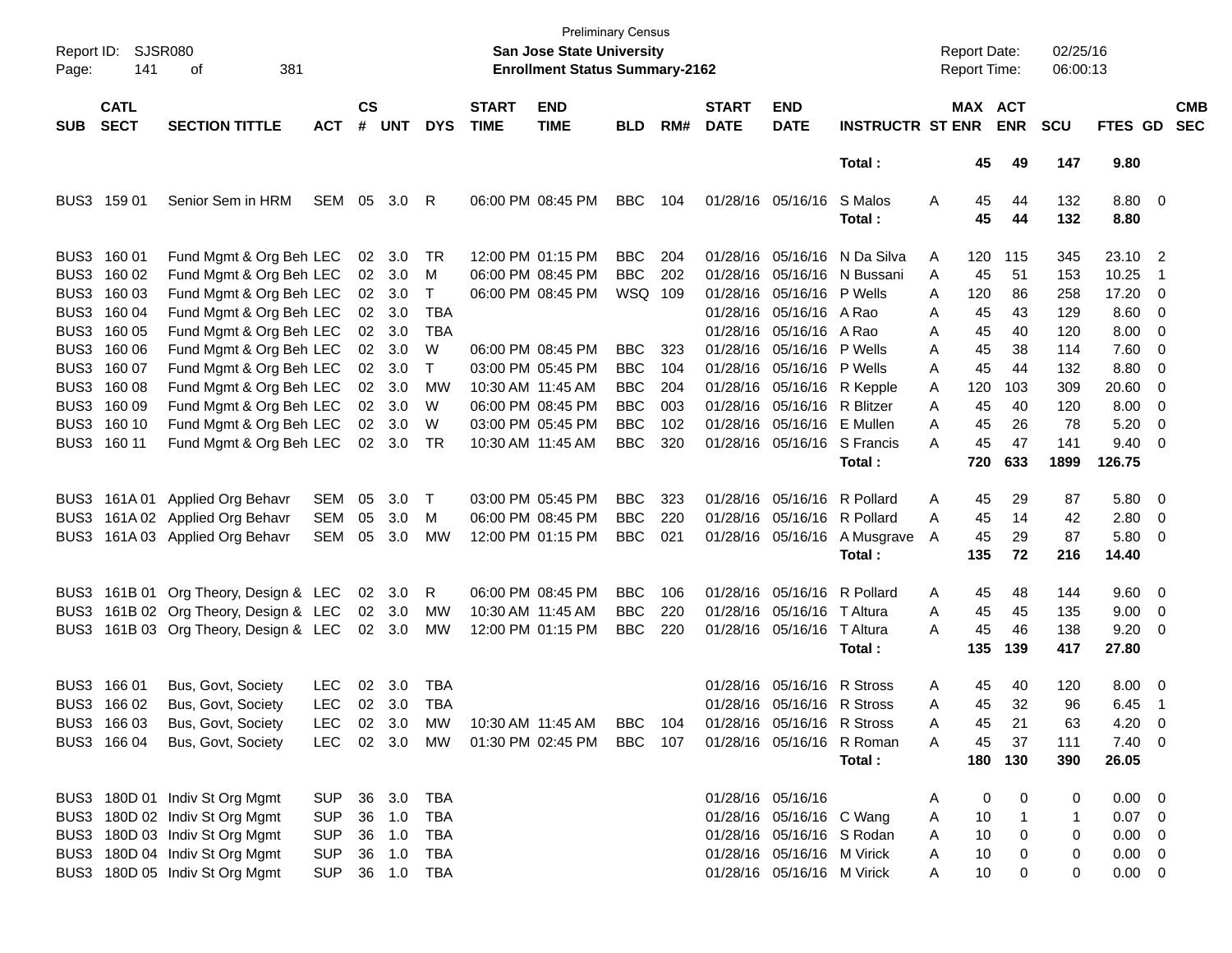| Page:      | Report ID: SJSR080<br>381<br>141<br>οf<br><b>CATL</b> |                                       |                |                    |                |              |                             | <b>Preliminary Census</b><br>San Jose State University<br><b>Enrollment Status Summary-2162</b> |            |     |                             |                             |                              |   | <b>Report Date:</b><br><b>Report Time:</b> |                       | 02/25/16<br>06:00:13 |                |                          |                          |
|------------|-------------------------------------------------------|---------------------------------------|----------------|--------------------|----------------|--------------|-----------------------------|-------------------------------------------------------------------------------------------------|------------|-----|-----------------------------|-----------------------------|------------------------------|---|--------------------------------------------|-----------------------|----------------------|----------------|--------------------------|--------------------------|
| <b>SUB</b> | <b>SECT</b>                                           | <b>SECTION TITTLE</b>                 | <b>ACT</b>     | $\mathsf{cs}$<br># | <b>UNT</b>     | <b>DYS</b>   | <b>START</b><br><b>TIME</b> | <b>END</b><br><b>TIME</b>                                                                       | <b>BLD</b> | RM# | <b>START</b><br><b>DATE</b> | <b>END</b><br><b>DATE</b>   | <b>INSTRUCTR ST ENR</b>      |   |                                            | MAX ACT<br><b>ENR</b> | <b>SCU</b>           | FTES GD        |                          | <b>CMB</b><br><b>SEC</b> |
|            |                                                       |                                       |                |                    |                |              |                             |                                                                                                 |            |     |                             |                             | Total:                       |   | 45                                         | 49                    | 147                  | 9.80           |                          |                          |
|            | BUS3 159 01                                           | Senior Sem in HRM                     | SEM            | 05                 | 3.0            | R            |                             | 06:00 PM 08:45 PM                                                                               | <b>BBC</b> | 104 |                             | 01/28/16 05/16/16           | S Malos<br>Total:            | Α | 45<br>45                                   | 44<br>44              | 132<br>132           | 8.80 0<br>8.80 |                          |                          |
|            | BUS3 160 01                                           | Fund Mgmt & Org Beh LEC               |                | 02                 | 3.0            | TR           |                             | 12:00 PM 01:15 PM                                                                               | <b>BBC</b> | 204 |                             |                             | 01/28/16 05/16/16 N Da Silva | A | 120                                        | 115                   | 345                  | 23.10 2        |                          |                          |
|            | BUS3 160 02                                           | Fund Mgmt & Org Beh LEC               |                |                    | 02 3.0         | M            |                             | 06:00 PM 08:45 PM                                                                               | <b>BBC</b> | 202 |                             |                             | 01/28/16 05/16/16 N Bussani  | A | 45                                         | 51                    | 153                  | 10.25          | $\overline{1}$           |                          |
|            | BUS3 160 03                                           | Fund Mgmt & Org Beh LEC               |                |                    | 02 3.0         | T            |                             | 06:00 PM 08:45 PM                                                                               | WSQ 109    |     |                             | 01/28/16 05/16/16 P Wells   |                              | A | 120                                        | 86                    | 258                  | 17.20 0        |                          |                          |
| BUS3       | 160 04                                                | Fund Mgmt & Org Beh LEC               |                |                    | 02 3.0         | <b>TBA</b>   |                             |                                                                                                 |            |     |                             | 01/28/16 05/16/16 A Rao     |                              | A | 45                                         | 43                    | 129                  | $8.60 \quad 0$ |                          |                          |
| BUS3       | 160 05                                                | Fund Mgmt & Org Beh LEC               |                |                    | 02 3.0         | <b>TBA</b>   |                             |                                                                                                 |            |     |                             | 01/28/16 05/16/16 A Rao     |                              | A | 45                                         | 40                    | 120                  | $8.00 \t 0$    |                          |                          |
| BUS3       | 160 06                                                | Fund Mgmt & Org Beh LEC               |                |                    | 02 3.0         | W            |                             | 06:00 PM 08:45 PM                                                                               | <b>BBC</b> | 323 |                             | 01/28/16 05/16/16 P Wells   |                              | A | 45                                         | 38                    | 114                  | $7.60 \t 0$    |                          |                          |
| BUS3       | 160 07                                                | Fund Mgmt & Org Beh LEC               |                |                    | 02 3.0         | $\mathsf{T}$ |                             | 03:00 PM 05:45 PM                                                                               | <b>BBC</b> | 104 |                             | 01/28/16 05/16/16 P Wells   |                              | A | 45                                         | 44                    | 132                  | 8.80           | $\overline{\phantom{0}}$ |                          |
|            | BUS3 160 08                                           | Fund Mgmt & Org Beh LEC               |                |                    | 02 3.0         | MW           |                             | 10:30 AM 11:45 AM                                                                               | <b>BBC</b> | 204 |                             | 01/28/16 05/16/16 R Kepple  |                              | A | 120                                        | 103                   | 309                  | 20.60 0        |                          |                          |
|            | BUS3 160 09                                           | Fund Mgmt & Org Beh LEC               |                |                    | 02 3.0         | W            |                             | 06:00 PM 08:45 PM                                                                               | <b>BBC</b> | 003 |                             | 01/28/16 05/16/16 R Blitzer |                              | A | 45                                         | 40                    | 120                  | $8.00 \t 0$    |                          |                          |
|            | BUS3 160 10                                           | Fund Mgmt & Org Beh LEC               |                | 02                 | 3.0            | W            |                             | 03:00 PM 05:45 PM                                                                               | <b>BBC</b> | 102 |                             | 01/28/16 05/16/16 E Mullen  |                              | Α | 45                                         | 26                    | 78                   | 5.20           | $\overline{\phantom{0}}$ |                          |
|            | BUS3 160 11                                           | Fund Mgmt & Org Beh LEC               |                |                    | 02 3.0         | TR           |                             | 10:30 AM 11:45 AM                                                                               | <b>BBC</b> | 320 |                             | 01/28/16 05/16/16 S Francis |                              | А | 45                                         | 47                    | 141                  | $9.40 \quad 0$ |                          |                          |
|            |                                                       |                                       |                |                    |                |              |                             |                                                                                                 |            |     |                             |                             | Total:                       |   | 720                                        | 633                   | 1899                 | 126.75         |                          |                          |
|            |                                                       | BUS3 161A 01 Applied Org Behavr       | <b>SEM</b>     | 05                 | 3.0            | Τ            |                             | 03:00 PM 05:45 PM                                                                               | <b>BBC</b> | 323 |                             | 01/28/16 05/16/16 R Pollard |                              | A | 45                                         | 29                    | 87                   | 5.80 0         |                          |                          |
| BUS3       |                                                       | 161A 02 Applied Org Behavr            | <b>SEM</b>     | 05                 | 3.0            | M            |                             | 06:00 PM 08:45 PM                                                                               | <b>BBC</b> | 220 |                             | 01/28/16 05/16/16 R Pollard |                              | A | 45                                         | 14                    | 42                   | $2.80 \t 0$    |                          |                          |
| BUS3.      |                                                       | 161A 03 Applied Org Behavr            | SEM            | 05                 | 3.0            | MW           |                             | 12:00 PM 01:15 PM                                                                               | <b>BBC</b> | 021 |                             | 01/28/16 05/16/16           | A Musgrave                   | A | 45                                         | 29                    | 87                   | 5.80 0         |                          |                          |
|            |                                                       |                                       |                |                    |                |              |                             |                                                                                                 |            |     |                             |                             | Total:                       |   | 135                                        | 72                    | 216                  | 14.40          |                          |                          |
|            |                                                       | BUS3 161B 01 Org Theory, Design & LEC |                |                    | $02 \quad 3.0$ | R            |                             | 06:00 PM 08:45 PM                                                                               | <b>BBC</b> | 106 |                             | 01/28/16 05/16/16 R Pollard |                              | A | 45                                         | 48                    | 144                  | 9.60 0         |                          |                          |
| BUS3       |                                                       | 161B 02 Org Theory, Design & LEC      |                |                    | 02 3.0         | <b>MW</b>    |                             | 10:30 AM 11:45 AM                                                                               | <b>BBC</b> | 220 |                             | 01/28/16 05/16/16 T Altura  |                              | Α | 45                                         | 45                    | 135                  | $9.00 \t 0$    |                          |                          |
|            |                                                       | BUS3 161B 03 Org Theory, Design & LEC |                |                    | 02 3.0         | <b>MW</b>    |                             | 12:00 PM 01:15 PM                                                                               | <b>BBC</b> | 220 |                             | 01/28/16 05/16/16 T Altura  |                              | Α | 45                                         | 46                    | 138                  | $9.20 \ 0$     |                          |                          |
|            |                                                       |                                       |                |                    |                |              |                             |                                                                                                 |            |     |                             |                             | Total :                      |   | 135                                        | 139                   | 417                  | 27.80          |                          |                          |
|            | BUS3 166 01                                           | Bus, Govt, Society                    | <b>LEC</b>     | 02                 | 3.0            | TBA          |                             |                                                                                                 |            |     |                             | 01/28/16 05/16/16           | <b>R</b> Stross              | A | 45                                         | 40                    | 120                  | $8.00 \t 0$    |                          |                          |
|            | BUS3 166 02                                           | Bus, Govt, Society                    | <b>LEC</b>     |                    | 02 3.0         | TBA          |                             |                                                                                                 |            |     |                             | 01/28/16 05/16/16 R Stross  |                              | Α | 45                                         | 32                    | 96                   | 6.45           | $\blacksquare$           |                          |
|            | BUS3 166 03                                           | Bus, Govt, Society                    | <b>LEC</b>     |                    | 02 3.0         | MW           |                             | 10:30 AM 11:45 AM                                                                               | BBC 104    |     |                             | 01/28/16 05/16/16 R Stross  |                              | Α | 45                                         | 21                    | 63                   | 4.20           | - 0                      |                          |
|            |                                                       | BUS3 166 04 Bus, Govt, Society        |                |                    |                |              |                             | LEC 02 3.0 MW 01:30 PM 02:45 PM BBC 107                                                         |            |     |                             | 01/28/16 05/16/16 R Roman   |                              | A | 45                                         | 37                    | 111                  | $7.40 \quad 0$ |                          |                          |
|            |                                                       |                                       |                |                    |                |              |                             |                                                                                                 |            |     |                             |                             | Total:                       |   |                                            | 180 130               | 390                  | 26.05          |                          |                          |
|            |                                                       | BUS3 180D 01 Indiv St Org Mgmt        | SUP            |                    | 36 3.0         | TBA          |                             |                                                                                                 |            |     |                             | 01/28/16 05/16/16           |                              | Α | 0                                          | 0                     | 0                    | $0.00 \t 0$    |                          |                          |
|            |                                                       | BUS3 180D 02 Indiv St Org Mgmt        | <b>SUP</b>     |                    | 36 1.0         | TBA          |                             |                                                                                                 |            |     |                             | 01/28/16 05/16/16 C Wang    |                              | A | 10                                         | 1                     | 1                    | $0.07 \quad 0$ |                          |                          |
|            |                                                       | BUS3 180D 03 Indiv St Org Mgmt        | <b>SUP</b>     |                    | 36 1.0         | TBA          |                             |                                                                                                 |            |     |                             | 01/28/16 05/16/16 S Rodan   |                              | Α | 10                                         | 0                     | 0                    | $0.00 \t 0$    |                          |                          |
|            |                                                       | BUS3 180D 04 Indiv St Org Mgmt        | <b>SUP</b>     |                    | 36 1.0         | TBA          |                             |                                                                                                 |            |     |                             | 01/28/16 05/16/16 M Virick  |                              | Α | 10                                         | 0                     | 0                    | $0.00 \t 0$    |                          |                          |
|            |                                                       | BUS3 180D 05 Indiv St Org Mgmt        | SUP 36 1.0 TBA |                    |                |              |                             |                                                                                                 |            |     |                             | 01/28/16 05/16/16 M Virick  |                              | A | 10                                         | 0                     | 0                    | $0.00 \t 0$    |                          |                          |
|            |                                                       |                                       |                |                    |                |              |                             |                                                                                                 |            |     |                             |                             |                              |   |                                            |                       |                      |                |                          |                          |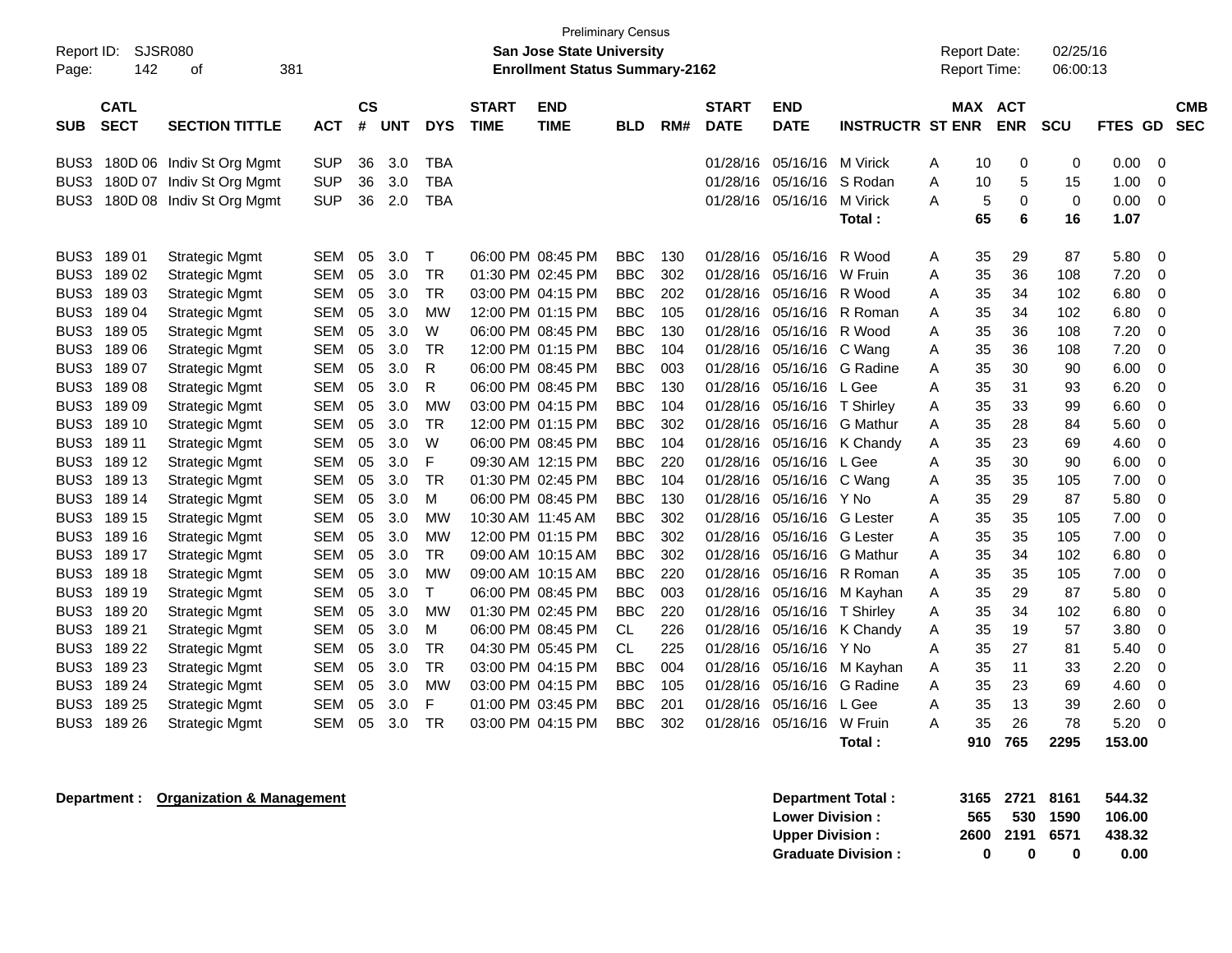|                  |             |                           |            |               |            |              |              | <b>Preliminary Census</b>             |            |     |              |             |                         |   |                     |             |             |             |             |            |
|------------------|-------------|---------------------------|------------|---------------|------------|--------------|--------------|---------------------------------------|------------|-----|--------------|-------------|-------------------------|---|---------------------|-------------|-------------|-------------|-------------|------------|
| Report ID:       | SJSR080     |                           |            |               |            |              |              | <b>San Jose State University</b>      |            |     |              |             |                         |   | <b>Report Date:</b> |             | 02/25/16    |             |             |            |
| Page:            | 142         | 381<br>οf                 |            |               |            |              |              | <b>Enrollment Status Summary-2162</b> |            |     |              |             |                         |   | <b>Report Time:</b> |             | 06:00:13    |             |             |            |
|                  |             |                           |            |               |            |              |              |                                       |            |     |              |             |                         |   |                     |             |             |             |             |            |
|                  | <b>CATL</b> |                           |            | $\mathsf{cs}$ |            |              | <b>START</b> | <b>END</b>                            |            |     | <b>START</b> | <b>END</b>  |                         |   | MAX                 | <b>ACT</b>  |             |             |             | <b>CMB</b> |
| <b>SUB</b>       | <b>SECT</b> | <b>SECTION TITTLE</b>     | <b>ACT</b> | #             | <b>UNT</b> | <b>DYS</b>   | <b>TIME</b>  | <b>TIME</b>                           | <b>BLD</b> | RM# | <b>DATE</b>  | <b>DATE</b> | <b>INSTRUCTR ST ENR</b> |   |                     | <b>ENR</b>  | SCU         | <b>FTES</b> | <b>GD</b>   | <b>SEC</b> |
| BUS3             |             | 180D 06 Indiv St Org Mgmt | <b>SUP</b> | 36            | 3.0        | <b>TBA</b>   |              |                                       |            |     | 01/28/16     | 05/16/16    | <b>M</b> Virick         | Α | 10                  | 0           | 0           | 0.00        | 0           |            |
| BUS3             |             | 180D 07 Indiv St Org Mgmt | <b>SUP</b> | 36            | 3.0        | <b>TBA</b>   |              |                                       |            |     | 01/28/16     | 05/16/16    | S Rodan                 | Α | 10                  | 5           | 15          | 1.00        | $\mathbf 0$ |            |
| BUS3             |             | 180D 08 Indiv St Org Mgmt | <b>SUP</b> | 36            | 2.0        | <b>TBA</b>   |              |                                       |            |     | 01/28/16     | 05/16/16    | M Virick                | A | 5                   | $\mathbf 0$ | $\mathbf 0$ | 0.00        | 0           |            |
|                  |             |                           |            |               |            |              |              |                                       |            |     |              |             | Total :                 |   | 65                  | 6           | 16          | 1.07        |             |            |
|                  |             |                           |            |               |            |              |              |                                       |            |     |              |             |                         |   |                     |             |             |             |             |            |
| BUS <sub>3</sub> | 18901       | <b>Strategic Mgmt</b>     | <b>SEM</b> | 05            | 3.0        | $\mathsf{T}$ |              | 06:00 PM 08:45 PM                     | <b>BBC</b> | 130 | 01/28/16     | 05/16/16    | R Wood                  | Α | 35                  | 29          | 87          | 5.80        | $\mathbf 0$ |            |
| BUS3             | 18902       | <b>Strategic Mgmt</b>     | SEM        | 05            | 3.0        | <b>TR</b>    |              | 01:30 PM 02:45 PM                     | <b>BBC</b> | 302 | 01/28/16     | 05/16/16    | W Fruin                 | Α | 35                  | 36          | 108         | 7.20        | $\mathbf 0$ |            |
| BUS3             | 18903       | <b>Strategic Mgmt</b>     | <b>SEM</b> | 05            | 3.0        | <b>TR</b>    |              | 03:00 PM 04:15 PM                     | <b>BBC</b> | 202 | 01/28/16     | 05/16/16    | R Wood                  | Α | 35                  | 34          | 102         | 6.80        | 0           |            |
| BUS3             | 18904       | <b>Strategic Mgmt</b>     | <b>SEM</b> | 05            | 3.0        | MW           |              | 12:00 PM 01:15 PM                     | <b>BBC</b> | 105 | 01/28/16     | 05/16/16    | R Roman                 | A | 35                  | 34          | 102         | 6.80        | $\mathbf 0$ |            |
| BUS3             | 18905       | <b>Strategic Mgmt</b>     | <b>SEM</b> | 05            | 3.0        | W            |              | 06:00 PM 08:45 PM                     | <b>BBC</b> | 130 | 01/28/16     | 05/16/16    | R Wood                  | A | 35                  | 36          | 108         | 7.20        | $\mathbf 0$ |            |
| BUS <sub>3</sub> | 18906       | <b>Strategic Mgmt</b>     | <b>SEM</b> | 05            | 3.0        | TR           |              | 12:00 PM 01:15 PM                     | <b>BBC</b> | 104 | 01/28/16     | 05/16/16    | C Wang                  | Α | 35                  | 36          | 108         | 7.20        | 0           |            |
| BUS3             | 189 07      | <b>Strategic Mgmt</b>     | <b>SEM</b> | 05            | 3.0        | R            |              | 06:00 PM 08:45 PM                     | <b>BBC</b> | 003 | 01/28/16     | 05/16/16    | G Radine                | Α | 35                  | 30          | 90          | 6.00        | 0           |            |
| BUS3             | 18908       | <b>Strategic Mgmt</b>     | <b>SEM</b> | 05            | 3.0        | R            |              | 06:00 PM 08:45 PM                     | <b>BBC</b> | 130 | 01/28/16     | 05/16/16    | L Gee                   | A | 35                  | 31          | 93          | 6.20        | 0           |            |
| BUS3             | 18909       | <b>Strategic Mgmt</b>     | SEM        | 05            | 3.0        | МW           |              | 03:00 PM 04:15 PM                     | BBC        | 104 | 01/28/16     | 05/16/16    | T Shirley               | A | 35                  | 33          | 99          | 6.60        | 0           |            |
| BUS3             | 189 10      | <b>Strategic Mgmt</b>     | <b>SEM</b> | 05            | 3.0        | TR           |              | 12:00 PM 01:15 PM                     | <b>BBC</b> | 302 | 01/28/16     | 05/16/16    | G Mathur                | Α | 35                  | 28          | 84          | 5.60        | 0           |            |
| BUS3             | 189 11      | <b>Strategic Mgmt</b>     | <b>SEM</b> | 05            | 3.0        | W            |              | 06:00 PM 08:45 PM                     | <b>BBC</b> | 104 | 01/28/16     | 05/16/16    | K Chandy                | A | 35                  | 23          | 69          | 4.60        | 0           |            |
| BUS3             | 189 12      | <b>Strategic Mgmt</b>     | <b>SEM</b> | 05            | 3.0        | F            |              | 09:30 AM 12:15 PM                     | <b>BBC</b> | 220 | 01/28/16     | 05/16/16    | L Gee                   | Α | 35                  | 30          | 90          | 6.00        | 0           |            |
| BUS <sub>3</sub> | 189 13      | <b>Strategic Mgmt</b>     | <b>SEM</b> | 05            | 3.0        | <b>TR</b>    |              | 01:30 PM 02:45 PM                     | <b>BBC</b> | 104 | 01/28/16     | 05/16/16    | C Wang                  | A | 35                  | 35          | 105         | 7.00        | $\Omega$    |            |
| BUS3             | 189 14      | <b>Strategic Mgmt</b>     | <b>SEM</b> | 05            | 3.0        | M            |              | 06:00 PM 08:45 PM                     | <b>BBC</b> | 130 | 01/28/16     | 05/16/16    | Y No                    | Α | 35                  | 29          | 87          | 5.80        | 0           |            |
| BUS3             | 189 15      | <b>Strategic Mgmt</b>     | <b>SEM</b> | 05            | 3.0        | MW           |              | 10:30 AM 11:45 AM                     | <b>BBC</b> | 302 | 01/28/16     | 05/16/16    | <b>G</b> Lester         | Α | 35                  | 35          | 105         | 7.00        | $\mathbf 0$ |            |
| BUS3             | 189 16      | <b>Strategic Mgmt</b>     | <b>SEM</b> | 05            | 3.0        | <b>MW</b>    |              | 12:00 PM 01:15 PM                     | <b>BBC</b> | 302 | 01/28/16     | 05/16/16    | <b>G</b> Lester         | Α | 35                  | 35          | 105         | 7.00        | 0           |            |
| BUS3             | 189 17      | <b>Strategic Mgmt</b>     | <b>SEM</b> | 05            | 3.0        | <b>TR</b>    |              | 09:00 AM 10:15 AM                     | <b>BBC</b> | 302 | 01/28/16     | 05/16/16    | <b>G</b> Mathur         | Α | 35                  | 34          | 102         | 6.80        | 0           |            |
| BUS <sub>3</sub> | 189 18      | <b>Strategic Mgmt</b>     | <b>SEM</b> | 05            | 3.0        | MW           |              | 09:00 AM 10:15 AM                     | <b>BBC</b> | 220 | 01/28/16     | 05/16/16    | R Roman                 | Α | 35                  | 35          | 105         | 7.00        | $\mathbf 0$ |            |
| BUS3             | 189 19      | <b>Strategic Mgmt</b>     | <b>SEM</b> | 05            | 3.0        | $\mathsf{T}$ |              | 06:00 PM 08:45 PM                     | <b>BBC</b> | 003 | 01/28/16     | 05/16/16    | M Kayhan                | Α | 35                  | 29          | 87          | 5.80        | $\mathbf 0$ |            |
| BUS <sub>3</sub> | 189 20      | <b>Strategic Mgmt</b>     | <b>SEM</b> | 05            | 3.0        | <b>MW</b>    |              | 01:30 PM 02:45 PM                     | <b>BBC</b> | 220 | 01/28/16     | 05/16/16    | T Shirley               | Α | 35                  | 34          | 102         | 6.80        | 0           |            |
| BUS3             | 189 21      | <b>Strategic Mgmt</b>     | <b>SEM</b> | 05            | 3.0        | м            |              | 06:00 PM 08:45 PM                     | <b>CL</b>  | 226 | 01/28/16     | 05/16/16    | K Chandy                | Α | 35                  | 19          | 57          | 3.80        | 0           |            |
| BUS3             | 189 22      | <b>Strategic Mgmt</b>     | <b>SEM</b> | 05            | 3.0        | TR           |              | 04:30 PM 05:45 PM                     | CL.        | 225 | 01/28/16     | 05/16/16    | Y No                    | Α | 35                  | 27          | 81          | 5.40        | 0           |            |
| BUS3             | 189 23      | <b>Strategic Mgmt</b>     | <b>SEM</b> | 05            | 3.0        | <b>TR</b>    |              | 03:00 PM 04:15 PM                     | <b>BBC</b> | 004 | 01/28/16     | 05/16/16    | M Kayhan                | A | 35                  | 11          | 33          | 2.20        | 0           |            |
| BUS3             | 189 24      | <b>Strategic Mgmt</b>     | SEM        | 05            | 3.0        | MW           |              | 03:00 PM 04:15 PM                     | <b>BBC</b> | 105 | 01/28/16     | 05/16/16    | G Radine                | Α | 35                  | 23          | 69          | 4.60        | 0           |            |
| BUS3             | 189 25      | <b>Strategic Mgmt</b>     | <b>SEM</b> | 05            | 3.0        | F            |              | 01:00 PM 03:45 PM                     | <b>BBC</b> | 201 | 01/28/16     | 05/16/16    | L Gee                   | Α | 35                  | 13          | 39          | 2.60        | 0           |            |
| BUS3             | 189 26      | <b>Strategic Mgmt</b>     | <b>SEM</b> | 05            | 3.0        | <b>TR</b>    |              | 03:00 PM 04:15 PM                     | <b>BBC</b> | 302 | 01/28/16     | 05/16/16    | W Fruin                 | A | 35                  | 26          | 78          | 5.20        | $\Omega$    |            |
|                  |             |                           |            |               |            |              |              |                                       |            |     |              |             | Total :                 |   | 910                 | 765         | 2295        | 153.00      |             |            |

**Department : Organization & Management** 

| Department Total:         |     | 3165 2721 8161 |          | - 544.32 |
|---------------------------|-----|----------------|----------|----------|
| <b>Lower Division:</b>    | 565 |                | 530 1590 | 106.00   |
| <b>Upper Division:</b>    |     | 2600 2191 6571 |          | 438.32   |
| <b>Graduate Division:</b> | 0   | n              | o        | 0.00     |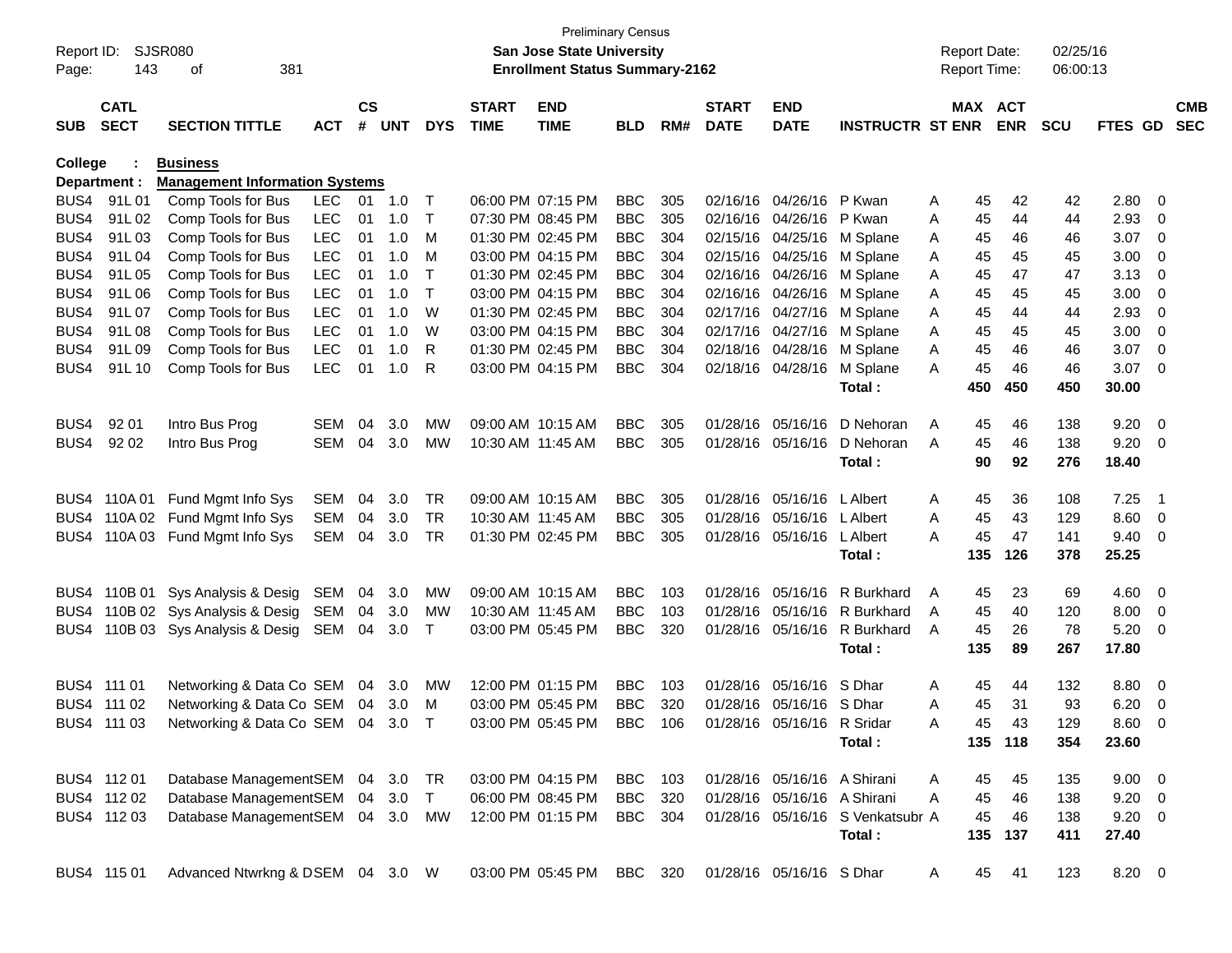| Page:          | Report ID: SJSR080<br>143  | 381<br>οf                             |            |                             |            |            |                             | San Jose State University<br><b>Enrollment Status Summary-2162</b> | <b>Preliminary Census</b> |     |                             |                             |                                  | <b>Report Date:</b><br><b>Report Time:</b> |            | 02/25/16<br>06:00:13 |                |                          |                          |
|----------------|----------------------------|---------------------------------------|------------|-----------------------------|------------|------------|-----------------------------|--------------------------------------------------------------------|---------------------------|-----|-----------------------------|-----------------------------|----------------------------------|--------------------------------------------|------------|----------------------|----------------|--------------------------|--------------------------|
| <b>SUB</b>     | <b>CATL</b><br><b>SECT</b> | <b>SECTION TITTLE</b>                 | <b>ACT</b> | $\mathsf{cs}$<br>$\pmb{\#}$ | <b>UNT</b> | <b>DYS</b> | <b>START</b><br><b>TIME</b> | <b>END</b><br><b>TIME</b>                                          | <b>BLD</b>                | RM# | <b>START</b><br><b>DATE</b> | <b>END</b><br><b>DATE</b>   | <b>INSTRUCTR ST ENR</b>          | MAX ACT                                    | <b>ENR</b> | <b>SCU</b>           | FTES GD        |                          | <b>CMB</b><br><b>SEC</b> |
| <b>College</b> |                            | <b>Business</b>                       |            |                             |            |            |                             |                                                                    |                           |     |                             |                             |                                  |                                            |            |                      |                |                          |                          |
| Department :   |                            | <b>Management Information Systems</b> |            |                             |            |            |                             |                                                                    |                           |     |                             |                             |                                  |                                            |            |                      |                |                          |                          |
| BUS4           | 91L01                      | Comp Tools for Bus                    | LEC.       | 01                          | 1.0        | $\top$     |                             | 06:00 PM 07:15 PM                                                  | <b>BBC</b>                | 305 |                             | 02/16/16 04/26/16 P Kwan    |                                  | 45<br>Α                                    | 42         | 42                   | 2.80 0         |                          |                          |
| BUS4           | 91L02                      | Comp Tools for Bus                    | <b>LEC</b> | 01                          | 1.0        | $\top$     |                             | 07:30 PM 08:45 PM                                                  | <b>BBC</b>                | 305 |                             | 02/16/16 04/26/16 P Kwan    |                                  | 45<br>A                                    | 44         | 44                   | $2.93$ 0       |                          |                          |
| BUS4           | 91L03                      | Comp Tools for Bus                    | <b>LEC</b> | 01                          | 1.0        | M          |                             | 01:30 PM 02:45 PM                                                  | <b>BBC</b>                | 304 |                             | 02/15/16 04/25/16           | M Splane                         | 45<br>A                                    | 46         | 46                   | $3.07$ 0       |                          |                          |
| BUS4           | 91L04                      | Comp Tools for Bus                    | <b>LEC</b> | 01                          | 1.0        | M          |                             | 03:00 PM 04:15 PM                                                  | <b>BBC</b>                | 304 |                             | 02/15/16 04/25/16           | M Splane                         | 45<br>Α                                    | 45         | 45                   | $3.00 \ 0$     |                          |                          |
| BUS4           | 91L05                      | Comp Tools for Bus                    | <b>LEC</b> | 01                          | 1.0        | $\top$     |                             | 01:30 PM 02:45 PM                                                  | <b>BBC</b>                | 304 |                             | 02/16/16 04/26/16           | M Splane                         | 45<br>Α                                    | 47         | 47                   | $3.13 \quad 0$ |                          |                          |
| BUS4           | 91L06                      | Comp Tools for Bus                    | <b>LEC</b> | 01                          | 1.0        | $\top$     |                             | 03:00 PM 04:15 PM                                                  | <b>BBC</b>                | 304 |                             | 02/16/16 04/26/16           | M Splane                         | 45<br>Α                                    | 45         | 45                   | 3.00           | $\overline{\phantom{0}}$ |                          |
| BUS4           | 91L 07                     | Comp Tools for Bus                    | <b>LEC</b> | 01                          | 1.0        | W          |                             | 01:30 PM 02:45 PM                                                  | <b>BBC</b>                | 304 |                             | 02/17/16 04/27/16           | M Splane                         | 45<br>Α                                    | 44         | 44                   | 2.93           | $\overline{\phantom{0}}$ |                          |
| BUS4           | 91L08                      | Comp Tools for Bus                    | <b>LEC</b> | 01                          | 1.0        | W          |                             | 03:00 PM 04:15 PM                                                  | <b>BBC</b>                | 304 |                             | 02/17/16 04/27/16           | M Splane                         | 45<br>Α                                    | 45         | 45                   | 3.00           | $\overline{\phantom{0}}$ |                          |
| BUS4           | 91L09                      | Comp Tools for Bus                    | <b>LEC</b> | 01                          | 1.0        | R          |                             | 01:30 PM 02:45 PM                                                  | <b>BBC</b>                | 304 |                             | 02/18/16 04/28/16           | M Splane                         | 45<br>A                                    | 46         | 46                   | $3.07$ 0       |                          |                          |
| BUS4           | 91L 10                     | Comp Tools for Bus                    | <b>LEC</b> | 01                          | 1.0        | R          |                             | 03:00 PM 04:15 PM                                                  | <b>BBC</b>                | 304 |                             | 02/18/16 04/28/16           | M Splane                         | 45<br>A                                    | 46         | 46                   | $3.07$ 0       |                          |                          |
|                |                            |                                       |            |                             |            |            |                             |                                                                    |                           |     |                             |                             | Total :                          | 450                                        | 450        | 450                  | 30.00          |                          |                          |
| BUS4           | 92 01                      | Intro Bus Prog                        | <b>SEM</b> | 04                          | 3.0        | MW         |                             | 09:00 AM 10:15 AM                                                  | <b>BBC</b>                | 305 |                             | 01/28/16 05/16/16           | D Nehoran                        | 45<br>A                                    | 46         | 138                  | $9.20 \ 0$     |                          |                          |
| BUS4           | 92 02                      | Intro Bus Prog                        | <b>SEM</b> | 04                          | 3.0        | MW         |                             | 10:30 AM 11:45 AM                                                  | <b>BBC</b>                | 305 |                             | 01/28/16 05/16/16           | D Nehoran                        | 45<br>A                                    | 46         | 138                  | $9.20 \ 0$     |                          |                          |
|                |                            |                                       |            |                             |            |            |                             |                                                                    |                           |     |                             |                             | Total:                           | 90                                         | 92         | 276                  | 18.40          |                          |                          |
|                |                            |                                       |            |                             |            |            |                             |                                                                    |                           |     |                             |                             |                                  |                                            |            |                      |                |                          |                          |
|                | BUS4 110A01                | Fund Mgmt Info Sys                    | <b>SEM</b> | 04                          | 3.0        | TR         |                             | 09:00 AM 10:15 AM                                                  | <b>BBC</b>                | 305 |                             | 01/28/16 05/16/16           | L Albert                         | 45<br>A                                    | 36         | 108                  | 7.25           | $\overline{\phantom{1}}$ |                          |
|                |                            | BUS4 110A 02 Fund Mgmt Info Sys       | <b>SEM</b> | 04                          | 3.0        | TR         |                             | 10:30 AM 11:45 AM                                                  | <b>BBC</b>                | 305 |                             | 01/28/16 05/16/16           | L Albert                         | 45<br>A                                    | 43         | 129                  | $8.60$ 0       |                          |                          |
|                |                            | BUS4 110A 03 Fund Mgmt Info Sys       | <b>SEM</b> | 04                          | 3.0        | TR         |                             | 01:30 PM 02:45 PM                                                  | <b>BBC</b>                | 305 |                             | 01/28/16 05/16/16           | L Albert                         | 45<br>A                                    | 47         | 141                  | $9.40 \quad 0$ |                          |                          |
|                |                            |                                       |            |                             |            |            |                             |                                                                    |                           |     |                             |                             | Total :                          | 135                                        | 126        | 378                  | 25.25          |                          |                          |
|                |                            |                                       |            |                             |            |            |                             |                                                                    |                           |     |                             |                             |                                  |                                            |            |                      |                |                          |                          |
|                | BUS4 110B 01               | Sys Analysis & Desig                  | SEM        | 04                          | 3.0        | <b>MW</b>  |                             | 09:00 AM 10:15 AM                                                  | <b>BBC</b>                | 103 |                             | 01/28/16 05/16/16           | R Burkhard                       | A<br>45                                    | 23         | 69                   | $4.60$ 0       |                          |                          |
|                |                            | BUS4 110B 02 Sys Analysis & Desig     | SEM        | 04                          | 3.0        | <b>MW</b>  |                             | 10:30 AM 11:45 AM                                                  | <b>BBC</b>                | 103 |                             | 01/28/16 05/16/16           | R Burkhard                       | 45<br>A                                    | 40         | 120                  | $8.00 \t 0$    |                          |                          |
| BUS4           |                            | 110B 03 Sys Analysis & Desig          | SEM        | 04                          | 3.0        | Т          |                             | 03:00 PM 05:45 PM                                                  | <b>BBC</b>                | 320 |                             | 01/28/16 05/16/16           | R Burkhard                       | A<br>45                                    | 26         | 78                   | $5.20 \t 0$    |                          |                          |
|                |                            |                                       |            |                             |            |            |                             |                                                                    |                           |     |                             |                             | Total :                          | 135                                        | 89         | 267                  | 17.80          |                          |                          |
|                |                            |                                       |            |                             |            |            |                             |                                                                    |                           |     |                             |                             |                                  |                                            |            |                      |                |                          |                          |
| BUS4 111 01    |                            | Networking & Data Co SEM              |            | 04                          | 3.0        | <b>MW</b>  |                             | 12:00 PM 01:15 PM                                                  | <b>BBC</b>                | 103 |                             | 01/28/16 05/16/16 S Dhar    |                                  | 45<br>Α                                    | 44         | 132                  | 8.80 0         |                          |                          |
|                | BUS4 111 02                | Networking & Data Co SEM 04 3.0       |            |                             |            | M          |                             | 03:00 PM 05:45 PM                                                  | <b>BBC</b>                | 320 |                             | 01/28/16 05/16/16 S Dhar    |                                  | 45<br>A                                    | 31         | 93                   | 6.20           | $\overline{\phantom{0}}$ |                          |
|                | BUS4 111 03                | Networking & Data Co SEM 04 3.0 T     |            |                             |            |            |                             | 03:00 PM 05:45 PM                                                  | <b>BBC</b>                | 106 |                             | 01/28/16 05/16/16 R Sridar  |                                  | 45<br>Α                                    | 43         | 129                  | 8.60           | $\overline{\phantom{0}}$ |                          |
|                |                            |                                       |            |                             |            |            |                             |                                                                    |                           |     |                             |                             | Total:                           |                                            | 135 118    | 354                  | 23.60          |                          |                          |
|                |                            |                                       |            |                             |            |            |                             |                                                                    |                           |     |                             |                             |                                  |                                            |            |                      |                |                          |                          |
|                | BUS4 112 01                | Database ManagementSEM 04 3.0 TR      |            |                             |            |            |                             | 03:00 PM 04:15 PM                                                  | BBC                       | 103 |                             | 01/28/16 05/16/16 A Shirani |                                  | 45<br>A                                    | 45         | 135                  | $9.00 \t 0$    |                          |                          |
|                | BUS4 112 02                | Database ManagementSEM                |            |                             | 04 3.0     | $\top$     |                             | 06:00 PM 08:45 PM                                                  | <b>BBC</b>                | 320 |                             | 01/28/16 05/16/16 A Shirani |                                  | 45<br>A                                    | 46         | 138                  | $9.20 \ 0$     |                          |                          |
|                | BUS4 112 03                | Database ManagementSEM 04 3.0 MW      |            |                             |            |            |                             | 12:00 PM 01:15 PM                                                  | <b>BBC</b>                | 304 |                             |                             | 01/28/16 05/16/16 S Venkatsubr A | 45                                         | 46         | 138                  | $9.20 \ 0$     |                          |                          |
|                |                            |                                       |            |                             |            |            |                             |                                                                    |                           |     |                             |                             | Total:                           | 135                                        | 137        | 411                  | 27.40          |                          |                          |
|                | BUS4 115 01                | Advanced Ntwrkng & DSEM 04 3.0 W      |            |                             |            |            |                             | 03:00 PM 05:45 PM                                                  | BBC 320                   |     |                             | 01/28/16 05/16/16 S Dhar    |                                  | 45<br>A                                    | 41         | 123                  | 8.20 0         |                          |                          |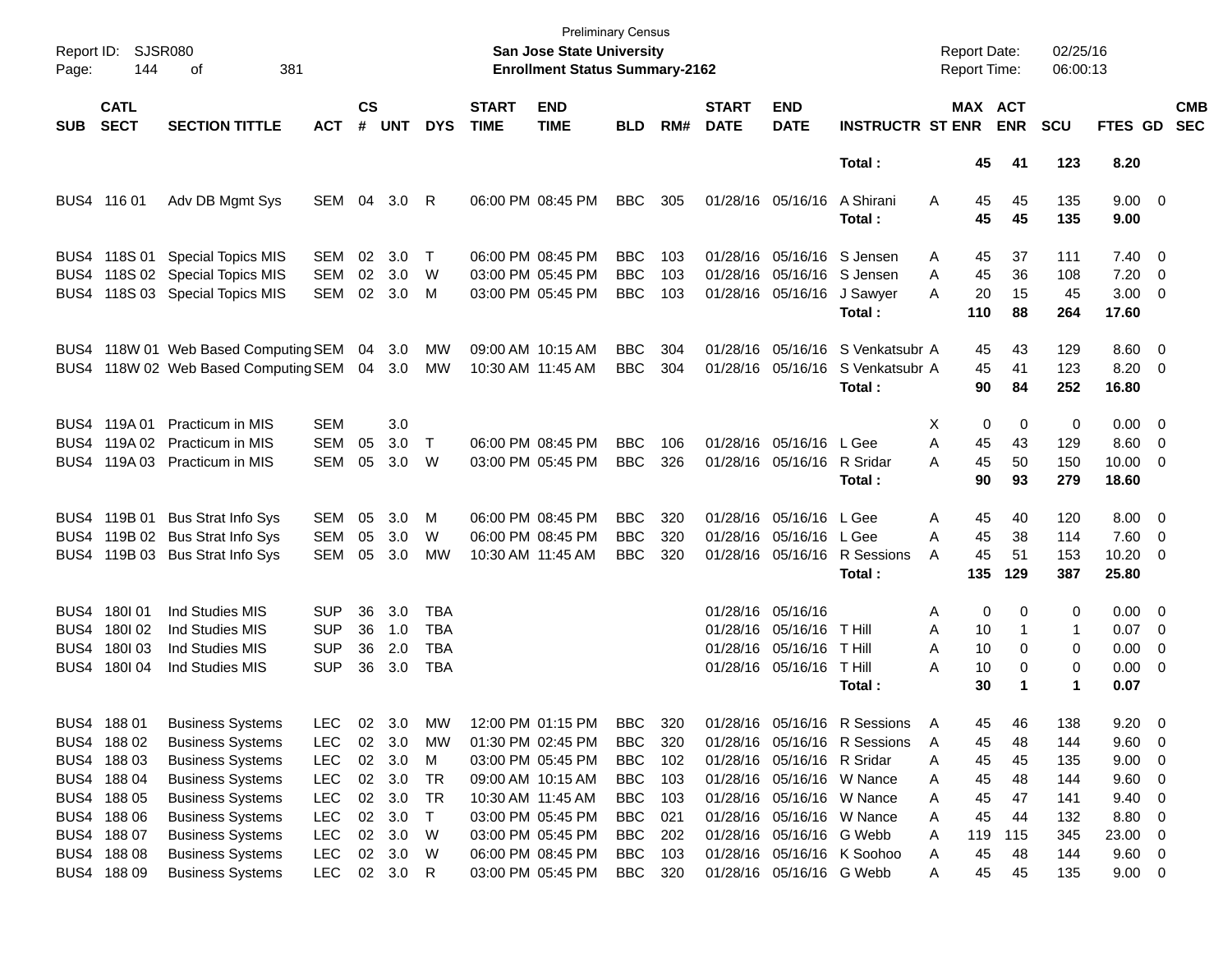| Page:      | Report ID: SJSR080<br>144  | 381<br>οf                            |            |                    |            |            |                             | <b>Preliminary Census</b><br>San Jose State University<br><b>Enrollment Status Summary-2162</b> |            |     |                             |                            |                                  | <b>Report Date:</b><br><b>Report Time:</b> |                       | 02/25/16<br>06:00:13 |                     |                          |                          |
|------------|----------------------------|--------------------------------------|------------|--------------------|------------|------------|-----------------------------|-------------------------------------------------------------------------------------------------|------------|-----|-----------------------------|----------------------------|----------------------------------|--------------------------------------------|-----------------------|----------------------|---------------------|--------------------------|--------------------------|
| <b>SUB</b> | <b>CATL</b><br><b>SECT</b> | <b>SECTION TITTLE</b>                | <b>ACT</b> | $\mathsf{cs}$<br># | <b>UNT</b> | <b>DYS</b> | <b>START</b><br><b>TIME</b> | <b>END</b><br><b>TIME</b>                                                                       | <b>BLD</b> | RM# | <b>START</b><br><b>DATE</b> | <b>END</b><br><b>DATE</b>  | <b>INSTRUCTR ST ENR</b>          |                                            | MAX ACT<br><b>ENR</b> | <b>SCU</b>           | <b>FTES GD</b>      |                          | <b>CMB</b><br><b>SEC</b> |
|            |                            |                                      |            |                    |            |            |                             |                                                                                                 |            |     |                             |                            | Total:                           | 45                                         | 41                    | 123                  | 8.20                |                          |                          |
|            | BUS4 116 01                | Adv DB Mgmt Sys                      | SEM        | 04                 | 3.0        | -R         |                             | 06:00 PM 08:45 PM                                                                               | <b>BBC</b> | 305 |                             | 01/28/16 05/16/16          | A Shirani<br>Total:              | A<br>45<br>45                              | 45<br>45              | 135<br>135           | $9.00 \t 0$<br>9.00 |                          |                          |
|            |                            | BUS4 118S 01 Special Topics MIS      | SEM        | 02                 | 3.0        | $\top$     |                             | 06:00 PM 08:45 PM                                                                               | BBC        | 103 |                             | 01/28/16 05/16/16 S Jensen |                                  | 45<br>Α                                    | 37                    | 111                  | $7.40 \quad 0$      |                          |                          |
|            |                            | BUS4 118S 02 Special Topics MIS      | <b>SEM</b> | 02                 | 3.0        | W          |                             | 03:00 PM 05:45 PM                                                                               | <b>BBC</b> | 103 |                             | 01/28/16 05/16/16 S Jensen |                                  | 45<br>A                                    | 36                    | 108                  | 7.20                | $\overline{\phantom{0}}$ |                          |
|            |                            | BUS4 118S 03 Special Topics MIS      | <b>SEM</b> | 02                 | 3.0        | M          |                             | 03:00 PM 05:45 PM                                                                               | <b>BBC</b> | 103 |                             | 01/28/16 05/16/16          | J Sawyer                         | 20<br>А                                    | 15                    | 45                   | $3.00 \ 0$          |                          |                          |
|            |                            |                                      |            |                    |            |            |                             |                                                                                                 |            |     |                             |                            | Total:                           | 110                                        | 88                    | 264                  | 17.60               |                          |                          |
|            |                            | BUS4 118W 01 Web Based Computing SEM |            | 04                 | 3.0        | MW         |                             | 09:00 AM 10:15 AM                                                                               | <b>BBC</b> | 304 |                             |                            | 01/28/16 05/16/16 S Venkatsubr A | 45                                         | 43                    | 129                  | $8.60 \quad 0$      |                          |                          |
|            |                            | BUS4 118W 02 Web Based Computing SEM |            |                    | 04 3.0     | MW         |                             | 10:30 AM 11:45 AM                                                                               | <b>BBC</b> | 304 |                             | 01/28/16 05/16/16          | S Venkatsubr A                   | 45                                         | 41                    | 123                  | 8.20 0              |                          |                          |
|            |                            |                                      |            |                    |            |            |                             |                                                                                                 |            |     |                             |                            | Total:                           | 90                                         | 84                    | 252                  | 16.80               |                          |                          |
|            | BUS4 119A 01               | <b>Practicum in MIS</b>              | SEM        |                    | 3.0        |            |                             |                                                                                                 |            |     |                             |                            |                                  | х<br>0                                     | 0                     | 0                    | $0.00 \t 0$         |                          |                          |
|            | BUS4 119A 02               | <b>Practicum in MIS</b>              | <b>SEM</b> | 05                 | 3.0        | $\top$     |                             | 06:00 PM 08:45 PM                                                                               | <b>BBC</b> | 106 |                             | 01/28/16 05/16/16          | L Gee                            | A<br>45                                    | 43                    | 129                  | $8.60 \quad 0$      |                          |                          |
|            |                            | BUS4 119A 03 Practicum in MIS        | <b>SEM</b> | 05                 | 3.0        | W          |                             | 03:00 PM 05:45 PM                                                                               | <b>BBC</b> | 326 |                             | 01/28/16 05/16/16          | R Sridar                         | 45<br>A                                    | 50                    | 150                  | $10.00 \t 0$        |                          |                          |
|            |                            |                                      |            |                    |            |            |                             |                                                                                                 |            |     |                             |                            | Total:                           | 90                                         | 93                    | 279                  | 18.60               |                          |                          |
|            |                            | BUS4 119B 01 Bus Strat Info Sys      | SEM        | 05                 | 3.0        | м          |                             | 06:00 PM 08:45 PM                                                                               | BBC        | 320 |                             | 01/28/16 05/16/16          | L Gee                            | 45<br>Α                                    | 40                    | 120                  | $8.00 \t 0$         |                          |                          |
|            |                            | BUS4 119B 02 Bus Strat Info Sys      | <b>SEM</b> | 05                 | 3.0        | W          |                             | 06:00 PM 08:45 PM                                                                               | <b>BBC</b> | 320 |                             | 01/28/16 05/16/16          | L Gee                            | A<br>45                                    | 38                    | 114                  | 7.60 0              |                          |                          |
|            |                            | BUS4 119B 03 Bus Strat Info Sys      | <b>SEM</b> | 05                 | 3.0        | MW         |                             | 10:30 AM 11:45 AM                                                                               | <b>BBC</b> | 320 |                             | 01/28/16 05/16/16          | R Sessions                       | 45<br>Α                                    | 51                    | 153                  | $10.20 \t 0$        |                          |                          |
|            |                            |                                      |            |                    |            |            |                             |                                                                                                 |            |     |                             |                            | Total:                           | 135                                        | 129                   | 387                  | 25.80               |                          |                          |
|            | BUS4 180 01                | Ind Studies MIS                      | <b>SUP</b> | 36                 | 3.0        | TBA        |                             |                                                                                                 |            |     | 01/28/16 05/16/16           |                            |                                  | Α                                          | 0<br>0                | 0                    | $0.00 \t 0$         |                          |                          |
|            | BUS4 180 02                | Ind Studies MIS                      | <b>SUP</b> | 36                 | 1.0        | <b>TBA</b> |                             |                                                                                                 |            |     |                             | 01/28/16 05/16/16          | T Hill                           | A<br>10                                    | 1                     | 1                    | 0.07                | $\overline{\phantom{0}}$ |                          |
|            | BUS4 180 03                | Ind Studies MIS                      | <b>SUP</b> | 36                 | 2.0        | <b>TBA</b> |                             |                                                                                                 |            |     |                             | 01/28/16 05/16/16          | T Hill                           | 10<br>A                                    | 0                     | 0                    | $0.00 \t 0$         |                          |                          |
|            | BUS4 180104                | <b>Ind Studies MIS</b>               | <b>SUP</b> | 36                 | 3.0        | <b>TBA</b> |                             |                                                                                                 |            |     |                             | 01/28/16 05/16/16          | T Hill                           | A<br>10                                    | 0                     | 0                    | $0.00 \t 0$         |                          |                          |
|            |                            |                                      |            |                    |            |            |                             |                                                                                                 |            |     |                             |                            | Total:                           | 30                                         | $\mathbf 1$           | $\blacktriangleleft$ | 0.07                |                          |                          |
|            | BUS4 188 01                | <b>Business Systems</b>              | <b>LEC</b> | 02                 | 3.0        | МW         |                             | 12:00 PM 01:15 PM                                                                               | <b>BBC</b> | 320 |                             |                            | 01/28/16 05/16/16 R Sessions     | 45<br>A                                    | 46                    | 138                  | 9.20                | - 0                      |                          |
|            | BUS4 188 02                | <b>Business Systems</b>              | <b>LEC</b> | 02                 | 3.0        | МW         |                             | 01:30 PM 02:45 PM                                                                               | <b>BBC</b> | 320 |                             |                            | 01/28/16 05/16/16 R Sessions     | 45<br>Α                                    | 48                    | 144                  | 9.60                | $\overline{\phantom{0}}$ |                          |
|            | BUS4 188 03                | <b>Business Systems</b>              | <b>LEC</b> | $02\,$             | 3.0        | M          |                             | 03:00 PM 05:45 PM                                                                               | <b>BBC</b> | 102 |                             | 01/28/16 05/16/16 R Sridar |                                  | 45<br>Α                                    | 45                    | 135                  | 9.00                | $\overline{\phantom{0}}$ |                          |
|            | BUS4 188 04                | <b>Business Systems</b>              | <b>LEC</b> | $02\,$             | 3.0        | TR         |                             | 09:00 AM 10:15 AM                                                                               | <b>BBC</b> | 103 |                             | 01/28/16 05/16/16 W Nance  |                                  | 45<br>Α                                    | 48                    | 144                  | 9.60                | $\overline{\phantom{0}}$ |                          |
|            | BUS4 188 05                | <b>Business Systems</b>              | <b>LEC</b> | $02\,$             | 3.0        | TR         |                             | 10:30 AM 11:45 AM                                                                               | <b>BBC</b> | 103 |                             | 01/28/16 05/16/16 W Nance  |                                  | 45<br>Α                                    | 47                    | 141                  | 9.40                | $\overline{\phantom{0}}$ |                          |
|            | BUS4 188 06                | <b>Business Systems</b>              | <b>LEC</b> | $02\,$             | 3.0        | $\top$     |                             | 03:00 PM 05:45 PM                                                                               | <b>BBC</b> | 021 |                             | 01/28/16 05/16/16 W Nance  |                                  | 45<br>Α                                    | 44                    | 132                  | 8.80                | $\overline{\phantom{0}}$ |                          |
|            | BUS4 188 07                | <b>Business Systems</b>              | <b>LEC</b> | $02\,$             | 3.0        | W          |                             | 03:00 PM 05:45 PM                                                                               | <b>BBC</b> | 202 |                             | 01/28/16 05/16/16 G Webb   |                                  | 119<br>Α                                   | 115                   | 345                  | 23.00               | $\overline{\phantom{0}}$ |                          |
|            | BUS4 188 08                | <b>Business Systems</b>              | <b>LEC</b> | $02\,$             | 3.0        | W          |                             | 06:00 PM 08:45 PM                                                                               | <b>BBC</b> | 103 |                             |                            | 01/28/16 05/16/16 K Soohoo       | 45<br>Α                                    | 48                    | 144                  | 9.60 0              |                          |                          |
|            | BUS4 188 09                | <b>Business Systems</b>              | <b>LEC</b> |                    | 02 3.0 R   |            |                             | 03:00 PM 05:45 PM                                                                               | BBC        | 320 |                             | 01/28/16 05/16/16 G Webb   |                                  | 45<br>Α                                    | 45                    | 135                  | $9.00 \t 0$         |                          |                          |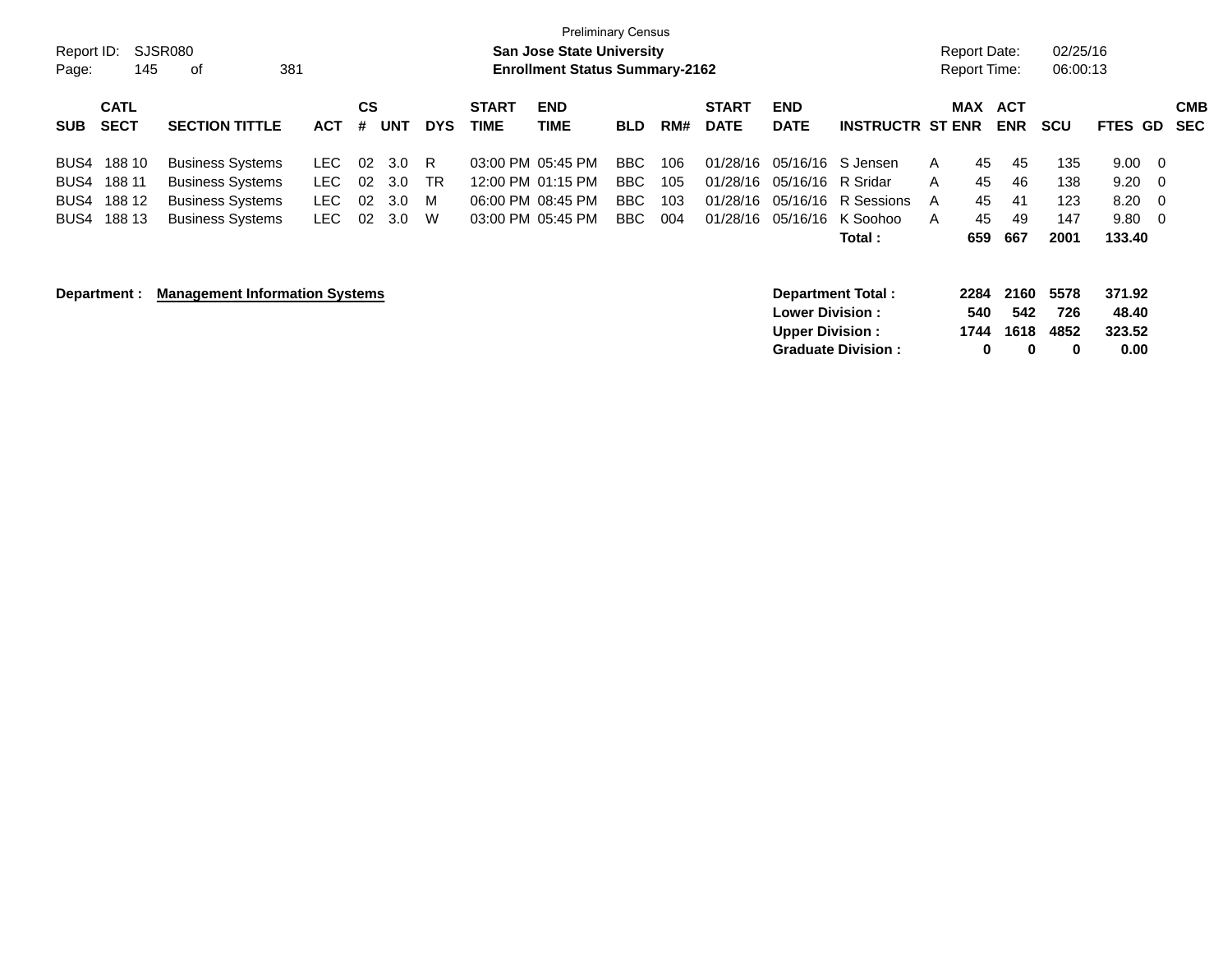|            |              |                                       |            |           |            |            |                   | <b>Preliminary Census</b>             |            |     |              |                          |                           |              |                     |            |            |         |                         |
|------------|--------------|---------------------------------------|------------|-----------|------------|------------|-------------------|---------------------------------------|------------|-----|--------------|--------------------------|---------------------------|--------------|---------------------|------------|------------|---------|-------------------------|
| Report ID: |              | SJSR080                               |            |           |            |            |                   | <b>San Jose State University</b>      |            |     |              |                          |                           |              | <b>Report Date:</b> |            | 02/25/16   |         |                         |
| Page:      | 145          | 381<br>οf                             |            |           |            |            |                   | <b>Enrollment Status Summary-2162</b> |            |     |              |                          |                           |              | <b>Report Time:</b> |            | 06:00:13   |         |                         |
|            | <b>CATL</b>  |                                       |            | <b>CS</b> |            |            | <b>START</b>      | <b>END</b>                            |            |     | <b>START</b> | <b>END</b>               |                           |              | <b>MAX</b>          | <b>ACT</b> |            |         | <b>CMB</b>              |
| <b>SUB</b> | <b>SECT</b>  | <b>SECTION TITTLE</b>                 | <b>ACT</b> | #         | <b>UNT</b> | <b>DYS</b> | <b>TIME</b>       | <b>TIME</b>                           | <b>BLD</b> | RM# | <b>DATE</b>  | <b>DATE</b>              | <b>INSTRUCTR ST ENR</b>   |              |                     | <b>ENR</b> | <b>SCU</b> | FTES GD | <b>SEC</b>              |
| BUS4       | 188 10       | <b>Business Systems</b>               | LEC.       | 02        | 3.0        | R.         |                   | 03:00 PM 05:45 PM                     | BBC        | 106 | 01/28/16     |                          | 05/16/16 S Jensen         | $\mathsf{A}$ | 45                  | 45         | 135        | 9.00    | - 0                     |
| BUS4       | 188 11       | <b>Business Systems</b>               | LEC.       | 02        | 3.0        | TR.        |                   | 12:00 PM 01:15 PM                     | BBC        | 105 | 01/28/16     | 05/16/16                 | R Sridar                  | $\mathsf{A}$ | 45                  | 46         | 138        | 9.20    | - 0                     |
| BUS4       | 188 12       | <b>Business Systems</b>               | LEC.       | 02        | 3.0        | M          |                   | 06:00 PM 08:45 PM                     | BBC        | 103 | 01/28/16     | 05/16/16                 | R Sessions                | A            | 45                  | 41         | 123        | 8.20    | - 0                     |
| BUS4       | 188 13       | <b>Business Systems</b>               | LEC.       | 02        | 3.0        | W          | 03:00 PM 05:45 PM |                                       | BBC        | 004 | 01/28/16     | 05/16/16                 | K Soohoo                  | A            | 45                  | 49         | 147        | 9.80    | $\overline{\mathbf{0}}$ |
|            |              |                                       |            |           |            |            |                   |                                       |            |     |              |                          | Total :                   |              | 659                 | 667        | 2001       | 133.40  |                         |
|            |              |                                       |            |           |            |            |                   |                                       |            |     |              |                          |                           |              |                     |            |            |         |                         |
|            | Department : | <b>Management Information Systems</b> |            |           |            |            |                   |                                       |            |     |              | <b>Department Total:</b> |                           |              | 2284                | 2160       | 5578       | 371.92  |                         |
|            |              |                                       |            |           |            |            |                   |                                       |            |     |              | <b>Lower Division:</b>   |                           |              | 540                 | 542        | 726        | 48.40   |                         |
|            |              |                                       |            |           |            |            |                   |                                       |            |     |              | <b>Upper Division:</b>   |                           |              | 1744                | 1618       | 4852       | 323.52  |                         |
|            |              |                                       |            |           |            |            |                   |                                       |            |     |              |                          | <b>Graduate Division:</b> |              | 0                   | 0          | 0          | 0.00    |                         |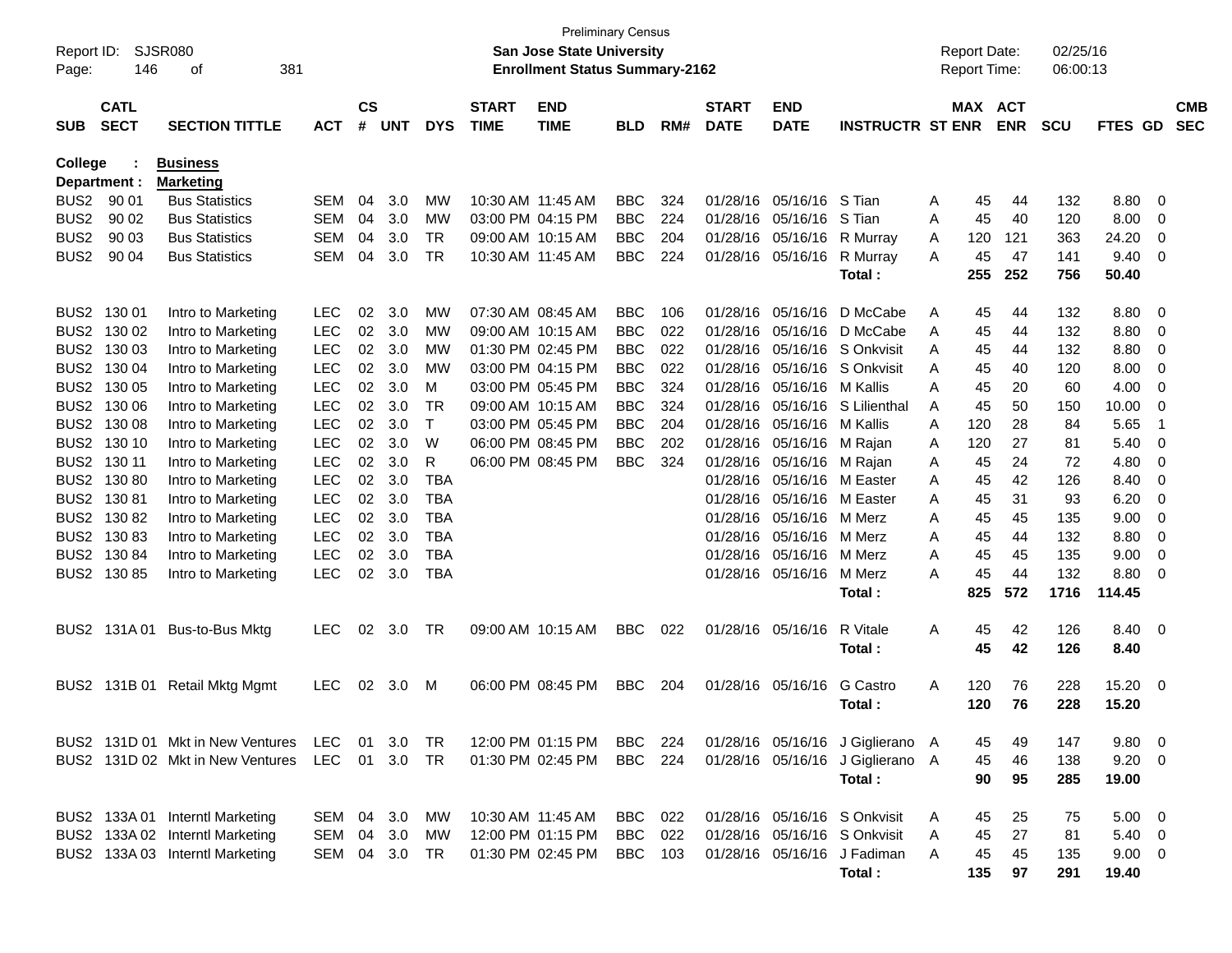| Report ID:<br>Page: | 146                        | <b>SJSR080</b><br>381<br>οf      |            |                    |            |            |                             | <b>San Jose State University</b><br><b>Enrollment Status Summary-2162</b> | <b>Preliminary Census</b> |     |                             |                           |                                  |   | <b>Report Date:</b><br><b>Report Time:</b> |            | 02/25/16<br>06:00:13 |             |                          |                          |
|---------------------|----------------------------|----------------------------------|------------|--------------------|------------|------------|-----------------------------|---------------------------------------------------------------------------|---------------------------|-----|-----------------------------|---------------------------|----------------------------------|---|--------------------------------------------|------------|----------------------|-------------|--------------------------|--------------------------|
| <b>SUB</b>          | <b>CATL</b><br><b>SECT</b> | <b>SECTION TITTLE</b>            | <b>ACT</b> | $\mathsf{cs}$<br># | <b>UNT</b> | <b>DYS</b> | <b>START</b><br><b>TIME</b> | <b>END</b><br><b>TIME</b>                                                 | <b>BLD</b>                | RM# | <b>START</b><br><b>DATE</b> | <b>END</b><br><b>DATE</b> | <b>INSTRUCTR ST ENR</b>          |   | MAX ACT                                    | <b>ENR</b> | <b>SCU</b>           | FTES GD     |                          | <b>CMB</b><br><b>SEC</b> |
| College             |                            | <b>Business</b>                  |            |                    |            |            |                             |                                                                           |                           |     |                             |                           |                                  |   |                                            |            |                      |             |                          |                          |
|                     | Department :               | <b>Marketing</b>                 |            |                    |            |            |                             |                                                                           |                           |     |                             |                           |                                  |   |                                            |            |                      |             |                          |                          |
| BUS <sub>2</sub>    | 90 01                      | <b>Bus Statistics</b>            | SEM        | 04                 | 3.0        | МW         | 10:30 AM 11:45 AM           |                                                                           | <b>BBC</b>                | 324 | 01/28/16                    | 05/16/16                  | S Tian                           | A | 45                                         | 44         | 132                  | 8.80        | 0                        |                          |
| BUS <sub>2</sub>    | 90 02                      | <b>Bus Statistics</b>            | <b>SEM</b> | 04                 | 3.0        | МW         |                             | 03:00 PM 04:15 PM                                                         | <b>BBC</b>                | 224 | 01/28/16                    | 05/16/16                  | S Tian                           | A | 45                                         | 40         | 120                  | 8.00        | 0                        |                          |
| BUS <sub>2</sub>    | 90 03                      | <b>Bus Statistics</b>            | SEM        | 04                 | 3.0        | TR.        |                             | 09:00 AM 10:15 AM                                                         | <b>BBC</b>                | 204 | 01/28/16                    | 05/16/16                  | R Murray                         | A | 120                                        | 121        | 363                  | 24.20       | 0                        |                          |
| BUS <sub>2</sub>    | 90 04                      | <b>Bus Statistics</b>            | SEM        | 04                 | 3.0        | <b>TR</b>  | 10:30 AM 11:45 AM           |                                                                           | <b>BBC</b>                | 224 | 01/28/16                    | 05/16/16                  | R Murray                         | A | 45                                         | 47         | 141                  | 9.40        | 0                        |                          |
|                     |                            |                                  |            |                    |            |            |                             |                                                                           |                           |     |                             |                           | Total:                           |   | 255                                        | 252        | 756                  | 50.40       |                          |                          |
| BUS <sub>2</sub>    | 130 01                     | Intro to Marketing               | <b>LEC</b> | 02                 | 3.0        | МW         |                             | 07:30 AM 08:45 AM                                                         | <b>BBC</b>                | 106 | 01/28/16                    | 05/16/16                  | D McCabe                         | Α | 45                                         | 44         | 132                  | 8.80        | 0                        |                          |
| BUS <sub>2</sub>    | 130 02                     | Intro to Marketing               | <b>LEC</b> | 02                 | 3.0        | МW         |                             | 09:00 AM 10:15 AM                                                         | <b>BBC</b>                | 022 | 01/28/16                    | 05/16/16                  | D McCabe                         | A | 45                                         | 44         | 132                  | 8.80        | 0                        |                          |
| BUS <sub>2</sub>    | 130 03                     | Intro to Marketing               | <b>LEC</b> | 02                 | 3.0        | МW         |                             | 01:30 PM 02:45 PM                                                         | <b>BBC</b>                | 022 | 01/28/16                    | 05/16/16                  | S Onkvisit                       | A | 45                                         | 44         | 132                  | 8.80        | 0                        |                          |
| BUS <sub>2</sub>    | 130 04                     | Intro to Marketing               | <b>LEC</b> | 02                 | 3.0        | МW         |                             | 03:00 PM 04:15 PM                                                         | <b>BBC</b>                | 022 | 01/28/16                    |                           | 05/16/16 S Onkvisit              | A | 45                                         | 40         | 120                  | 8.00        | 0                        |                          |
| BUS <sub>2</sub>    | 130 05                     | Intro to Marketing               | <b>LEC</b> | 02                 | 3.0        | м          |                             | 03:00 PM 05:45 PM                                                         | <b>BBC</b>                | 324 | 01/28/16                    | 05/16/16 M Kallis         |                                  | A | 45                                         | 20         | 60                   | 4.00        | 0                        |                          |
| BUS <sub>2</sub>    | 130 06                     | Intro to Marketing               | <b>LEC</b> | 02                 | 3.0        | TR         |                             | 09:00 AM 10:15 AM                                                         | <b>BBC</b>                | 324 | 01/28/16                    | 05/16/16                  | S Lilienthal                     | A | 45                                         | 50         | 150                  | 10.00       | 0                        |                          |
| BUS <sub>2</sub>    | 130 08                     | Intro to Marketing               | <b>LEC</b> | 02                 | 3.0        | т          |                             | 03:00 PM 05:45 PM                                                         | <b>BBC</b>                | 204 | 01/28/16                    | 05/16/16                  | M Kallis                         | A | 120                                        | 28         | 84                   | 5.65        | -1                       |                          |
| BUS <sub>2</sub>    | 130 10                     | Intro to Marketing               | <b>LEC</b> | 02                 | 3.0        | W          |                             | 06:00 PM 08:45 PM                                                         | <b>BBC</b>                | 202 | 01/28/16                    | 05/16/16 M Rajan          |                                  | A | 120                                        | 27         | 81                   | 5.40        | 0                        |                          |
| BUS <sub>2</sub>    | 130 11                     | Intro to Marketing               | <b>LEC</b> | 02                 | 3.0        | R          |                             | 06:00 PM 08:45 PM                                                         | <b>BBC</b>                | 324 | 01/28/16                    | 05/16/16 M Rajan          |                                  | A | 45                                         | 24         | 72                   | 4.80        | 0                        |                          |
| BUS <sub>2</sub>    | 13080                      | Intro to Marketing               | <b>LEC</b> | 02                 | 3.0        | <b>TBA</b> |                             |                                                                           |                           |     | 01/28/16                    |                           | 05/16/16 M Easter                | A | 45                                         | 42         | 126                  | 8.40        | 0                        |                          |
| BUS <sub>2</sub>    | 13081                      | Intro to Marketing               | <b>LEC</b> | 02                 | 3.0        | <b>TBA</b> |                             |                                                                           |                           |     | 01/28/16                    | 05/16/16                  | M Easter                         | A | 45                                         | 31         | 93                   | 6.20        | 0                        |                          |
| BUS <sub>2</sub>    | 13082                      | Intro to Marketing               | <b>LEC</b> | 02                 | 3.0        | <b>TBA</b> |                             |                                                                           |                           |     | 01/28/16                    | 05/16/16                  | M Merz                           | A | 45                                         | 45         | 135                  | 9.00        | 0                        |                          |
| BUS <sub>2</sub>    | 13083                      | Intro to Marketing               | <b>LEC</b> | 02                 | 3.0        | TBA        |                             |                                                                           |                           |     | 01/28/16                    | 05/16/16                  | M Merz                           | A | 45                                         | 44         | 132                  | 8.80        | 0                        |                          |
| BUS <sub>2</sub>    | 130 84                     | Intro to Marketing               | <b>LEC</b> | 02                 | 3.0        | TBA        |                             |                                                                           |                           |     | 01/28/16                    | 05/16/16                  | M Merz                           | A | 45                                         | 45         | 135                  | 9.00        | 0                        |                          |
| BUS2                | 13085                      | Intro to Marketing               | <b>LEC</b> | 02                 | 3.0        | <b>TBA</b> |                             |                                                                           |                           |     | 01/28/16                    | 05/16/16                  | M Merz                           | A | 45                                         | 44         | 132                  | 8.80        | - 0                      |                          |
|                     |                            |                                  |            |                    |            |            |                             |                                                                           |                           |     |                             |                           | Total :                          |   | 825                                        | 572        | 1716                 | 114.45      |                          |                          |
| BUS2                | 131A 01                    | Bus-to-Bus Mktg                  | <b>LEC</b> | 02                 | 3.0        | TR         |                             | 09:00 AM 10:15 AM                                                         | <b>BBC</b>                | 022 |                             | 01/28/16 05/16/16         | R Vitale                         | A | 45                                         | 42         | 126                  | 8.40        | $\overline{\phantom{0}}$ |                          |
|                     |                            |                                  |            |                    |            |            |                             |                                                                           |                           |     |                             |                           | Total :                          |   | 45                                         | 42         | 126                  | 8.40        |                          |                          |
| BUS2                | 131B 01                    | Retail Mktg Mgmt                 | <b>LEC</b> | 02                 | 3.0        | M          |                             | 06:00 PM 08:45 PM                                                         | <b>BBC</b>                | 204 | 01/28/16                    | 05/16/16                  | G Castro                         | A | 120                                        | 76         | 228                  | 15.20       | $\overline{\mathbf{0}}$  |                          |
|                     |                            |                                  |            |                    |            |            |                             |                                                                           |                           |     |                             |                           | Total :                          |   | 120                                        | 76         | 228                  | 15.20       |                          |                          |
|                     |                            | BUS2 131D 01 Mkt in New Ventures | LEC 01     |                    | 3.0        | TR         |                             | 12:00 PM 01:15 PM                                                         | <b>BBC</b> 224            |     |                             |                           | 01/28/16 05/16/16 J Giglierano A |   | 45                                         | 49         | 147                  | 9.80 0      |                          |                          |
|                     |                            | BUS2 131D 02 Mkt in New Ventures | LEC 01     |                    | 3.0        | TR         |                             | 01:30 PM 02:45 PM                                                         | <b>BBC</b> 224            |     |                             |                           | 01/28/16 05/16/16 J Giglierano A |   | 45                                         | 46         | 138                  | $9.20 \ 0$  |                          |                          |
|                     |                            |                                  |            |                    |            |            |                             |                                                                           |                           |     |                             |                           | Total:                           |   | 90                                         | 95         | 285                  | 19.00       |                          |                          |
|                     |                            | BUS2 133A 01 Interntl Marketing  | SEM 04 3.0 |                    |            | МW         |                             | 10:30 AM 11:45 AM                                                         | BBC                       | 022 |                             |                           | 01/28/16 05/16/16 S Onkvisit     | A | 45                                         | 25         | 75                   | $5.00 \t 0$ |                          |                          |
|                     |                            | BUS2 133A 02 Interntl Marketing  | SEM        | 04                 | 3.0        | <b>MW</b>  |                             | 12:00 PM 01:15 PM                                                         | <b>BBC</b>                | 022 |                             |                           | 01/28/16 05/16/16 S Onkvisit     | Α | 45                                         | 27         | 81                   | 5.40 0      |                          |                          |
|                     |                            | BUS2 133A 03 Interntl Marketing  | SEM 04 3.0 |                    |            | TR         |                             | 01:30 PM 02:45 PM                                                         | BBC                       | 103 |                             |                           | 01/28/16 05/16/16 J Fadiman      | A | 45                                         | 45         | 135                  | $9.00 \t 0$ |                          |                          |
|                     |                            |                                  |            |                    |            |            |                             |                                                                           |                           |     |                             |                           | Total:                           |   | 135                                        | 97         | 291                  | 19.40       |                          |                          |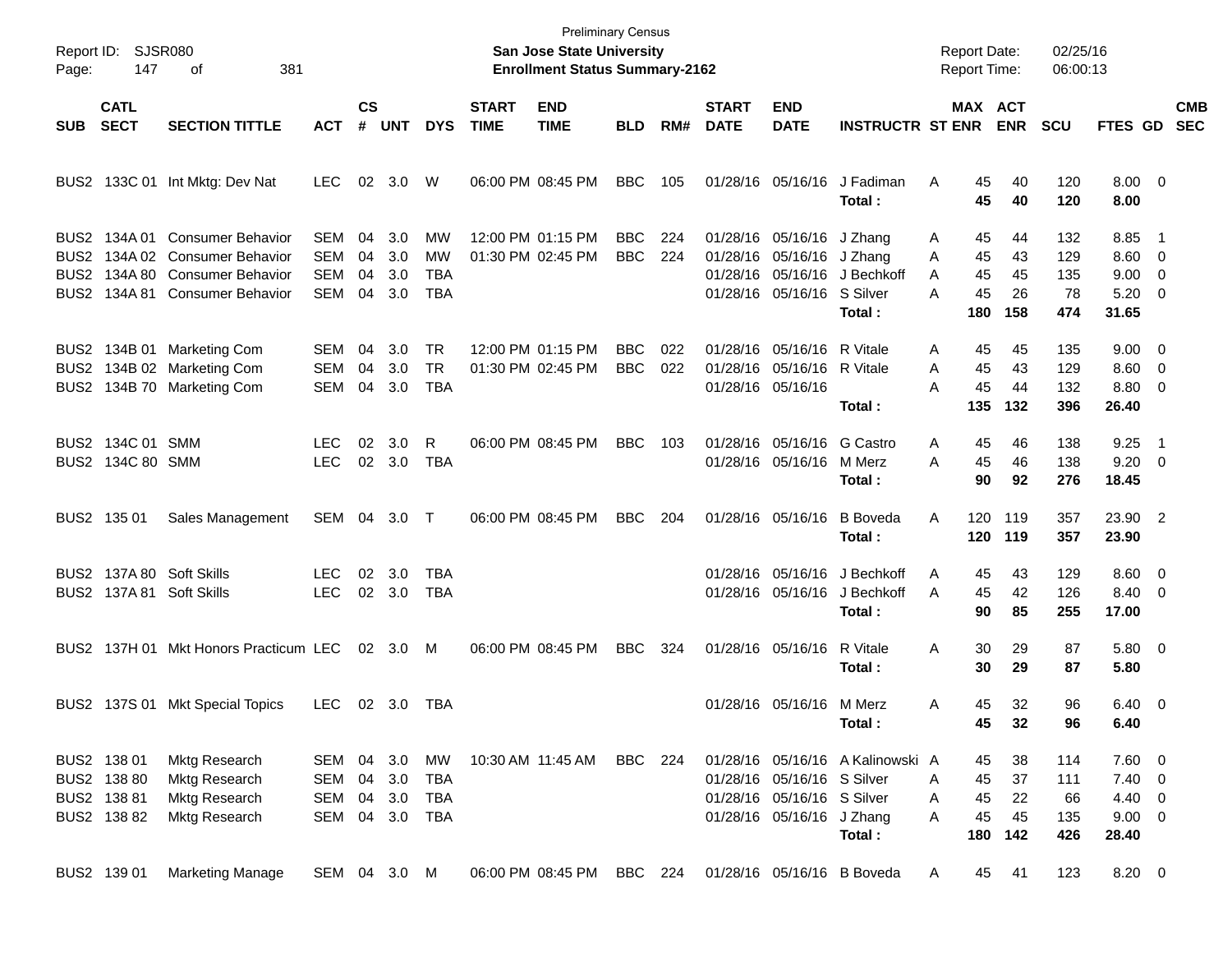| Page:        | Report ID: SJSR080<br>147                                | 381<br>оf                                                                                                            |                                               |                      |                             |                                      |                             | <b>Preliminary Census</b><br><b>San Jose State University</b><br><b>Enrollment Status Summary-2162</b> |                          |            |                             |                                                                                       |                                                      | <b>Report Date:</b><br>Report Time:             |                             | 02/25/16<br>06:00:13           |                                                            |                                 |                          |
|--------------|----------------------------------------------------------|----------------------------------------------------------------------------------------------------------------------|-----------------------------------------------|----------------------|-----------------------------|--------------------------------------|-----------------------------|--------------------------------------------------------------------------------------------------------|--------------------------|------------|-----------------------------|---------------------------------------------------------------------------------------|------------------------------------------------------|-------------------------------------------------|-----------------------------|--------------------------------|------------------------------------------------------------|---------------------------------|--------------------------|
| <b>SUB</b>   | <b>CATL</b><br><b>SECT</b>                               | <b>SECTION TITTLE</b>                                                                                                | <b>ACT</b>                                    | $\mathsf{cs}$        | # UNT                       | <b>DYS</b>                           | <b>START</b><br><b>TIME</b> | <b>END</b><br><b>TIME</b>                                                                              | BLD.                     | RM#        | <b>START</b><br><b>DATE</b> | <b>END</b><br><b>DATE</b>                                                             | <b>INSTRUCTR ST ENR</b>                              | MAX ACT                                         | <b>ENR</b>                  | <b>SCU</b>                     | <b>FTES GD</b>                                             |                                 | <b>CMB</b><br><b>SEC</b> |
|              |                                                          | BUS2 133C 01 Int Mktg: Dev Nat                                                                                       | LEC.                                          |                      | 02 3.0                      | W                                    |                             | 06:00 PM 08:45 PM                                                                                      | <b>BBC</b>               | 105        |                             | 01/28/16 05/16/16                                                                     | J Fadiman<br>Total:                                  | 45<br>A<br>45                                   | 40<br>40                    | 120<br>120                     | $8.00 \t 0$<br>8.00                                        |                                 |                          |
| BUS2<br>BUS2 | BUS2 134A 01                                             | <b>Consumer Behavior</b><br>134A 02 Consumer Behavior<br>134A 80 Consumer Behavior<br>BUS2 134A 81 Consumer Behavior | SEM<br><b>SEM</b><br><b>SEM</b><br><b>SEM</b> | 04<br>04<br>04<br>04 | 3.0<br>3.0<br>3.0<br>3.0    | MW<br>MW<br>TBA<br><b>TBA</b>        |                             | 12:00 PM 01:15 PM<br>01:30 PM 02:45 PM                                                                 | BBC.<br><b>BBC</b>       | 224<br>224 |                             | 01/28/16 05/16/16 J Zhang<br>01/28/16 05/16/16 J Zhang<br>01/28/16 05/16/16 S Silver  | 01/28/16 05/16/16 J Bechkoff<br>Total:               | 45<br>Α<br>45<br>Α<br>45<br>A<br>45<br>A<br>180 | 44<br>43<br>45<br>26<br>158 | 132<br>129<br>135<br>78<br>474 | 8.85<br>$8.60$ 0<br>$9.00 \t 0$<br>$5.20 \ 0$<br>31.65     | - 1                             |                          |
| BUS2         |                                                          | BUS2 134B 01 Marketing Com<br>134B 02 Marketing Com<br>BUS2 134B 70 Marketing Com                                    | SEM<br><b>SEM</b><br><b>SEM</b>               | 04<br>04<br>04       | 3.0<br>3.0<br>3.0           | <b>TR</b><br><b>TR</b><br><b>TBA</b> |                             | 12:00 PM 01:15 PM<br>01:30 PM 02:45 PM                                                                 | <b>BBC</b><br><b>BBC</b> | 022<br>022 |                             | 01/28/16 05/16/16 R Vitale<br>01/28/16 05/16/16 R Vitale<br>01/28/16 05/16/16         | Total:                                               | 45<br>Α<br>45<br>Α<br>45<br>А<br>135            | 45<br>43<br>44<br>132       | 135<br>129<br>132<br>396       | $9.00 \quad 0$<br>$8.60$ 0<br>8.80 0<br>26.40              |                                 |                          |
|              | BUS2 134C 01 SMM<br>BUS2 134C 80 SMM                     |                                                                                                                      | LEC<br><b>LEC</b>                             | 02<br>02             | 3.0<br>3.0                  | R<br><b>TBA</b>                      |                             | 06:00 PM 08:45 PM                                                                                      | <b>BBC</b>               | 103        |                             | 01/28/16 05/16/16 G Castro<br>01/28/16 05/16/16 M Merz                                | Total:                                               | 45<br>Α<br>45<br>Α<br>90                        | 46<br>46<br>92              | 138<br>138<br>276              | 9.25<br>9.20<br>18.45                                      | - 1<br>$\overline{\phantom{0}}$ |                          |
|              | BUS2 135 01                                              | Sales Management                                                                                                     | SEM 04 3.0                                    |                      |                             | $\top$                               |                             | 06:00 PM 08:45 PM                                                                                      | <b>BBC</b>               | 204        |                             | 01/28/16 05/16/16                                                                     | <b>B</b> Boveda<br>Total:                            | A<br>120<br>120                                 | 119<br>119                  | 357<br>357                     | 23.90 2<br>23.90                                           |                                 |                          |
|              |                                                          | BUS2 137A 80 Soft Skills<br>BUS2 137A 81 Soft Skills                                                                 | LEC<br><b>LEC</b>                             | 02<br>02             | 3.0<br>3.0                  | TBA<br>TBA                           |                             |                                                                                                        |                          |            |                             | 01/28/16 05/16/16                                                                     | 01/28/16 05/16/16 J Bechkoff<br>J Bechkoff<br>Total: | A<br>45<br>45<br>A<br>90                        | 43<br>42<br>85              | 129<br>126<br>255              | $8.60 \quad 0$<br>8.40 0<br>17.00                          |                                 |                          |
|              |                                                          | BUS2 137H 01 Mkt Honors Practicum LEC                                                                                |                                               |                      | $02 \quad 3.0$              | M                                    |                             | 06:00 PM 08:45 PM                                                                                      | <b>BBC</b>               | 324        |                             | 01/28/16 05/16/16                                                                     | R Vitale<br>Total:                                   | 30<br>Α<br>30                                   | 29<br>29                    | 87<br>87                       | 5.80 0<br>5.80                                             |                                 |                          |
|              |                                                          | BUS2 137S 01 Mkt Special Topics                                                                                      | LEC.                                          |                      | 02 3.0                      | TBA                                  |                             |                                                                                                        |                          |            |                             | 01/28/16 05/16/16 M Merz                                                              | Total:                                               | 45<br>Α<br>45                                   | 32<br>32                    | 96<br>96                       | $6.40 \quad 0$<br>6.40                                     |                                 |                          |
|              | BUS2 138 01<br>BUS2 138 80<br>BUS2 138 81<br>BUS2 138 82 | Mktg Research<br>Mktg Research<br><b>Mktg Research</b><br>Mktg Research                                              | SEM<br>SEM<br><b>SEM</b><br>SEM               | 04<br>04<br>04       | 3.0<br>3.0<br>3.0<br>04 3.0 | МW<br>TBA<br>TBA<br>TBA              |                             | 10:30 AM 11:45 AM                                                                                      | <b>BBC</b> 224           |            |                             | 01/28/16 05/16/16 S Silver<br>01/28/16 05/16/16 S Silver<br>01/28/16 05/16/16 J Zhang | 01/28/16 05/16/16 A Kalinowski A<br>Total:           | 45<br>45<br>Α<br>45<br>Α<br>45<br>A<br>180      | 38<br>37<br>22<br>45<br>142 | 114<br>111<br>66<br>135<br>426 | 7.60 0<br>$7.40 \ 0$<br>$4.40 \ 0$<br>$9.00 \t 0$<br>28.40 |                                 |                          |
|              | BUS2 139 01                                              | <b>Marketing Manage</b>                                                                                              | SEM 04 3.0 M                                  |                      |                             |                                      |                             | 06:00 PM 08:45 PM                                                                                      | <b>BBC</b> 224           |            |                             |                                                                                       | 01/28/16 05/16/16 B Boveda                           | 45<br>A                                         | 41                          | 123                            | 8.20 0                                                     |                                 |                          |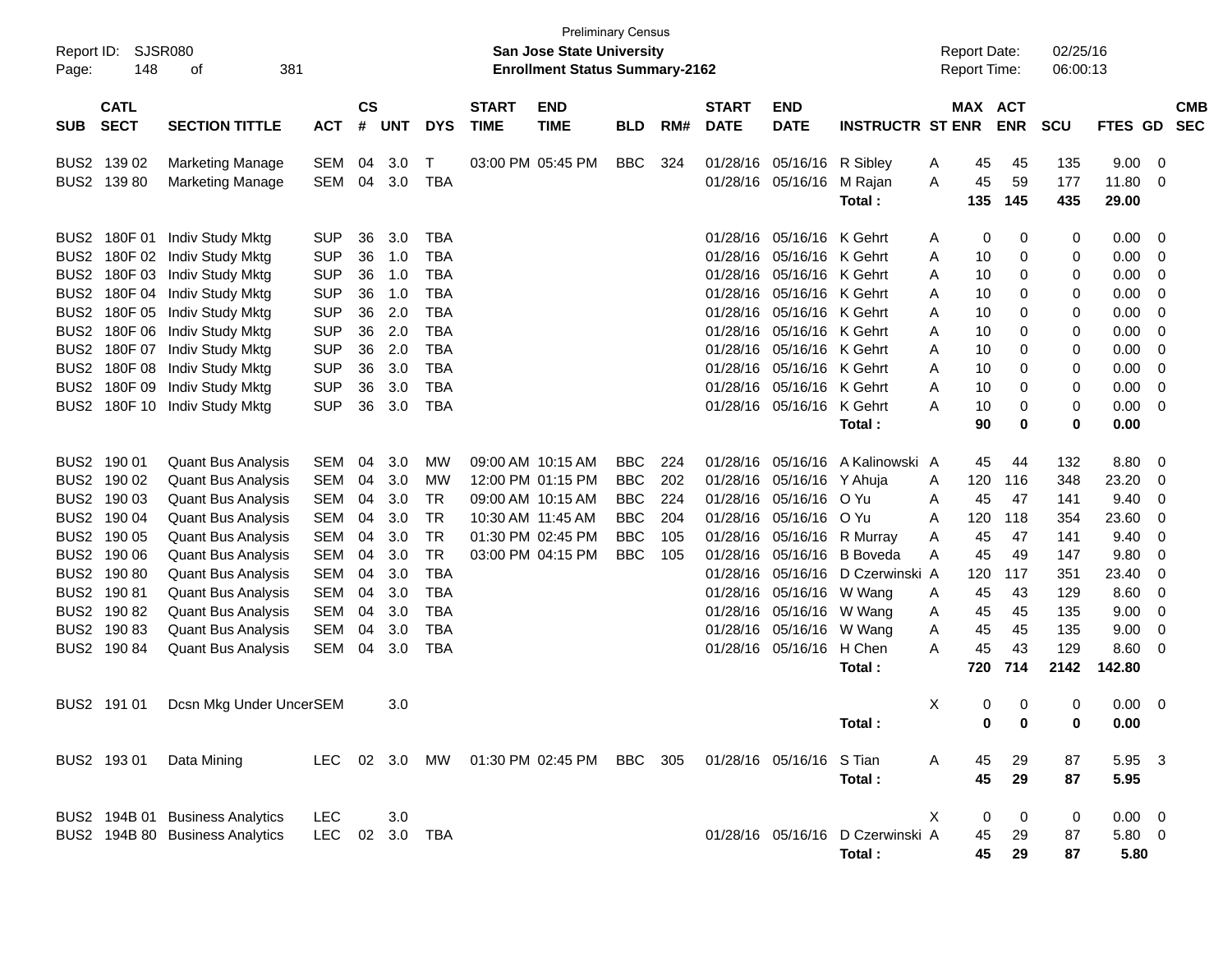| Report ID:<br>Page:                                                                                                                                          | 148                                                                            | <b>SJSR080</b><br>381<br>οf                                                                                                                                                                                                       |                                                                                                                                          |                                                          |                                                                    |                                                                                                                                          |                             | <b>Preliminary Census</b><br>San Jose State University<br><b>Enrollment Status Summary-2162</b> |                                                      |                          |                                                                                                          |                                                                                                                                                                                                               |                                                       |                                                | <b>Report Date:</b><br><b>Report Time:</b>              |                                                | 02/25/16<br>06:00:13                           |                                                                              |                                                                         |            |
|--------------------------------------------------------------------------------------------------------------------------------------------------------------|--------------------------------------------------------------------------------|-----------------------------------------------------------------------------------------------------------------------------------------------------------------------------------------------------------------------------------|------------------------------------------------------------------------------------------------------------------------------------------|----------------------------------------------------------|--------------------------------------------------------------------|------------------------------------------------------------------------------------------------------------------------------------------|-----------------------------|-------------------------------------------------------------------------------------------------|------------------------------------------------------|--------------------------|----------------------------------------------------------------------------------------------------------|---------------------------------------------------------------------------------------------------------------------------------------------------------------------------------------------------------------|-------------------------------------------------------|------------------------------------------------|---------------------------------------------------------|------------------------------------------------|------------------------------------------------|------------------------------------------------------------------------------|-------------------------------------------------------------------------|------------|
| <b>SUB</b>                                                                                                                                                   | <b>CATL</b><br><b>SECT</b>                                                     | <b>SECTION TITTLE</b>                                                                                                                                                                                                             | <b>ACT</b>                                                                                                                               | <b>CS</b><br>#                                           | <b>UNT</b>                                                         | <b>DYS</b>                                                                                                                               | <b>START</b><br><b>TIME</b> | <b>END</b><br><b>TIME</b>                                                                       | <b>BLD</b>                                           | RM#                      | <b>START</b><br><b>DATE</b>                                                                              | <b>END</b><br><b>DATE</b>                                                                                                                                                                                     | <b>INSTRUCTR ST ENR</b>                               |                                                | <b>MAX ACT</b>                                          | <b>ENR</b>                                     | <b>SCU</b>                                     | FTES GD SEC                                                                  |                                                                         | <b>CMB</b> |
|                                                                                                                                                              | BUS2 139 02<br>BUS2 139 80                                                     | <b>Marketing Manage</b><br><b>Marketing Manage</b>                                                                                                                                                                                | SEM<br>SEM                                                                                                                               | 04<br>04                                                 | 3.0<br>3.0                                                         | $\mathsf{T}$<br><b>TBA</b>                                                                                                               |                             | 03:00 PM 05:45 PM                                                                               | <b>BBC</b>                                           | 324                      | 01/28/16                                                                                                 | 05/16/16<br>01/28/16 05/16/16                                                                                                                                                                                 | R Siblev<br>M Rajan<br>Total:                         | A<br>A                                         | 45<br>45<br>135                                         | 45<br>59<br>145                                | 135<br>177<br>435                              | 9.00<br>11.80<br>29.00                                                       | - 0<br>- 0                                                              |            |
| BUS <sub>2</sub><br>BUS <sub>2</sub><br>BUS <sub>2</sub><br>BUS <sub>2</sub><br>BUS <sub>2</sub><br>BUS <sub>2</sub><br>BUS <sub>2</sub><br>BUS <sub>2</sub> | BUS2 180F 01<br>180F 02<br>180F 03<br>180F 04<br>180F 07<br>180F 08<br>180F 09 | Indiv Study Mktg<br>Indiv Study Mktg<br>Indiv Study Mktg<br>Indiv Study Mktg<br>180F 05 Indiv Study Mktg<br>180F 06 Indiv Study Mktg<br>Indiv Study Mktg<br>Indiv Study Mktg<br>Indiv Study Mktg<br>BUS2 180F 10 Indiv Study Mktg | <b>SUP</b><br><b>SUP</b><br><b>SUP</b><br><b>SUP</b><br><b>SUP</b><br><b>SUP</b><br><b>SUP</b><br><b>SUP</b><br><b>SUP</b><br><b>SUP</b> | 36<br>36<br>36<br>36<br>36<br>36<br>36<br>36<br>36<br>36 | 3.0<br>1.0<br>1.0<br>1.0<br>2.0<br>2.0<br>2.0<br>3.0<br>3.0<br>3.0 | <b>TBA</b><br><b>TBA</b><br><b>TBA</b><br><b>TBA</b><br><b>TBA</b><br><b>TBA</b><br><b>TBA</b><br><b>TBA</b><br><b>TBA</b><br><b>TBA</b> |                             |                                                                                                 |                                                      |                          | 01/28/16<br>01/28/16<br>01/28/16<br>01/28/16<br>01/28/16<br>01/28/16<br>01/28/16<br>01/28/16<br>01/28/16 | 05/16/16 K Gehrt<br>05/16/16 K Gehrt<br>05/16/16 K Gehrt<br>05/16/16 K Gehrt<br>05/16/16 K Gehrt<br>05/16/16 K Gehrt<br>05/16/16 K Gehrt<br>05/16/16 K Gehrt<br>05/16/16 K Gehrt<br>01/28/16 05/16/16 K Gehrt |                                                       | A<br>Α<br>A<br>A<br>A<br>A<br>A<br>A<br>Α<br>Α | 0<br>10<br>10<br>10<br>10<br>10<br>10<br>10<br>10<br>10 | 0<br>0<br>0<br>0<br>0<br>0<br>0<br>0<br>0<br>0 | 0<br>0<br>0<br>0<br>0<br>0<br>0<br>0<br>0<br>0 | 0.00<br>0.00<br>0.00<br>0.00<br>0.00<br>0.00<br>0.00<br>0.00<br>0.00<br>0.00 | - 0<br>0<br>0<br>0<br>0<br>$\mathbf 0$<br>0<br>0<br>$\overline{0}$<br>0 |            |
|                                                                                                                                                              | BUS2 190 01                                                                    |                                                                                                                                                                                                                                   |                                                                                                                                          | 04                                                       | 3.0                                                                | <b>MW</b>                                                                                                                                |                             | 09:00 AM 10:15 AM                                                                               | <b>BBC</b>                                           | 224                      | 01/28/16                                                                                                 | 05/16/16                                                                                                                                                                                                      | Total:<br>A Kalinowski A                              |                                                | 90<br>45                                                | 0<br>44                                        | 0<br>132                                       | 0.00<br>8.80                                                                 |                                                                         |            |
|                                                                                                                                                              | BUS2 190 02<br>BUS2 190 03<br>BUS2 190 04<br>BUS2 190 05                       | <b>Quant Bus Analysis</b><br><b>Quant Bus Analysis</b><br><b>Quant Bus Analysis</b><br><b>Quant Bus Analysis</b><br><b>Quant Bus Analysis</b>                                                                                     | SEM<br><b>SEM</b><br><b>SEM</b><br><b>SEM</b><br><b>SEM</b>                                                                              | 04<br>04<br>04<br>04                                     | 3.0<br>3.0<br>3.0<br>3.0                                           | <b>MW</b><br><b>TR</b><br><b>TR</b><br><b>TR</b>                                                                                         |                             | 12:00 PM 01:15 PM<br>09:00 AM 10:15 AM<br>10:30 AM 11:45 AM<br>01:30 PM 02:45 PM                | <b>BBC</b><br><b>BBC</b><br><b>BBC</b><br><b>BBC</b> | 202<br>224<br>204<br>105 | 01/28/16<br>01/28/16<br>01/28/16<br>01/28/16                                                             | 05/16/16 Y Ahuja<br>05/16/16 O Yu<br>05/16/16 O Yu                                                                                                                                                            | 05/16/16 R Murray                                     | A<br>A<br>A<br>Α                               | 120<br>45<br>120<br>45                                  | 116<br>47<br>118<br>47                         | 348<br>141<br>354<br>141                       | 23.20<br>9.40<br>23.60<br>9.40                                               | - 0<br>0<br>- 0<br>0<br>0                                               |            |
|                                                                                                                                                              | BUS2 190 06<br>BUS2 190 80<br>BUS2 190 81<br>BUS2 190 82                       | <b>Quant Bus Analysis</b><br><b>Quant Bus Analysis</b><br><b>Quant Bus Analysis</b><br><b>Quant Bus Analysis</b>                                                                                                                  | <b>SEM</b><br><b>SEM</b><br><b>SEM</b><br><b>SEM</b>                                                                                     | 04<br>04<br>04<br>04                                     | 3.0<br>3.0<br>3.0<br>3.0                                           | <b>TR</b><br><b>TBA</b><br><b>TBA</b><br><b>TBA</b>                                                                                      |                             | 03:00 PM 04:15 PM                                                                               | <b>BBC</b>                                           | 105                      | 01/28/16<br>01/28/16<br>01/28/16                                                                         | 05/16/16<br>05/16/16<br>05/16/16<br>01/28/16 05/16/16                                                                                                                                                         | <b>B</b> Boveda<br>D Czerwinski A<br>W Wang<br>W Wang | Α<br>A<br>A                                    | 45<br>120<br>45<br>45                                   | 49<br>117<br>43<br>45                          | 147<br>351<br>129<br>135                       | 9.80<br>23.40<br>8.60<br>9.00                                                | 0<br>0<br>$\overline{0}$<br>0                                           |            |
|                                                                                                                                                              | BUS2 190 83<br>BUS2 190 84                                                     | <b>Quant Bus Analysis</b><br><b>Quant Bus Analysis</b>                                                                                                                                                                            | <b>SEM</b><br><b>SEM</b>                                                                                                                 | 04<br>04                                                 | 3.0<br>3.0                                                         | <b>TBA</b><br><b>TBA</b>                                                                                                                 |                             |                                                                                                 |                                                      |                          |                                                                                                          | 01/28/16 05/16/16<br>01/28/16 05/16/16 H Chen                                                                                                                                                                 | W Wang<br>Total:                                      | A<br>A                                         | 45<br>45<br>720                                         | 45<br>43<br>714                                | 135<br>129<br>2142                             | 9.00<br>8.60<br>142.80                                                       | 0<br>- 0                                                                |            |
|                                                                                                                                                              | BUS2 191 01                                                                    | Dcsn Mkg Under UncerSEM                                                                                                                                                                                                           |                                                                                                                                          |                                                          | 3.0                                                                |                                                                                                                                          |                             |                                                                                                 |                                                      |                          |                                                                                                          |                                                                                                                                                                                                               | Total:                                                | Χ                                              | 0<br>0                                                  | 0<br>$\bf{0}$                                  | 0<br>0                                         | $0.00 \t 0$<br>0.00                                                          |                                                                         |            |
|                                                                                                                                                              | BUS2 193 01                                                                    | Data Mining                                                                                                                                                                                                                       |                                                                                                                                          |                                                          |                                                                    |                                                                                                                                          |                             | LEC 02 3.0 MW 01:30 PM 02:45 PM BBC 305                                                         |                                                      |                          |                                                                                                          | 01/28/16 05/16/16 S Tian                                                                                                                                                                                      | Total:                                                | A                                              | 45<br>45                                                | 29<br>29                                       | 87<br>87                                       | 5.95 3<br>5.95                                                               |                                                                         |            |
|                                                                                                                                                              |                                                                                | BUS2 194B 01 Business Analytics<br>BUS2 194B 80 Business Analytics                                                                                                                                                                | <b>LEC</b><br><b>LEC</b>                                                                                                                 |                                                          | 3.0<br>02 3.0 TBA                                                  |                                                                                                                                          |                             |                                                                                                 |                                                      |                          |                                                                                                          |                                                                                                                                                                                                               | 01/28/16 05/16/16 D Czerwinski A<br>Total:            | X                                              | 0<br>45<br>45                                           | $\pmb{0}$<br>29<br>29                          | 0<br>87<br>87                                  | $0.00 \t 0$<br>5.80 0<br>5.80                                                |                                                                         |            |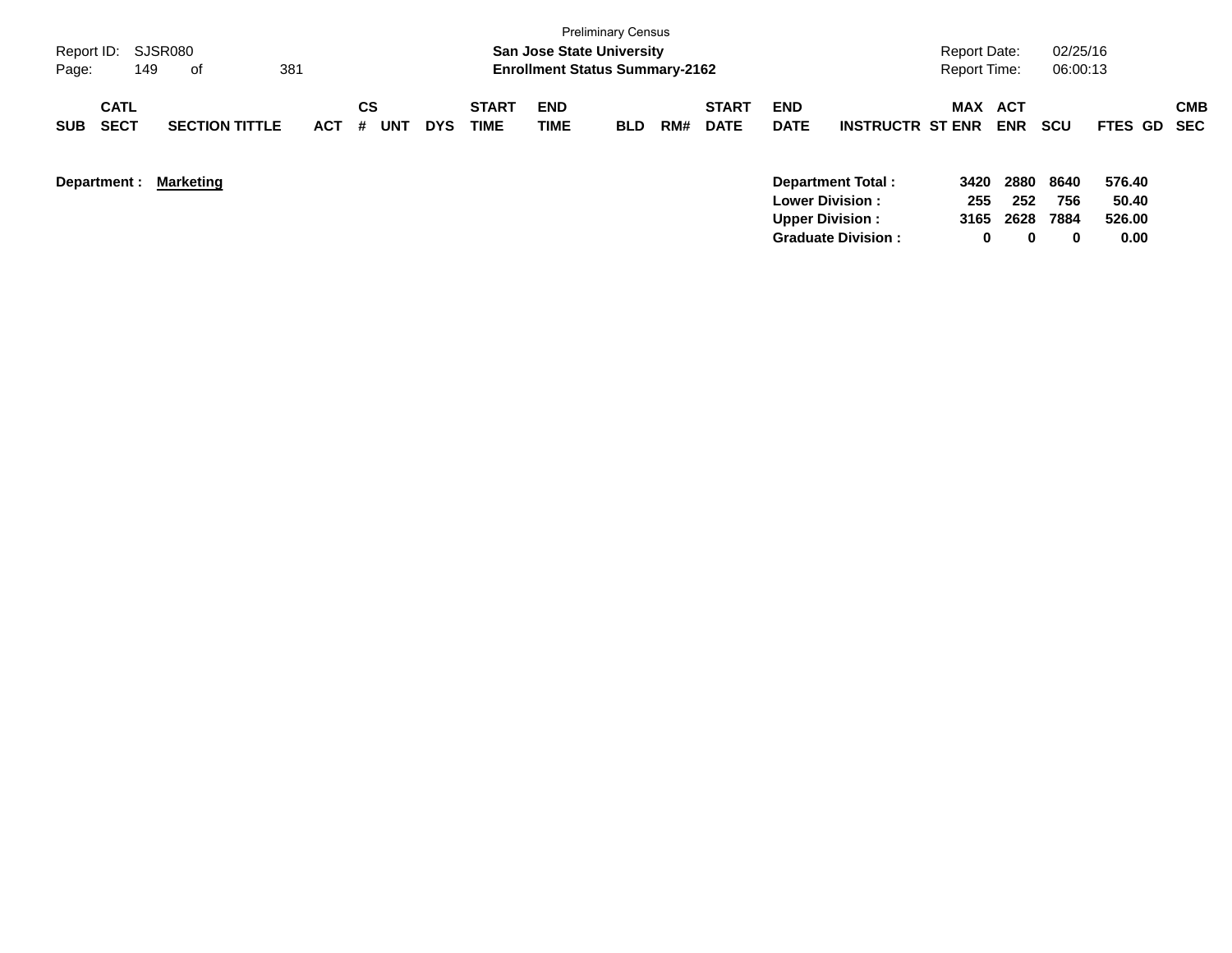| Report ID: SJSR080<br>Page:              | 149<br>of             | 381        |                |            |                             | <b>San Jose State University</b><br><b>Enrollment Status Summary-2162</b> | <b>Preliminary Census</b> |     |                             |                           |                           | Report Date:<br><b>Report Time:</b> |                   | 02/25/16<br>06:00:13 |                 |                   |
|------------------------------------------|-----------------------|------------|----------------|------------|-----------------------------|---------------------------------------------------------------------------|---------------------------|-----|-----------------------------|---------------------------|---------------------------|-------------------------------------|-------------------|----------------------|-----------------|-------------------|
| <b>CATL</b><br><b>SECT</b><br><b>SUB</b> | <b>SECTION TITTLE</b> | <b>ACT</b> | CS<br>UNT<br># | <b>DYS</b> | <b>START</b><br><b>TIME</b> | <b>END</b><br>TIME                                                        | <b>BLD</b>                | RM# | <b>START</b><br><b>DATE</b> | <b>END</b><br><b>DATE</b> | <b>INSTRUCTR ST ENR</b>   | MAX                                 | ACT<br><b>ENR</b> | <b>SCU</b>           | <b>FTES GD</b>  | <b>CMB</b><br>SEC |
| Department :                             | <b>Marketing</b>      |            |                |            |                             |                                                                           |                           |     |                             | <b>Lower Division:</b>    | <b>Department Total:</b>  | 3420<br>255                         | 2880<br>252       | 8640<br>756          | 576.40<br>50.40 |                   |
|                                          |                       |            |                |            |                             |                                                                           |                           |     |                             | <b>Upper Division:</b>    | <b>Graduate Division:</b> | 3165<br>0                           | 2628<br>0         | 7884<br>$\bf{0}$     | 526.00<br>0.00  |                   |